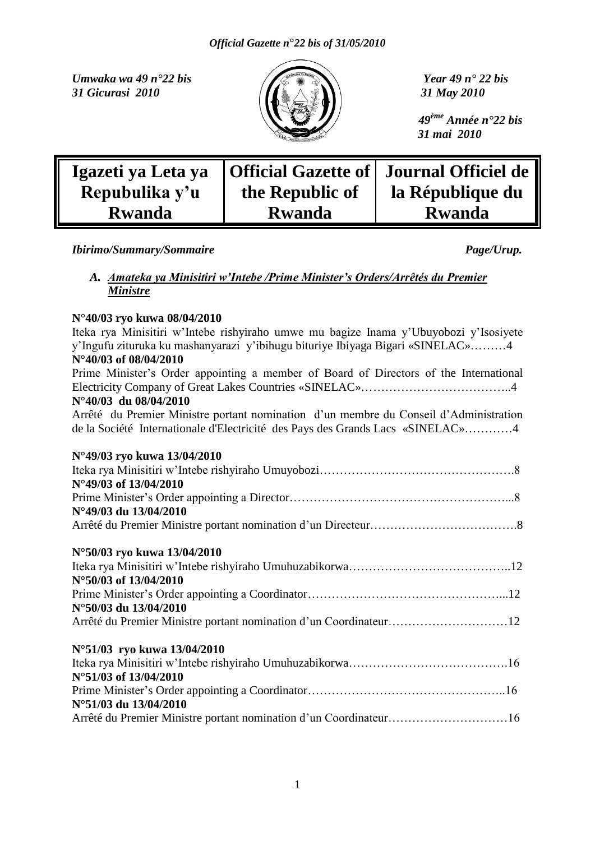*Umwaka wa 49 n°22 bis Year 49 n° 22 bis* **31 Gicurasi 2010 11 A 31 May 2010** 



 *49ème Année n°22 bis 31 mai 2010*

| Igazeti ya Leta ya<br>Repubulika y'u | the Republic of | <b>Official Gazette of   Journal Officiel de  </b><br>la République du |
|--------------------------------------|-----------------|------------------------------------------------------------------------|
| <b>Rwanda</b>                        | <b>Rwanda</b>   | <b>Rwanda</b>                                                          |

*Ibirimo/Summary/Sommaire Page/Urup.* 

# *A. Amateka ya Minisitiri w'Intebe /Prime Minister's Orders/Arrêtés du Premier Ministre*

# **N°40/03 ryo kuwa 08/04/2010**

| Iteka rya Minisitiri w'Intebe rishyiraho umwe mu bagize Inama y'Ubuyobozi y'Isosiyete |
|---------------------------------------------------------------------------------------|
| y'Ingufu zituruka ku mashanyarazi y'ibihugu bituriye Ibiyaga Bigari «SINELAC»4        |
| N°40/03 of 08/04/2010                                                                 |
| Prime Minister's Order appointing a member of Board of Directors of the International |
|                                                                                       |
| N°40/03 du 08/04/2010                                                                 |
| Arrêté du Premier Ministre portant nomination d'un membre du Conseil d'Administration |
| de la Société Internationale d'Electricité des Pays des Grands Lacs «SINELAC»4        |
|                                                                                       |
| N°49/03 ryo kuwa 13/04/2010                                                           |
|                                                                                       |
| N°49/03 of 13/04/2010                                                                 |
|                                                                                       |
| N°49/03 du 13/04/2010                                                                 |
|                                                                                       |
|                                                                                       |
| N°50/03 ryo kuwa 13/04/2010                                                           |
|                                                                                       |
| N°50/03 of 13/04/2010                                                                 |
|                                                                                       |
| N°50/03 du 13/04/2010                                                                 |
| Arrêté du Premier Ministre portant nomination d'un Coordinateur12                     |
|                                                                                       |
| N°51/03 ryo kuwa 13/04/2010                                                           |
|                                                                                       |
| N°51/03 of 13/04/2010                                                                 |
|                                                                                       |
| N°51/03 du 13/04/2010                                                                 |
| Arrêté du Premier Ministre portant nomination d'un Coordinateur16                     |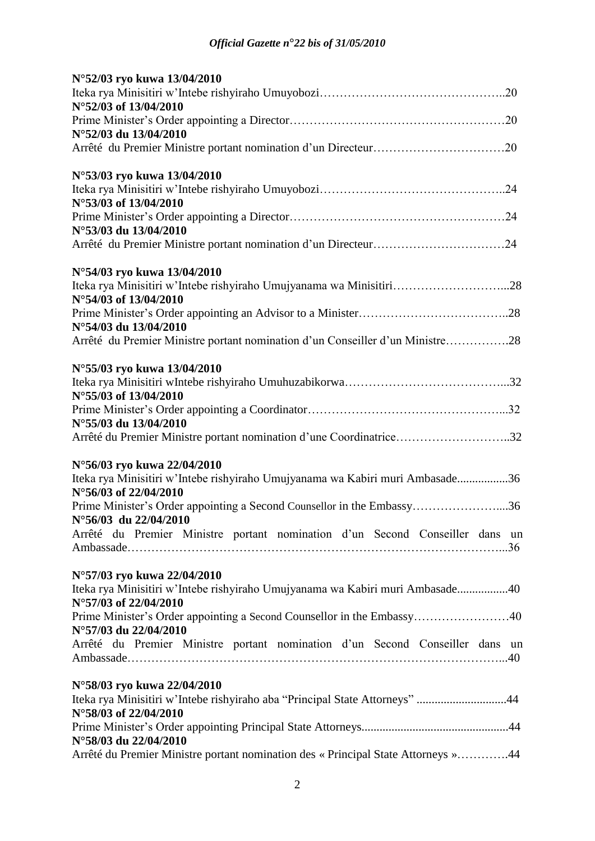| N°52/03 ryo kuwa 13/04/2010                                                                            |
|--------------------------------------------------------------------------------------------------------|
|                                                                                                        |
| N°52/03 of 13/04/2010                                                                                  |
| N°52/03 du 13/04/2010                                                                                  |
|                                                                                                        |
|                                                                                                        |
| N°53/03 ryo kuwa 13/04/2010                                                                            |
| N°53/03 of 13/04/2010                                                                                  |
|                                                                                                        |
| N°53/03 du 13/04/2010                                                                                  |
|                                                                                                        |
| N°54/03 ryo kuwa 13/04/2010                                                                            |
| Iteka rya Minisitiri w'Intebe rishyiraho Umujyanama wa Minisitiri28                                    |
| N°54/03 of 13/04/2010                                                                                  |
|                                                                                                        |
| N°54/03 du 13/04/2010<br>Arrêté du Premier Ministre portant nomination d'un Conseiller d'un Ministre28 |
|                                                                                                        |
| N°55/03 ryo kuwa 13/04/2010                                                                            |
|                                                                                                        |
| N°55/03 of 13/04/2010                                                                                  |
| N°55/03 du 13/04/2010                                                                                  |
| Arrêté du Premier Ministre portant nomination d'une Coordinatrice32                                    |
|                                                                                                        |
| N°56/03 ryo kuwa 22/04/2010                                                                            |
| Iteka rya Minisitiri w'Intebe rishyiraho Umujyanama wa Kabiri muri Ambasade36<br>N°56/03 of 22/04/2010 |
| Prime Minister's Order appointing a Second Counsellor in the Embassy36                                 |
| $N^{\circ}56/03$ du 22/04/2010                                                                         |
| Arrêté du Premier Ministre portant nomination d'un Second Conseiller dans un                           |
|                                                                                                        |
| N°57/03 ryo kuwa 22/04/2010                                                                            |
| Iteka rya Minisitiri w'Intebe rishyiraho Umujyanama wa Kabiri muri Ambasade40                          |
| N°57/03 of 22/04/2010                                                                                  |
| Prime Minister's Order appointing a Second Counsellor in the Embassy40                                 |
| N°57/03 du 22/04/2010                                                                                  |
| Arrêté du Premier Ministre portant nomination d'un Second Conseiller dans un                           |
|                                                                                                        |
| N°58/03 ryo kuwa 22/04/2010                                                                            |
| Iteka rya Minisitiri w'Intebe rishyiraho aba "Principal State Attorneys" 44                            |
| N°58/03 of 22/04/2010                                                                                  |
| N°58/03 du 22/04/2010                                                                                  |
| Arrêté du Premier Ministre portant nomination des « Principal State Attorneys »44                      |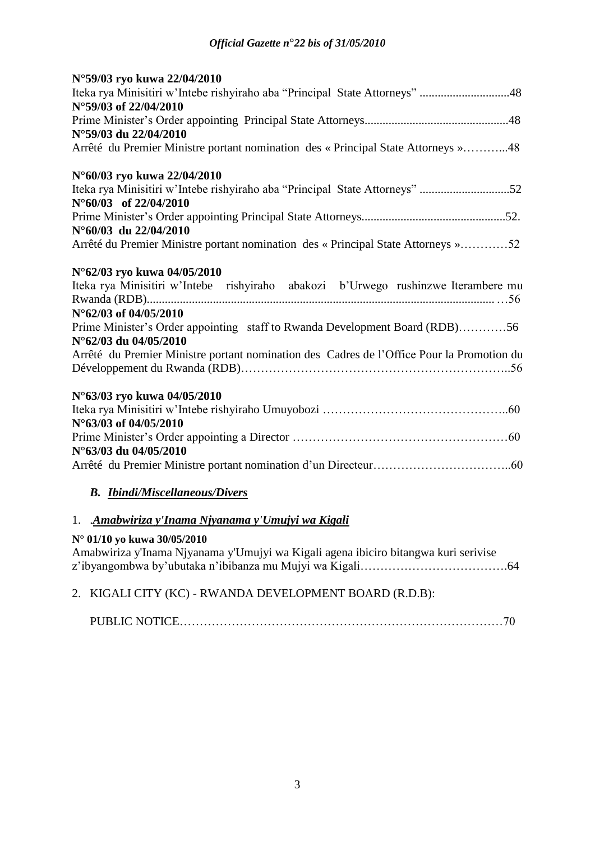| N°59/03 ryo kuwa 22/04/2010                                                               |
|-------------------------------------------------------------------------------------------|
| Iteka rya Minisitiri w'Intebe rishyiraho aba "Principal State Attorneys" 48               |
| N°59/03 of 22/04/2010                                                                     |
|                                                                                           |
| N°59/03 du 22/04/2010                                                                     |
| Arrêté du Premier Ministre portant nomination des « Principal State Attorneys »48         |
| N°60/03 ryo kuwa 22/04/2010                                                               |
| Iteka rya Minisitiri w'Intebe rishyiraho aba "Principal State Attorneys" 52               |
| $N^{\circ}60/03$ of 22/04/2010                                                            |
|                                                                                           |
| $N^{\circ}60/03$ du 22/04/2010                                                            |
| Arrêté du Premier Ministre portant nomination des « Principal State Attorneys »52         |
| N°62/03 ryo kuwa 04/05/2010                                                               |
| Iteka rya Minisitiri w'Intebe rishyiraho abakozi b'Urwego rushinzwe Iterambere mu         |
|                                                                                           |
| N°62/03 of 04/05/2010                                                                     |
| Prime Minister's Order appointing staff to Rwanda Development Board (RDB)56               |
| N°62/03 du 04/05/2010                                                                     |
| Arrêté du Premier Ministre portant nomination des Cadres de l'Office Pour la Promotion du |
|                                                                                           |
| N°63/03 ryo kuwa 04/05/2010                                                               |
|                                                                                           |
| N°63/03 of 04/05/2010                                                                     |
|                                                                                           |
| N°63/03 du 04/05/2010                                                                     |
|                                                                                           |
| <b>B.</b> Ibindi/Miscellaneous/Divers                                                     |

# 1. .*Amabwiriza y'Inama Njyanama y'Umujyi wa Kigali*

# **N° 01/10 yo kuwa 30/05/2010**

Amabwiriza y'Inama Njyanama y'Umujyi wa Kigali agena ibiciro bitangwa kuri serivise z'ibyangombwa by'ubutaka n'ibibanza mu Mujyi wa Kigali…………………………………………………64

# 2. KIGALI CITY (KC) - RWANDA DEVELOPMENT BOARD (R.D.B):

|--|--|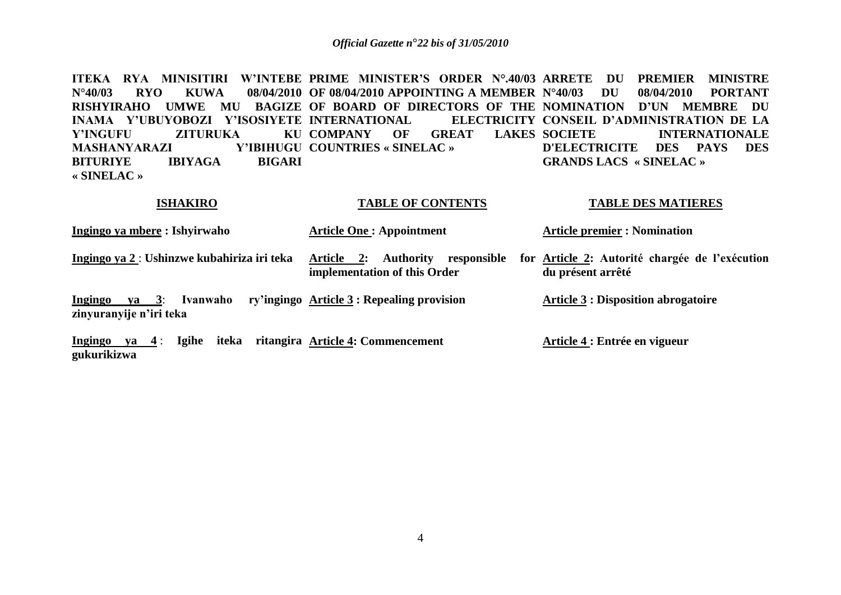ITEKA RYA MINISITIRI W'INTEBE PRIME MINISTER'S ORDER N°.40/03 ARRETE DU PREMIER MINISTRE **N°40/03 RYO KUWA 08/04/2010 OF 08/04/2010 APPOINTING A MEMBER RISHYIRAHO UMWE MU BAGIZE OF BOARD OF DIRECTORS OF THE NOMINATION D"UN MEMBRE DU INAMA Y"UBUYOBOZI Y"ISOSIYETE INTERNATIONAL ELECTRICITY Y'INGUFU ZITURUKA MASHANYARAZI BITURIYE IBIYAGA BIGARI « SINELAC » KU COMPANY OF GREAT LAKES SOCIETE COUNTRIES « SINELAC » N°40/03 DU 08/04/2010 PORTANT ELECTRICITY CONSEIL D'ADMINISTRATION DE LA INTERNATIONALE D'ELECTRICITE DES PAYS DES GRANDS LACS « SINELAC »**

**TABLE OF CONTENTS**

**TABLE DES MATIERES**

| <b>ISHANINU</b>                                              | TADLE OF CONTENTS                                                             | TADLE DES MATIENES                                                          |
|--------------------------------------------------------------|-------------------------------------------------------------------------------|-----------------------------------------------------------------------------|
| <u> Ingingo ya mbere</u> : Ishyirwaho                        | <b>Article One: Appointment</b>                                               | <b>Article premier : Nomination</b>                                         |
| Ingingo ya 2 : Ushinzwe kubahiriza iri teka                  | <b>Authority</b><br>Article 2:<br>responsible<br>implementation of this Order | for <u>Article 2</u> : Autorité chargée de l'exécution<br>du présent arrêté |
| Ingingo<br>$ya = 3$ :<br>Ivanwaho<br>zinyuranyije n'iri teka | ry'ingingo Article 3 : Repealing provision                                    | <b>Article 3: Disposition abrogatoire</b>                                   |

**Ingingo ya 4** : **Igihe iteka ritangira Article 4: Commencement gukurikizwa Article 4 : Entrée en vigueur**

**ISHAKIRO**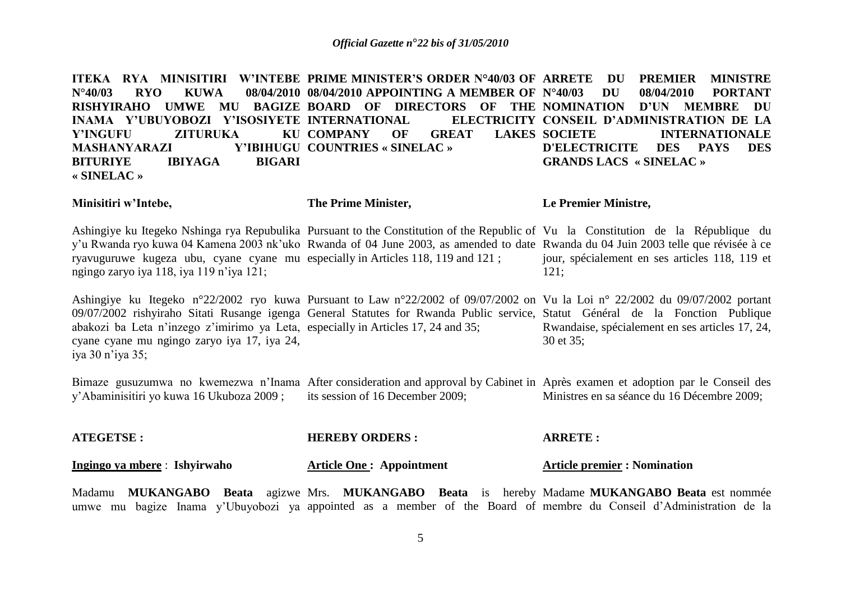ITEKA RYA MINISITIRI W'INTEBE PRIME MINISTER'S ORDER N°40/03 OF ARRETE DU PREMIER MINISTRE **N°40/03 RYO KUWA 08/04/2010 08/04/2010 APPOINTING A MEMBER OF RISHYIRAHO UMWE MU BAGIZE BOARD OF DIRECTORS OF THE NOMINATION D"UN MEMBRE DU INAMA Y"UBUYOBOZI Y"ISOSIYETE INTERNATIONAL ELECTRICITY Y'INGUFU ZITURUKA MASHANYARAZI BITURIYE IBIYAGA BIGARI « SINELAC »** KU COMPANY OF GREAT LAKES SOCIETE **COUNTRIES « SINELAC » N°40/03 DU 08/04/2010 PORTANT ELECTRICITY CONSEIL D'ADMINISTRATION DE LA INTERNATIONALE D'ELECTRICITE DES PAYS DES GRANDS LACS « SINELAC »**

**Minisitiri w"Intebe,**

**The Prime Minister,**

**Le Premier Ministre,**

Ashingiye ku Itegeko Nshinga rya Repubulika Pursuant to the Constitution of the Republic of Vu la Constitution de la République du y'u Rwanda ryo kuwa 04 Kamena 2003 nk'uko Rwanda of 04 June 2003, as amended to date Rwanda du 04 Juin 2003 telle que révisée à ce ryavuguruwe kugeza ubu, cyane cyane mu especially in Articles 118, 119 and 121 ; ngingo zaryo iya 118, iya 119 n'iya 121; jour, spécialement en ses articles 118, 119 et 121;

Ashingiye ku Itegeko n°22/2002 ryo kuwa Pursuant to Law n°22/2002 of 09/07/2002 on Vu la Loi n° 22/2002 du 09/07/2002 portant 09/07/2002 rishyiraho Sitati Rusange igenga General Statutes for Rwanda Public service, Statut Général de la Fonction Publique abakozi ba Leta n'inzego z'imirimo ya Leta, especially in Articles 17, 24 and 35; cyane cyane mu ngingo zaryo iya 17, iya 24, iya 30 n'iya 35; Rwandaise, spécialement en ses articles 17, 24, 30 et 35;

Bimaze gusuzumwa no kwemezwa n'Inama After consideration and approval by Cabinet in Après examen et adoption par le Conseil des y'Abaminisitiri yo kuwa 16 Ukuboza 2009 ; its session of 16 December 2009; Ministres en sa séance du 16 Décembre 2009;

| <b>ATEGETSE:</b>             | <b>HEREBY ORDERS:</b>           | <b>ARRETE:</b>                      |
|------------------------------|---------------------------------|-------------------------------------|
| Ingingo ya mbere: Ishyirwaho | <b>Article One: Appointment</b> | <b>Article premier : Nomination</b> |

Madamu **MUKANGABO Beata** agizwe Mrs. **MUKANGABO Beata** is hereby Madame MUKANGABO Beata est nommée umwe mu bagize Inama y'Ubuyobozi ya appointed as a member of the Board of membre du Conseil d'Administration de la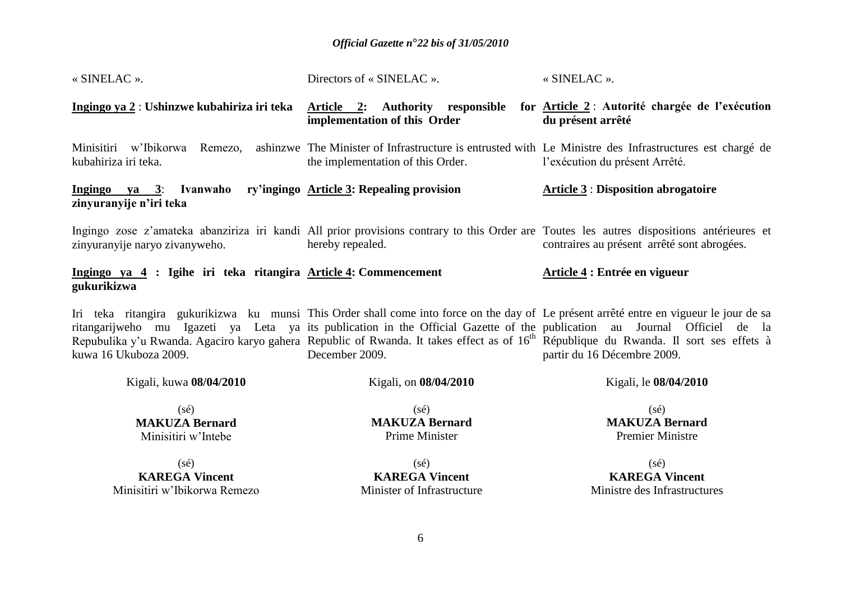| « SINELAC ».                                                                   | Directors of « SINELAC ».                                                                                                                                                                                                                                                                                      | « SINELAC ».                                                                                                                                             |
|--------------------------------------------------------------------------------|----------------------------------------------------------------------------------------------------------------------------------------------------------------------------------------------------------------------------------------------------------------------------------------------------------------|----------------------------------------------------------------------------------------------------------------------------------------------------------|
| Ingingo ya 2: Ushinzwe kubahiriza iri teka                                     | Article 2: Authority responsible for Article 2: Autorité chargée de l'exécution<br>implementation of this Order                                                                                                                                                                                                | du présent arrêté                                                                                                                                        |
| Minisitiri w'Ibikorwa Remezo,<br>kubahiriza iri teka.                          | ashinzwe The Minister of Infrastructure is entrusted with Le Ministre des Infrastructures est chargé de<br>the implementation of this Order.                                                                                                                                                                   | l'exécution du présent Arrêté.                                                                                                                           |
| Ingingo ya 3: Ivanwaho<br>zinyuranyije n'iri teka                              | ry'ingingo Article 3: Repealing provision                                                                                                                                                                                                                                                                      | <b>Article 3 : Disposition abrogatoire</b>                                                                                                               |
| zinyuranyije naryo zivanyweho.                                                 | Ingingo zose z'amateka abanziriza iri kandi All prior provisions contrary to this Order are Toutes les autres dispositions antérieures et<br>hereby repealed.                                                                                                                                                  | contraires au présent arrêté sont abrogées.                                                                                                              |
| Ingingo ya 4 : Igihe iri teka ritangira Article 4: Commencement<br>gukurikizwa |                                                                                                                                                                                                                                                                                                                | Article 4 : Entrée en vigueur                                                                                                                            |
| kuwa 16 Ukuboza 2009.                                                          | Iri teka ritangira gukurikizwa ku munsi This Order shall come into force on the day of Le présent arrêté entre en vigueur le jour de sa<br>Repubulika y'u Rwanda. Agaciro karyo gahera Republic of Rwanda. It takes effect as of 16 <sup>th</sup> République du Rwanda. Il sort ses effets à<br>December 2009. | ritangarijweho mu Igazeti ya Leta ya its publication in the Official Gazette of the publication au Journal Officiel de la<br>partir du 16 Décembre 2009. |
| Kigali, kuwa 08/04/2010                                                        | Kigali, on 08/04/2010                                                                                                                                                                                                                                                                                          | Kigali, le 08/04/2010                                                                                                                                    |
| $(s\acute{e})$<br><b>MAKUZA Bernard</b><br>Minisitiri w'Intebe                 | $(s\acute{e})$<br><b>MAKUZA Bernard</b><br><b>Prime Minister</b>                                                                                                                                                                                                                                               | $(s\acute{e})$<br><b>MAKUZA Bernard</b><br><b>Premier Ministre</b>                                                                                       |
| $(s\acute{e})$<br><b>KAREGA Vincent</b><br>Minisitiri w'Ibikorwa Remezo        | $(s\acute{e})$<br><b>KAREGA Vincent</b><br>Minister of Infrastructure                                                                                                                                                                                                                                          | $(s\acute{e})$<br><b>KAREGA Vincent</b><br>Ministre des Infrastructures                                                                                  |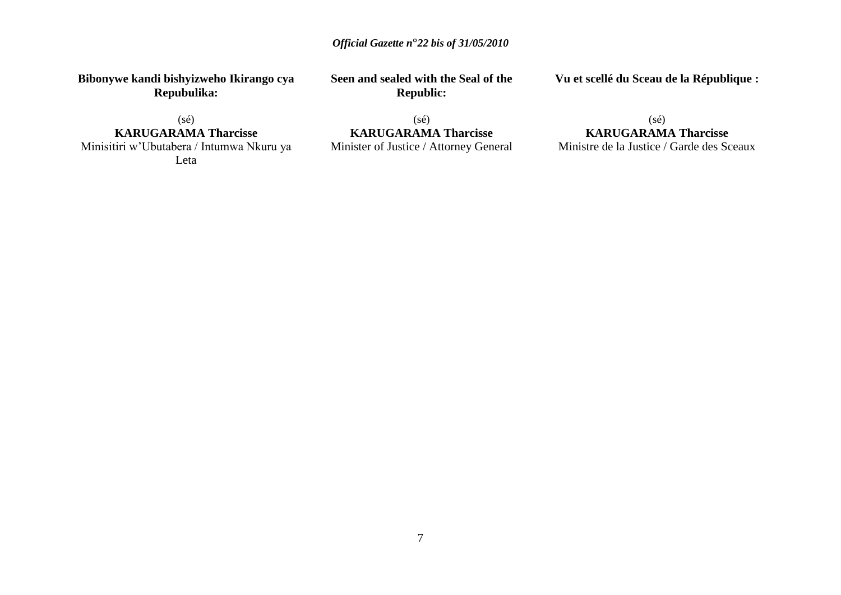**Bibonywe kandi bishyizweho Ikirango cya Repubulika:**

(sé) **KARUGARAMA Tharcisse** Minisitiri w'Ubutabera / Intumwa Nkuru ya Leta

**Seen and sealed with the Seal of the Republic:**

**Vu et scellé du Sceau de la République :**

(sé) **KARUGARAMA Tharcisse** Minister of Justice / Attorney General

# (sé) **KARUGARAMA Tharcisse**

Ministre de la Justice / Garde des Sceaux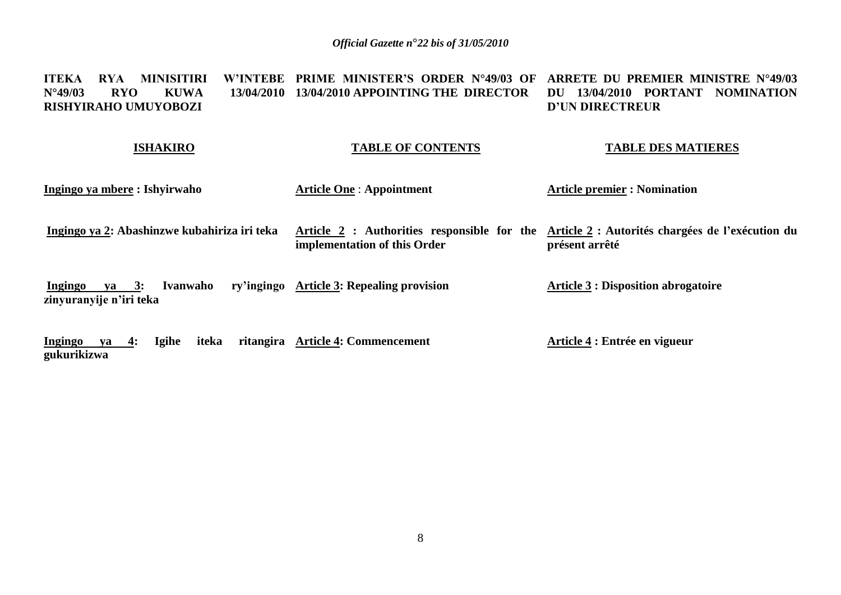### **ITEKA RYA MINISITIRI W"INTEBE PRIME MINISTER"S ORDER N°49/03 OF ARRETE DU PREMIER MINISTRE N°49/03 N°49/03 RYO KUWA 13/04/2010 13/04/2010 APPOINTING THE DIRECTOR DU 13/04/2010 PORTANT NOMINATION RISHYIRAHO UMUYOBOZI D"UN DIRECTREUR**

### **ISHAKIRO**

**gukurikizwa**

# **TABLE OF CONTENTS**

### **TABLE DES MATIERES**

| Ingingo ya mbere : Ishyirwaho                           | <b>Article One: Appointment</b>                                             | <b>Article premier : Nomination</b>                                |
|---------------------------------------------------------|-----------------------------------------------------------------------------|--------------------------------------------------------------------|
| Ingingo ya 2: Abashinzwe kubahiriza iri teka            | Article 2 : Authorities responsible for the<br>implementation of this Order | Article 2 : Autorités chargées de l'exécution du<br>présent arrêté |
| Ivanwaho<br>va 3:<br>Ingingo<br>zinyuranyije n'iri teka | ry'ingingo Article 3: Repealing provision                                   | <b>Article 3 : Disposition abrogatoire</b>                         |
| <b>Ingingo</b><br><b>Igihe</b><br>iteka<br>4:<br>va     | ritangira Article 4: Commencement                                           | Article 4 : Entrée en vigueur                                      |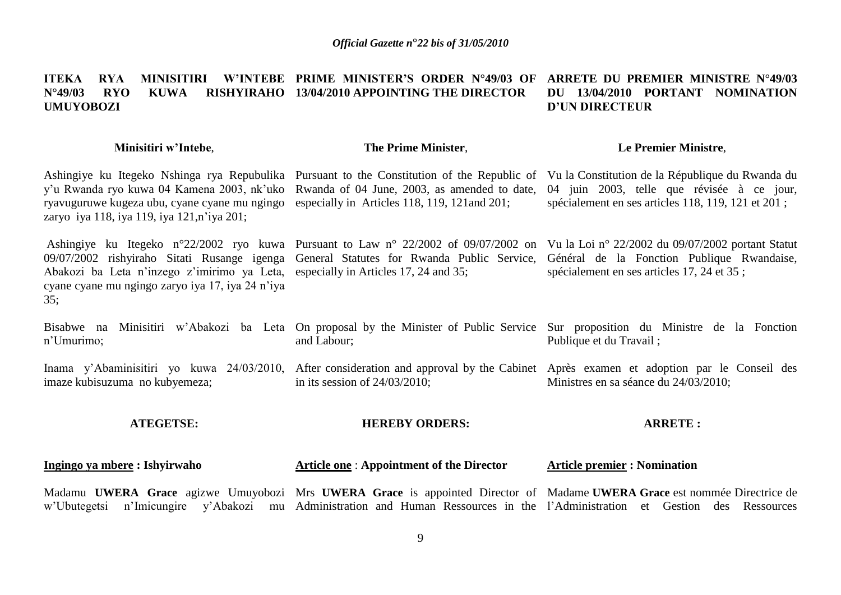### **ITEKA RYA MINISITIRI W"INTEBE PRIME MINISTER"S ORDER N°49/03 OF ARRETE DU PREMIER MINISTRE N°49/03 N°49/03 RYO KUWA RISHYIRAHO 13/04/2010 APPOINTING THE DIRECTOR UMUYOBOZI DU 13/04/2010 PORTANT NOMINATION D"UN DIRECTEUR**

### **Minisitiri w"Intebe**,

### **The Prime Minister**,

### **Le Premier Ministre**,

Ashingiye ku Itegeko Nshinga rya Repubulika Pursuant to the Constitution of the Republic of Vu la Constitution de la République du Rwanda du y'u Rwanda ryo kuwa 04 Kamena 2003, nk'uko Rwanda of 04 June, 2003, as amended to date, ryavuguruwe kugeza ubu, cyane cyane mu ngingo especially in Articles 118, 119, 121and 201; zaryo iya 118, iya 119, iya 121,n'iya 201; 04 juin 2003, telle que révisée à ce jour,

Ashingiye ku Itegeko n°22/2002 ryo kuwa Pursuant to Law n° 22/2002 of 09/07/2002 on Vu la Loi n° 22/2002 du 09/07/2002 portant Statut 09/07/2002 rishyiraho Sitati Rusange igenga General Statutes for Rwanda Public Service, Abakozi ba Leta n'inzego z'imirimo ya Leta, especially in Articles 17, 24 and 35; cyane cyane mu ngingo zaryo iya 17, iya 24 n'iya 35;

spécialement en ses articles 118, 119, 121 et 201 ;

Général de la Fonction Publique Rwandaise, spécialement en ses articles 17, 24 et 35 ;

Bisabwe na Minisitiri w'Abakozi ba Leta On proposal by the Minister of Public Service Sur proposition du Ministre de la Fonction n'Umurimo; and Labour; Publique et du Travail ;

Inama y'Abaminisitiri yo kuwa 24/03/2010, After consideration and approval by the Cabinet Après examen et adoption par le Conseil des imaze kubisuzuma no kubyemeza; in its session of 24/03/2010; Ministres en sa séance du 24/03/2010;

### **ATEGETSE:**

### **HEREBY ORDERS:**

### **ARRETE :**

#### **Ingingo ya mbere : Ishyirwaho Article one** : **Appointment of the Director Article premier : Nomination**

Madamu UWERA Grace agizwe Umuyobozi Mrs UWERA Grace is appointed Director of Madame UWERA Grace est nommée Directrice de w'Ubutegetsi n'Imicungire y'Abakozi mu Administration and Human Ressources in the l'Administration et Gestion des Ressources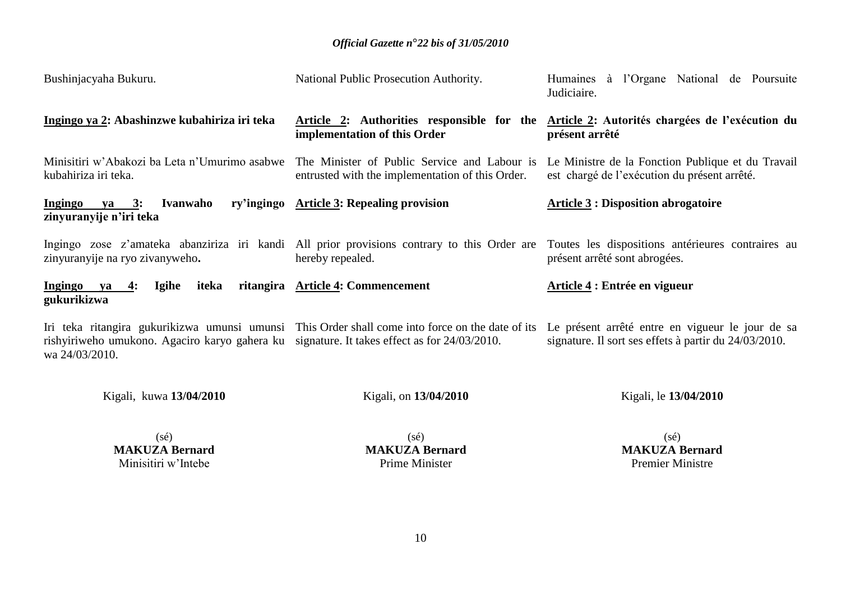| Bushinjacyaha Bukuru.                                                                                         | National Public Prosecution Authority.                                                                          | Humaines à l'Organe National de Poursuite<br>Judiciaire.                                                  |
|---------------------------------------------------------------------------------------------------------------|-----------------------------------------------------------------------------------------------------------------|-----------------------------------------------------------------------------------------------------------|
| Ingingo ya 2: Abashinzwe kubahiriza iri teka                                                                  | Article 2: Authorities responsible for the<br>implementation of this Order                                      | Article 2: Autorités chargées de l'exécution du<br>présent arrêté                                         |
| Minisitiri w'Abakozi ba Leta n'Umurimo asabwe<br>kubahiriza iri teka.                                         | The Minister of Public Service and Labour is<br>entrusted with the implementation of this Order.                | Le Ministre de la Fonction Publique et du Travail<br>est chargé de l'exécution du présent arrêté.         |
| ry'ingingo<br>Ingingo<br>$ya$ 3:<br>Ivanwaho<br>zinyuranyije n'iri teka                                       | <b>Article 3: Repealing provision</b>                                                                           | <b>Article 3: Disposition abrogatoire</b>                                                                 |
| zinyuranyije na ryo zivanyweho.                                                                               | Ingingo zose z'amateka abanziriza iri kandi All prior provisions contrary to this Order are<br>hereby repealed. | Toutes les dispositions antérieures contraires au<br>présent arrêté sont abrogées.                        |
| Ingingo ya<br>iteka<br>4:<br>Igihe<br>gukurikizwa                                                             | ritangira Article 4: Commencement                                                                               | Article 4 : Entrée en vigueur                                                                             |
| rishyiriweho umukono. Agaciro karyo gahera ku signature. It takes effect as for 24/03/2010.<br>wa 24/03/2010. | Iri teka ritangira gukurikizwa umunsi umunsi This Order shall come into force on the date of its                | Le présent arrêté entre en vigueur le jour de sa<br>signature. Il sort ses effets à partir du 24/03/2010. |
| Kigali, kuwa 13/04/2010                                                                                       | Kigali, on 13/04/2010                                                                                           | Kigali, le 13/04/2010                                                                                     |

(sé) **MAKUZA Bernard** Minisitiri w'Intebe

(sé) **MAKUZA Bernard** Prime Minister

(sé) **MAKUZA Bernard** Premier Ministre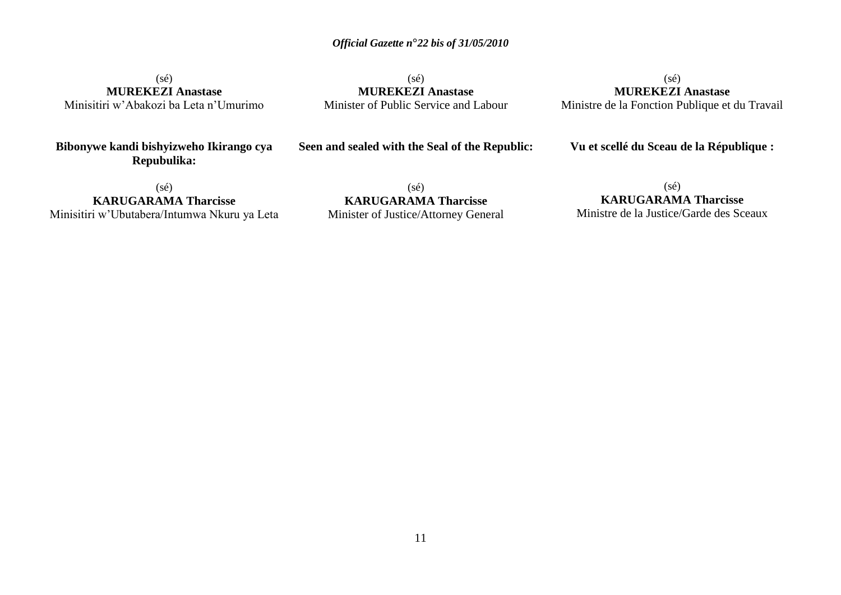(sé) **MUREKEZI Anastase** Minisitiri w'Abakozi ba Leta n'Umurimo

 $(sé)$ **MUREKEZI Anastase** Minister of Public Service and Labour

(sé) **MUREKEZI Anastase** Ministre de la Fonction Publique et du Travail

**Bibonywe kandi bishyizweho Ikirango cya Repubulika:**

**Seen and sealed with the Seal of the Republic:**

**Vu et scellé du Sceau de la République :**

(sé) **KARUGARAMA Tharcisse** Minisitiri w'Ubutabera/Intumwa Nkuru ya Leta

(sé) **KARUGARAMA Tharcisse** Minister of Justice/Attorney General

(sé) **KARUGARAMA Tharcisse** Ministre de la Justice/Garde des Sceaux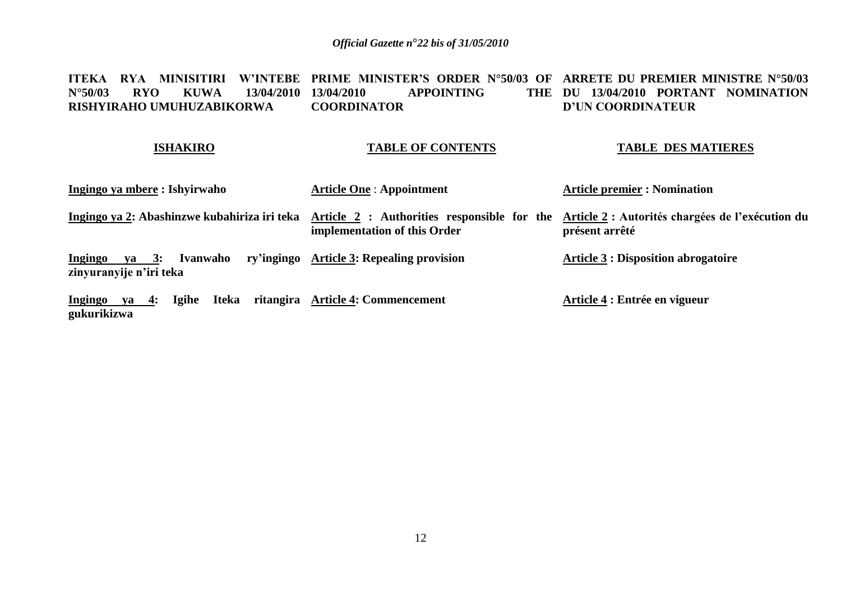#### **ITEKA RYA MINISITIRI W"INTEBE PRIME MINISTER"S ORDER N°50/03 OF ARRETE DU PREMIER MINISTRE N°50/03 N°50/03 RYO KUWA 13/04/2010 RISHYIRAHO UMUHUZABIKORWA**   $APPOINTING$ **COORDINATOR**  THE DU 13/04/2010 **PORTANT NOMINATION D"UN COORDINATEUR**

### **ISHAKIRO**

### **TABLE OF CONTENTS**

### **TABLE DES MATIERES**

| Ingingo ya mbere : Ishyirwaho                                  | <b>Article One: Appointment</b>           | <b>Article premier : Nomination</b>                                                                            |
|----------------------------------------------------------------|-------------------------------------------|----------------------------------------------------------------------------------------------------------------|
| Ingingo ya 2: Abashinzwe kubahiriza iri teka                   | implementation of this Order              | Article 2 : Authorities responsible for the Article 2 : Autorités chargées de l'exécution du<br>présent arrêté |
| Ivanwaho<br>va 3:<br><u>Ingingo</u><br>zinyuranyije n'iri teka | ry'ingingo Article 3: Repealing provision | <b>Article 3 : Disposition abrogatoire</b>                                                                     |
| <b>Iteka</b><br>Igihe<br><u>Ingingo ya 4:</u><br>gukurikizwa   | ritangira Article 4: Commencement         | Article 4 : Entrée en vigueur                                                                                  |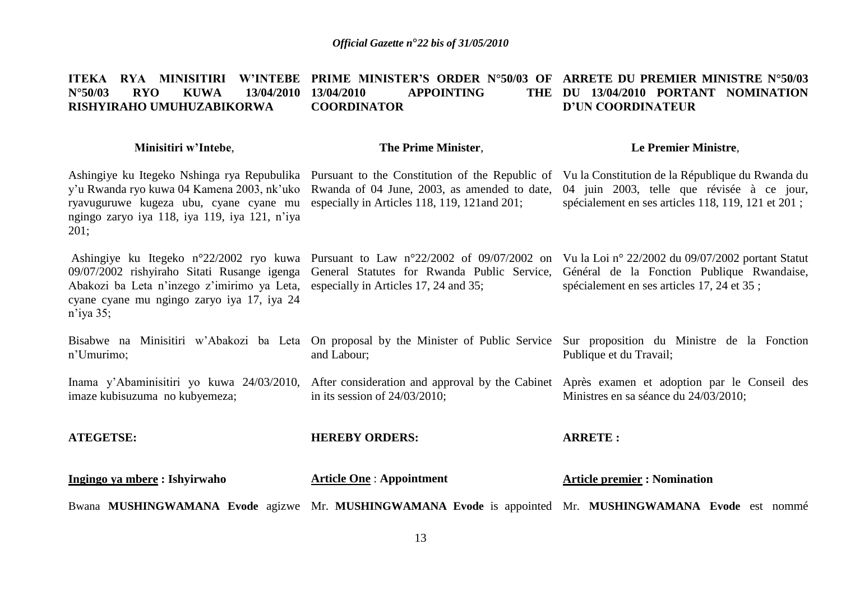#### **ITEKA RYA MINISITIRI W"INTEBE PRIME MINISTER"S ORDER N°50/03 OF ARRETE DU PREMIER MINISTRE N°50/03 N°50/03 RYO KUWA 13/04/2010 RISHYIRAHO UMUHUZABIKORWA 13PPOINTING COORDINATOR**  THE DU 13/04/2010 **PORTANT NOMINATION D"UN COORDINATEUR**

### **Minisitiri w"Intebe**,

### **The Prime Minister**,

### **Le Premier Ministre**,

Ashingiye ku Itegeko Nshinga rya Repubulika Pursuant to the Constitution of the Republic of Vu la Constitution de la République du Rwanda du y'u Rwanda ryo kuwa 04 Kamena 2003, nk'uko Rwanda of 04 June, 2003, as amended to date, 04 juin 2003, telle que révisée à ce jour, ryavuguruwe kugeza ubu, cyane cyane mu especially in Articles 118, 119, 121and 201; ngingo zaryo iya 118, iya 119, iya 121, n'iya 201; Ashingiye ku Itegeko n°22/2002 ryo kuwa Pursuant to Law n°22/2002 of 09/07/2002 on Vu la Loi n° 22/2002 du 09/07/2002 portant Statut 09/07/2002 rishyiraho Sitati Rusange igenga Abakozi ba Leta n'inzego z'imirimo ya Leta, cyane cyane mu ngingo zaryo iya 17, iya 24 n'iya 35; Bisabwe na Minisitiri w'Abakozi ba Leta On proposal by the Minister of Public Service Sur proposition du Ministre de la Fonction n'Umurimo; Inama y'Abaminisitiri yo kuwa 24/03/2010, After consideration and approval by the Cabinet Après examen et adoption par le Conseil des imaze kubisuzuma no kubyemeza; **ATEGETSE: Ingingo ya mbere : Ishyirwaho**  General Statutes for Rwanda Public Service, Général de la Fonction Publique Rwandaise, especially in Articles 17, 24 and 35; and Labour; in its session of 24/03/2010; **HEREBY ORDERS: Article One** : **Appointment** spécialement en ses articles 118, 119, 121 et 201 ; spécialement en ses articles 17, 24 et 35 ; Publique et du Travail; Ministres en sa séance du 24/03/2010; **ARRETE : Article premier : Nomination** 

Bwana MUSHINGWAMANA Evode agizwe Mr. MUSHINGWAMANA Evode is appointed Mr. MUSHINGWAMANA Evode est nommé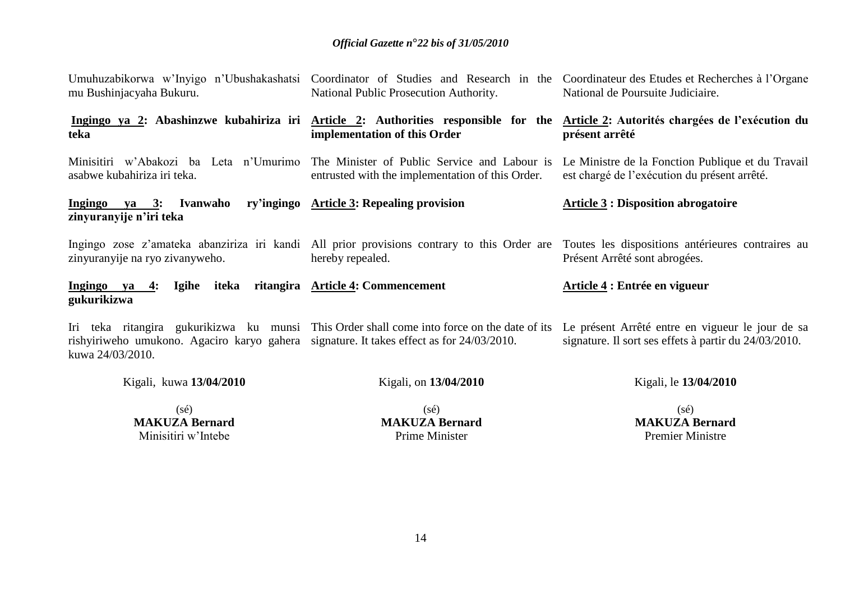| $(s\acute{e})$<br>MAKIZA Rornord                                                                             | $(s\acute{e})$<br>MAKIZA Rornord                 | $(s\acute{e})$<br>MAKITA Rornord                                                                                                                                                                      |
|--------------------------------------------------------------------------------------------------------------|--------------------------------------------------|-------------------------------------------------------------------------------------------------------------------------------------------------------------------------------------------------------|
| Kigali, kuwa 13/04/2010                                                                                      | Kigali, on 13/04/2010                            | Kigali, le 13/04/2010                                                                                                                                                                                 |
| rishyiriweho umukono. Agaciro karyo gahera signature. It takes effect as for 24/03/2010.<br>kuwa 24/03/2010. |                                                  | Iri teka ritangira gukurikizwa ku munsi This Order shall come into force on the date of its Le présent Arrêté entre en vigueur le jour de sa<br>signature. Il sort ses effets à partir du 24/03/2010. |
| <u>Ingingo ya 4:</u><br>Igihe<br>gukurikizwa                                                                 | iteka ritangira Article 4: Commencement          | Article 4 : Entrée en vigueur                                                                                                                                                                         |
| zinyuranyije na ryo zivanyweho.                                                                              | hereby repealed.                                 | Ingingo zose z'amateka abanziriza iri kandi All prior provisions contrary to this Order are Toutes les dispositions antérieures contraires au<br>Présent Arrêté sont abrogées.                        |
| Ingingo ya 3: Ivanwaho<br>zinyuranyije n'iri teka                                                            | ry'ingingo Article 3: Repealing provision        | <b>Article 3: Disposition abrogatoire</b>                                                                                                                                                             |
| asabwe kubahiriza iri teka.                                                                                  | entrusted with the implementation of this Order. | Minisitiri w'Abakozi ba Leta n'Umurimo The Minister of Public Service and Labour is Le Ministre de la Fonction Publique et du Travail<br>est chargé de l'exécution du présent arrêté.                 |
| teka                                                                                                         | implementation of this Order                     | Ingingo ya 2: Abashinzwe kubahiriza iri Article 2: Authorities responsible for the Article 2: Autorités chargées de l'exécution du<br>présent arrêté                                                  |
| mu Bushinjacyaha Bukuru.                                                                                     | National Public Prosecution Authority.           | Umuhuzabikorwa w'Inyigo n'Ubushakashatsi Coordinator of Studies and Research in the Coordinateur des Etudes et Recherches à l'Organe<br>National de Poursuite Judiciaire.                             |

**MAKUZA Bernard** Minisitiri w'Intebe

**MAKUZA Bernard** Prime Minister

**MAKUZA Bernard** Premier Ministre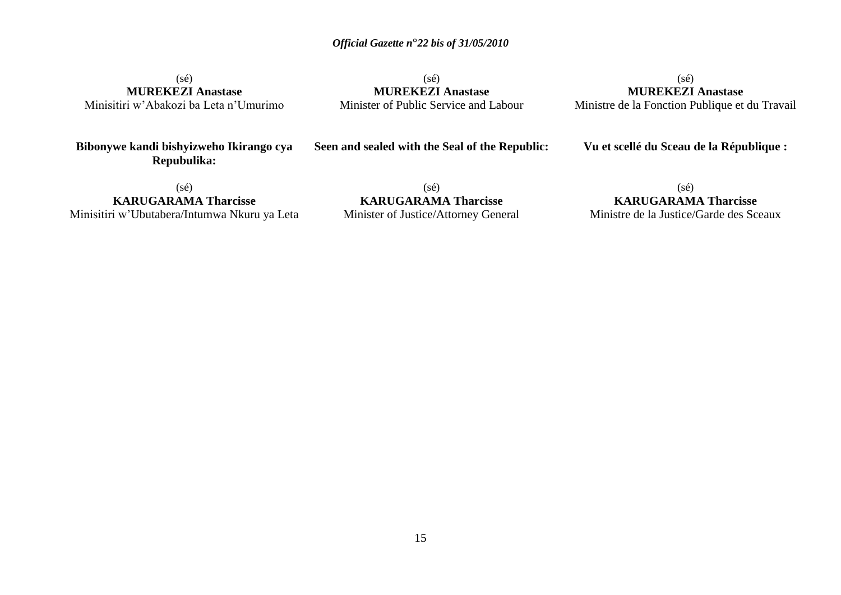(sé) **MUREKEZI Anastase** Minisitiri w'Abakozi ba Leta n'Umurimo

(sé) **MUREKEZI Anastase** Minister of Public Service and Labour

(sé) **MUREKEZI Anastase** Ministre de la Fonction Publique et du Travail

**Bibonywe kandi bishyizweho Ikirango cya Repubulika:**

**Seen and sealed with the Seal of the Republic:**

**Vu et scellé du Sceau de la République :**

(sé) **KARUGARAMA Tharcisse** Minisitiri w'Ubutabera/Intumwa Nkuru ya Leta

(sé) **KARUGARAMA Tharcisse** Minister of Justice/Attorney General

(sé) **KARUGARAMA Tharcisse**

Ministre de la Justice/Garde des Sceaux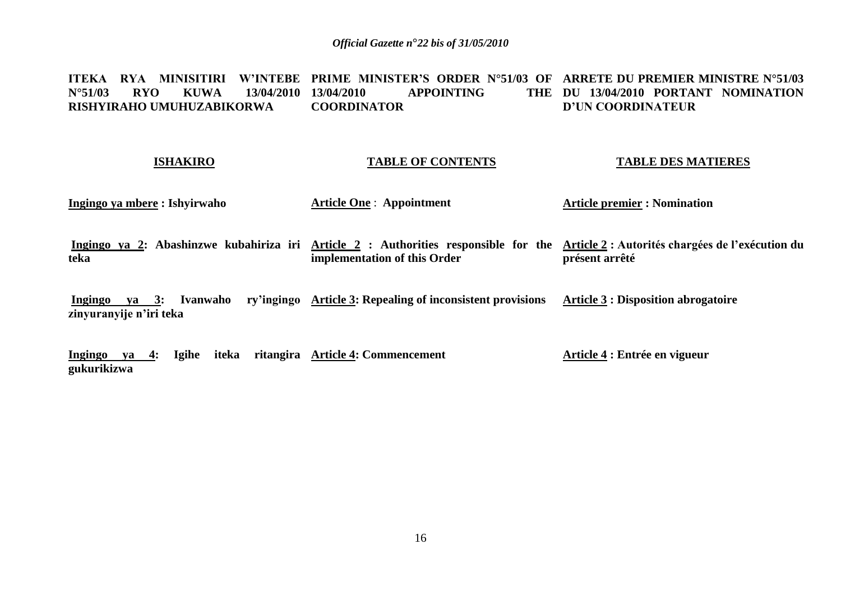#### **ITEKA RYA MINISITIRI W"INTEBE PRIME MINISTER"S ORDER N°51/03 OF ARRETE DU PREMIER MINISTRE N°51/03 N°51/03 RYO KUWA 13/04/2010 RISHYIRAHO UMUHUZABIKORWA 13PPOINTING COORDINATOR**  THE DU 13/04/2010 PORTANT NOMINATION **D"UN COORDINATEUR**

### **ISHAKIRO**

### **TABLE OF CONTENTS**

### **TABLE DES MATIERES**

**Ingingo ya mbere : Ishyirwaho** 

**Article One** : **Appointment** 

**Article premier : Nomination** 

**Ingingo ya 2: Abashinzwe kubahiriza iri Article 2 : Authorities responsible for the Article 2 : Autorités chargées de l"exécution du teka implementation of this Order présent arrêté**

**Ingingo ya 3: Ivanwaho ry"ingingo Article 3: Repealing of inconsistent provisions zinyuranyije n"iri teka Article 3 : Disposition abrogatoire**

**Ingingo ya 4: Igihe iteka ritangira Article 4: Commencement gukurikizwa Article 4 : Entrée en vigueur**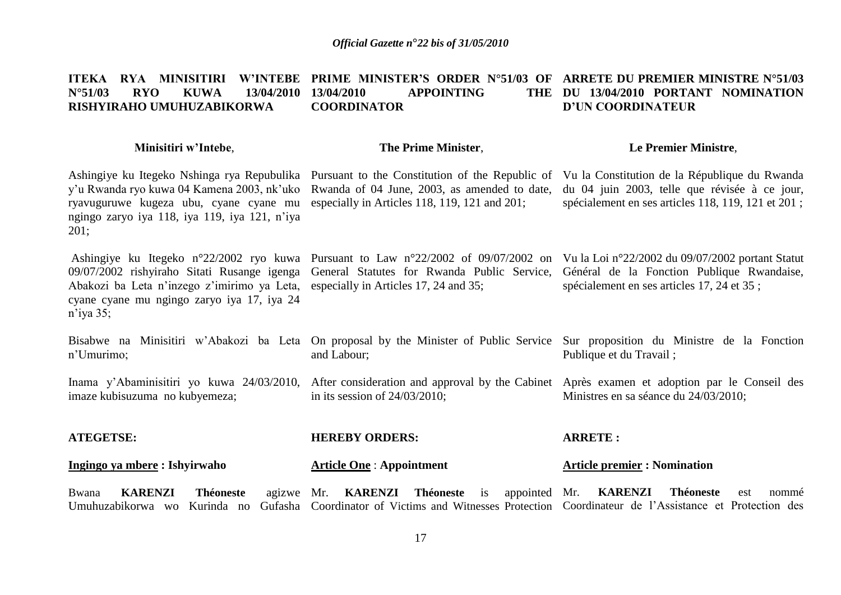#### **ITEKA RYA MINISITIRI W"INTEBE PRIME MINISTER"S ORDER N°51/03 OF ARRETE DU PREMIER MINISTRE N°51/03 N°51/03 RYO KUWA 13/04/2010 RISHYIRAHO UMUHUZABIKORWA 13PPOINTING COORDINATOR DU 13/04/2010 PORTANT NOMINATION D"UN COORDINATEUR**

### **Minisitiri w"Intebe**,

### **The Prime Minister**,

### **Le Premier Ministre**,

Ashingiye ku Itegeko Nshinga rya Repubulika Pursuant to the Constitution of the Republic of Vu la Constitution de la République du Rwanda ryavuguruwe kugeza ubu, cyane cyane mu especially in Articles 118, 119, 121 and 201; ngingo zaryo iya 118, iya 119, iya 121, n'iya 201;

Ashingiye ku Itegeko n°22/2002 ryo kuwa Pursuant to Law n°22/2002 of 09/07/2002 on Vu la Loi n°22/2002 du 09/07/2002 portant Statut 09/07/2002 rishyiraho Sitati Rusange igenga Abakozi ba Leta n'inzego z'imirimo ya Leta, cyane cyane mu ngingo zaryo iya 17, iya 24 n'iya 35;

y'u Rwanda ryo kuwa 04 Kamena 2003, nk'uko Rwanda of 04 June, 2003, as amended to date, du 04 juin 2003, telle que révisée à ce jour, spécialement en ses articles 118, 119, 121 et 201 ;

especially in Articles 17, 24 and 35;

General Statutes for Rwanda Public Service, Général de la Fonction Publique Rwandaise, spécialement en ses articles 17, 24 et 35 ;

Bisabwe na Minisitiri w'Abakozi ba Leta On proposal by the Minister of Public Service Sur proposition du Ministre de la Fonction n'Umurimo; and Labour; Publique et du Travail ;

Inama y'Abaminisitiri yo kuwa 24/03/2010, imaze kubisuzuma no kubyemeza; After consideration and approval by the Cabinet Après examen et adoption par le Conseil des in its session of 24/03/2010; Ministres en sa séance du 24/03/2010;

### **ATEGETSE: Ingingo ya mbere : Ishyirwaho HEREBY ORDERS: Article One** : **Appointment ARRETE : Article premier : Nomination**

Bwana **KARENZI** Théoneste Umuhuzabikorwa wo Kurinda no Gufasha Coordinator of Victims and Witnesses Protection Coordinateur de l'Assistance et Protection des agizwe Mr. **KARENZI** Théoneste is Mr. **KARENZI Théoneste** est nommé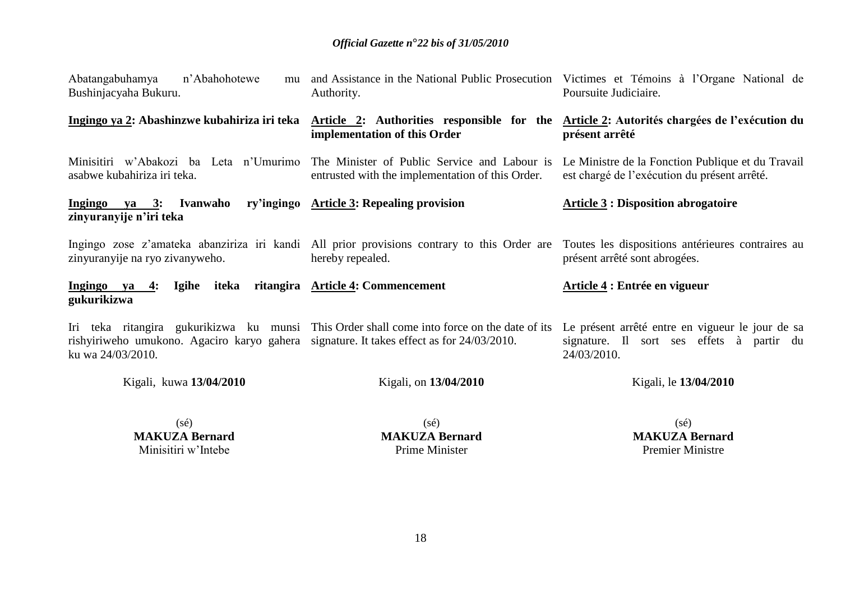| Abatangabuhamya<br>n'Abahohotewe<br>mu<br>Bushinjacyaha Bukuru.                                               | Authority.                                                                                                                              | and Assistance in the National Public Prosecution Victimes et Témoins à l'Organe National de<br>Poursuite Judiciaire. |
|---------------------------------------------------------------------------------------------------------------|-----------------------------------------------------------------------------------------------------------------------------------------|-----------------------------------------------------------------------------------------------------------------------|
| Ingingo ya 2: Abashinzwe kubahiriza iri teka                                                                  | Article 2: Authorities responsible for the Article 2: Autorités chargées de l'exécution du<br>implementation of this Order              | présent arrêté                                                                                                        |
| asabwe kubahiriza iri teka.                                                                                   | Minisitiri w'Abakozi ba Leta n'Umurimo The Minister of Public Service and Labour is<br>entrusted with the implementation of this Order. | Le Ministre de la Fonction Publique et du Travail<br>est chargé de l'exécution du présent arrêté.                     |
| Ingingo ya 3: Ivanwaho<br>zinyuranyije n'iri teka                                                             | ry'ingingo Article 3: Repealing provision                                                                                               | <b>Article 3: Disposition abrogatoire</b>                                                                             |
| zinyuranyije na ryo zivanyweho.                                                                               | Ingingo zose z'amateka abanziriza iri kandi All prior provisions contrary to this Order are<br>hereby repealed.                         | Toutes les dispositions antérieures contraires au<br>présent arrêté sont abrogées.                                    |
| Ingingo ya 4: Igihe iteka ritangira Article 4: Commencement<br>gukurikizwa                                    |                                                                                                                                         | Article 4 : Entrée en vigueur                                                                                         |
| rishyiriweho umukono. Agaciro karyo gahera signature. It takes effect as for 24/03/2010.<br>ku wa 24/03/2010. | Iri teka ritangira gukurikizwa ku munsi This Order shall come into force on the date of its                                             | Le présent arrêté entre en vigueur le jour de sa<br>signature. Il sort ses effets à partir du<br>24/03/2010.          |
| Kigali, kuwa 13/04/2010                                                                                       | Kigali, on 13/04/2010                                                                                                                   | Kigali, le 13/04/2010                                                                                                 |
| $(c_2)$                                                                                                       | $(c_2)$                                                                                                                                 | $(c_2)$                                                                                                               |

(sé) **MAKUZA Bernard** Minisitiri w'Intebe

(sé) **MAKUZA Bernard** Prime Minister

(sé) **MAKUZA Bernard** Premier Ministre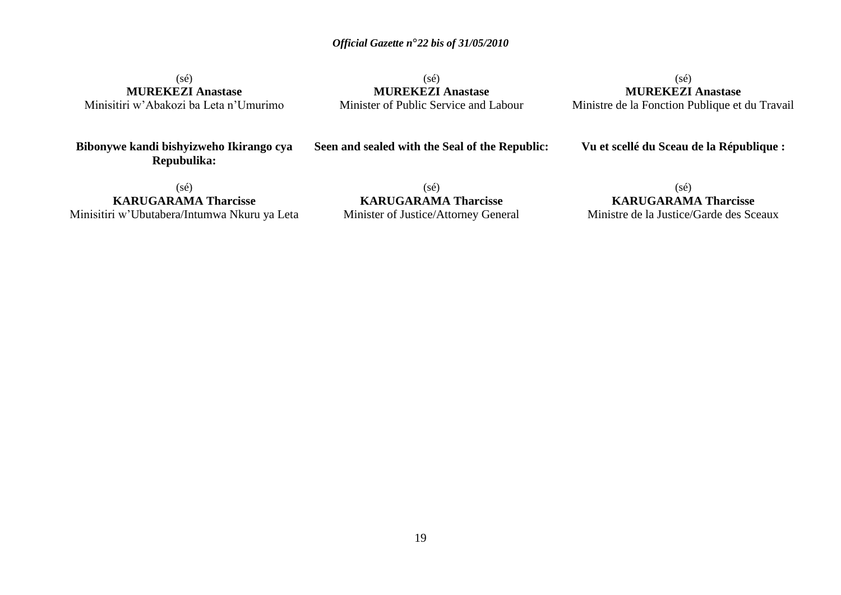(sé) **MUREKEZI Anastase** Minisitiri w'Abakozi ba Leta n'Umurimo

(sé) **MUREKEZI Anastase** Minister of Public Service and Labour

(sé) **MUREKEZI Anastase** Ministre de la Fonction Publique et du Travail

**Bibonywe kandi bishyizweho Ikirango cya Repubulika:**

**Seen and sealed with the Seal of the Republic:**

**Vu et scellé du Sceau de la République :**

(sé) **KARUGARAMA Tharcisse** Minisitiri w'Ubutabera/Intumwa Nkuru ya Leta

(sé) **KARUGARAMA Tharcisse** Minister of Justice/Attorney General

(sé) **KARUGARAMA Tharcisse**

Ministre de la Justice/Garde des Sceaux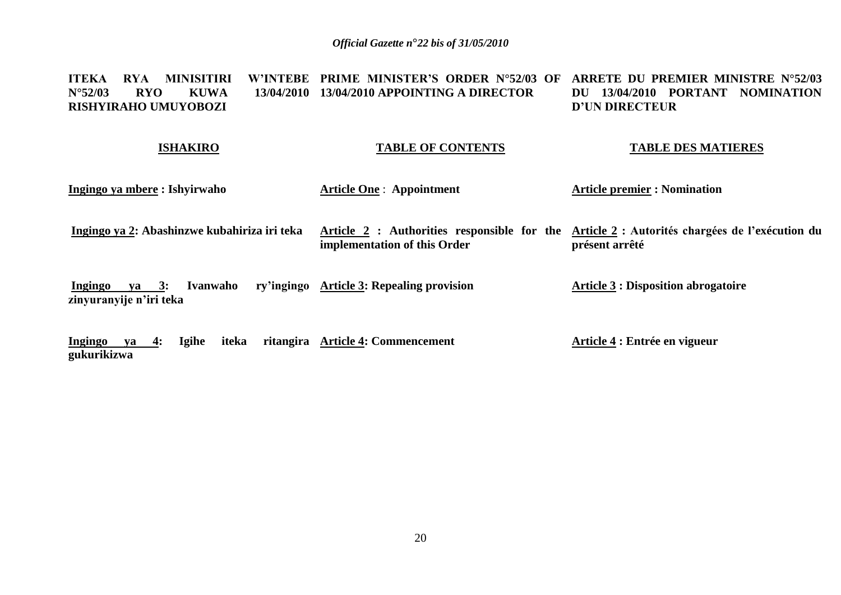### **ITEKA RYA MINISITIRI W"INTEBE PRIME MINISTER"S ORDER N°52/03 OF ARRETE DU PREMIER MINISTRE N°52/03 N°52/03 RYO KUWA 13/04/2010 13/04/2010 APPOINTING A DIRECTOR RISHYIRAHO UMUYOBOZI DU 13/04/2010 PORTANT NOMINATION D"UN DIRECTEUR**

### **ISHAKIRO**

**gukurikizwa**

### **TABLE OF CONTENTS**

### **TABLE DES MATIERES**

| Ingingo ya mbere : Ishyirwaho                                   | <b>Article One: Appointment</b>                                             | <b>Article premier : Nomination</b>                                |
|-----------------------------------------------------------------|-----------------------------------------------------------------------------|--------------------------------------------------------------------|
| Ingingo ya 2: Abashinzwe kubahiriza iri teka                    | Article 2 : Authorities responsible for the<br>implementation of this Order | Article 2 : Autorités chargées de l'exécution du<br>présent arrêté |
| Ivanwaho<br>$ya \quad 3:$<br>Ingingo<br>zinyuranyije n'iri teka | ry'ingingo Article 3: Repealing provision                                   | <b>Article 3 : Disposition abrogatoire</b>                         |
| <b>Igihe</b><br>Ingingo<br>iteka<br>$-4:$<br>va                 | ritangira Article 4: Commencement                                           | Article 4 : Entrée en vigueur                                      |

20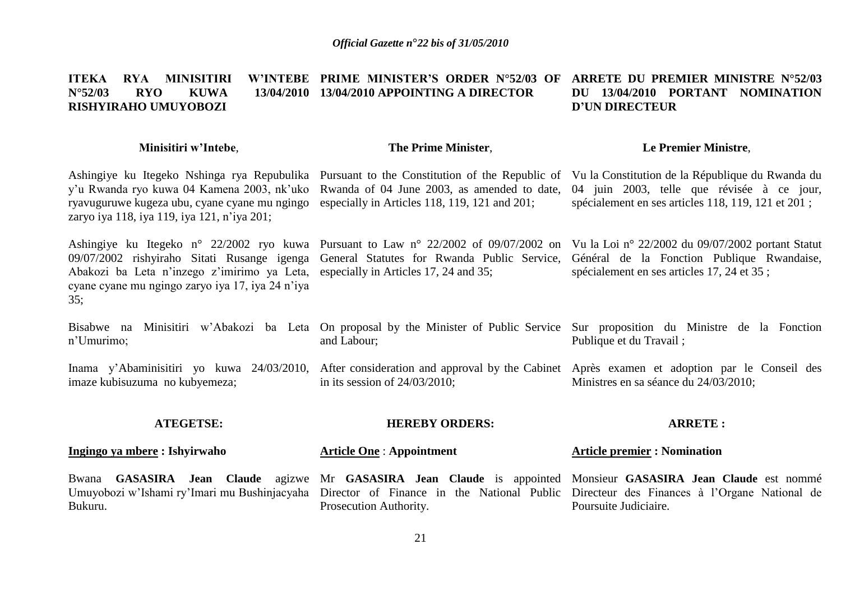#### **ITEKA RYA MINISITIRI N°52/03 RYO KUWA 13/04/2010 13/04/2010 APPOINTING A DIRECTOR RISHYIRAHO UMUYOBOZI PRIME MINISTER"S ORDER N°52/03 OF ARRETE DU PREMIER MINISTRE N°52/03 DU 13/04/2010 PORTANT NOMINATION D"UN DIRECTEUR**

### **Minisitiri w"Intebe**,

### **The Prime Minister**,

### **Le Premier Ministre**,

Ashingiye ku Itegeko Nshinga rya Repubulika Pursuant to the Constitution of the Republic of Vu la Constitution de la République du Rwanda du y'u Rwanda ryo kuwa 04 Kamena 2003, nk'uko Rwanda of 04 June 2003, as amended to date, ryavuguruwe kugeza ubu, cyane cyane mu ngingo especially in Articles 118, 119, 121 and 201; zaryo iya 118, iya 119, iya 121, n'iya 201;

Abakozi ba Leta n'inzego z'imirimo ya Leta, especially in Articles 17, 24 and 35; cyane cyane mu ngingo zaryo iya 17, iya 24 n'iya 35;

04 juin 2003, telle que révisée à ce jour, spécialement en ses articles 118, 119, 121 et 201 ;

Ashingiye ku Itegeko n° 22/2002 ryo kuwa Pursuant to Law n° 22/2002 of 09/07/2002 on Vu la Loi n° 22/2002 du 09/07/2002 portant Statut 09/07/2002 rishyiraho Sitati Rusange igenga General Statutes for Rwanda Public Service, Général de la Fonction Publique Rwandaise, spécialement en ses articles 17, 24 et 35 ;

Bisabwe na Minisitiri w'Abakozi ba Leta On proposal by the Minister of Public Service Sur proposition du Ministre de la Fonction n'Umurimo; and Labour; Publique et du Travail ;

Inama y'Abaminisitiri yo kuwa 24/03/2010, After consideration and approval by the Cabinet Après examen et adoption par le Conseil des imaze kubisuzuma no kubyemeza; in its session of 24/03/2010; Ministres en sa séance du 24/03/2010;

### **ATEGETSE:**

# **HEREBY ORDERS:**

### **Ingingo ya mbere : Ishyirwaho**

Bwana **GASASIRA** Jean Claude Bukuru.

**Article One** : **Appointment**

Prosecution Authority.

### **ARRETE :**

### **Article premier : Nomination**

Umuyobozi w'Ishami ry'Imari mu Bushinjacyaha Director of Finance in the National Public Directeur des Finances à l'Organe National de Mr **GASASIRA Jean Claude** is appointed Monsieur **GASASIRA Jean Claude** est nommé Poursuite Judiciaire.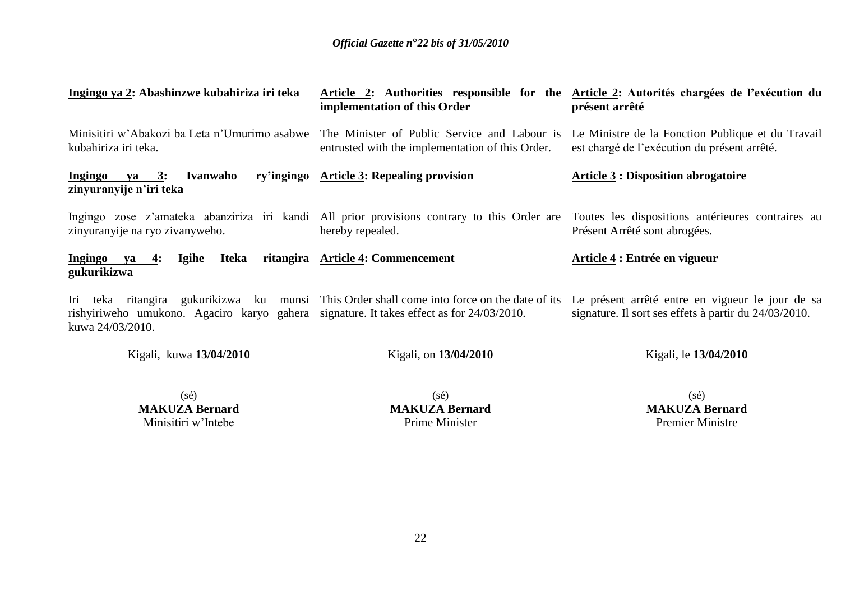| Ingingo ya 2: Abashinzwe kubahiriza iri teka                                                                 | implementation of this Order                                                                | Article 2: Authorities responsible for the Article 2: Autorités chargées de l'exécution du<br>présent arrêté                                                                                 |
|--------------------------------------------------------------------------------------------------------------|---------------------------------------------------------------------------------------------|----------------------------------------------------------------------------------------------------------------------------------------------------------------------------------------------|
| kubahiriza iri teka.                                                                                         | entrusted with the implementation of this Order.                                            | Minisitiri w'Abakozi ba Leta n'Umurimo asabwe The Minister of Public Service and Labour is Le Ministre de la Fonction Publique et du Travail<br>est chargé de l'exécution du présent arrêté. |
| Ingingo<br>Ivanwaho<br><u>ya 3:</u><br>zinyuranyije n'iri teka                                               | ry'ingingo Article 3: Repealing provision                                                   | <b>Article 3: Disposition abrogatoire</b>                                                                                                                                                    |
| zinyuranyije na ryo zivanyweho.                                                                              | hereby repealed.                                                                            | Ingingo zose z'amateka abanziriza iri kandi All prior provisions contrary to this Order are Toutes les dispositions antérieures contraires au<br>Présent Arrêté sont abrogées.               |
| Ingingo ya 4:<br>Iteka<br>Igihe<br>gukurikizwa                                                               | ritangira Article 4: Commencement                                                           | Article 4 : Entrée en vigueur                                                                                                                                                                |
| rishyiriweho umukono. Agaciro karyo gahera signature. It takes effect as for 24/03/2010.<br>kuwa 24/03/2010. | Iri teka ritangira gukurikizwa ku munsi This Order shall come into force on the date of its | Le présent arrêté entre en vigueur le jour de sa<br>signature. Il sort ses effets à partir du 24/03/2010.                                                                                    |
| Kigali, kuwa 13/04/2010                                                                                      | Kigali, on 13/04/2010                                                                       | Kigali, le 13/04/2010                                                                                                                                                                        |
| $(c_2)$                                                                                                      | $(\infty)$                                                                                  | (cA)                                                                                                                                                                                         |

(sé) **MAKUZA Bernard** Minisitiri w'Intebe

(sé) **MAKUZA Bernard** Prime Minister

(sé) **MAKUZA Bernard** Premier Ministre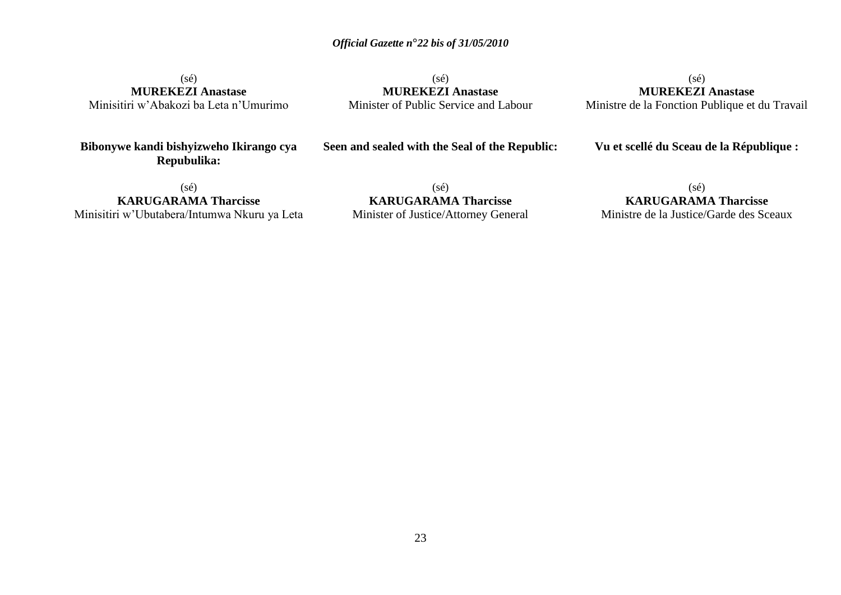(sé) **MUREKEZI Anastase** Minisitiri w'Abakozi ba Leta n'Umurimo

(sé) **MUREKEZI Anastase** Minister of Public Service and Labour

(sé) **MUREKEZI Anastase** Ministre de la Fonction Publique et du Travail

**Bibonywe kandi bishyizweho Ikirango cya Repubulika:**

**Seen and sealed with the Seal of the Republic:**

**Vu et scellé du Sceau de la République :**

(sé) **KARUGARAMA Tharcisse** Minisitiri w'Ubutabera/Intumwa Nkuru ya Leta

(sé) **KARUGARAMA Tharcisse** Minister of Justice/Attorney General

### (sé)

**KARUGARAMA Tharcisse** Ministre de la Justice/Garde des Sceaux

23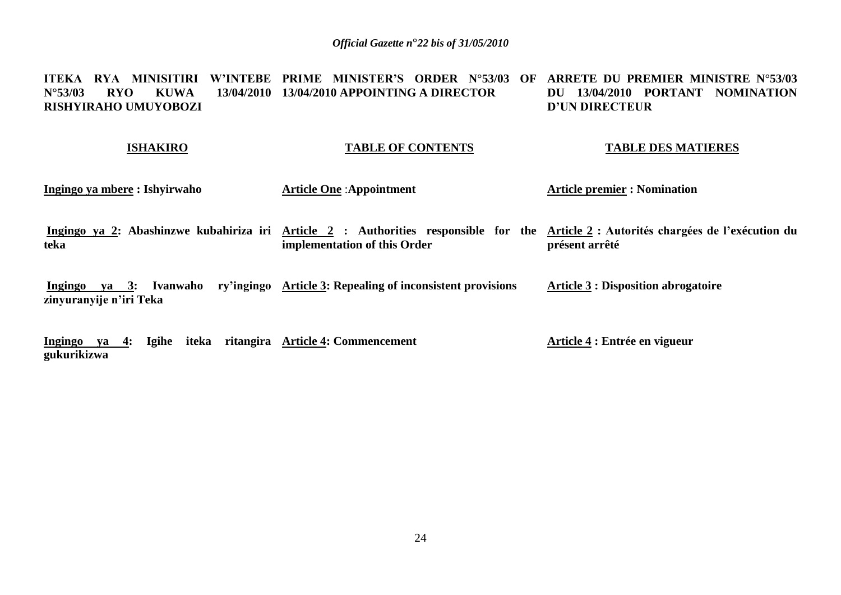### **ITEKA RYA MINISITIRI W"INTEBE PRIME MINISTER"S ORDER N°53/03 OF ARRETE DU PREMIER MINISTRE N°53/03 N°53/03 RYO KUWA 13/04/2010 13/04/2010 APPOINTING A DIRECTOR RISHYIRAHO UMUYOBOZI DU 13/04/2010 PORTANT NOMINATION D"UN DIRECTEUR**

### **ISHAKIRO**

# **TABLE OF CONTENTS**

### **TABLE DES MATIERES**

| Ingingo ya mbere : Ishyirwaho                               | <b>Article One: Appointment</b>                                                                                                                                    | <b>Article premier : Nomination</b>        |
|-------------------------------------------------------------|--------------------------------------------------------------------------------------------------------------------------------------------------------------------|--------------------------------------------|
| teka                                                        | Ingingo ya 2: Abashinzwe kubahiriza iri Article 2: Authorities responsible for the Article 2: Autorités chargées de l'exécution du<br>implementation of this Order | présent arrêté                             |
| Ivanwaho<br>$va = 3:$<br>Ingingo<br>zinyuranyije n'iri Teka | ry'ingingo Article 3: Repealing of inconsistent provisions                                                                                                         | <b>Article 3 : Disposition abrogatoire</b> |

**Ingingo ya 4: Igihe iteka ritangira Article 4: Commencement gukurikizwa Article 4 : Entrée en vigueur**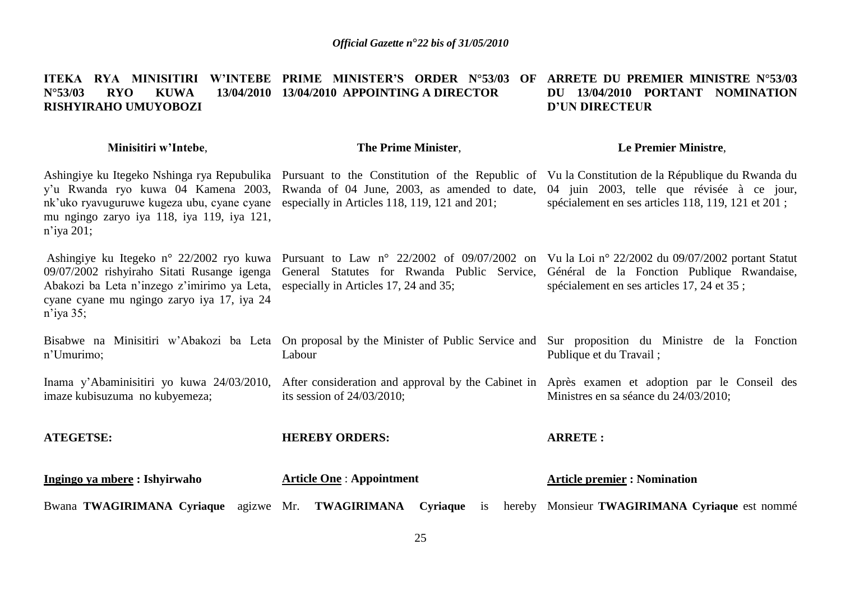### **ITEKA RYA MINISITIRI W"INTEBE PRIME MINISTER"S ORDER N°53/03 OF ARRETE DU PREMIER MINISTRE N°53/03 N°53/03 RYO KUWA 13/04/2010 13/04/2010 APPOINTING A DIRECTOR RISHYIRAHO UMUYOBOZI DU 13/04/2010 PORTANT NOMINATION D"UN DIRECTEUR**

| Minisitiri w'Intebe,                                                                                                                                                                           | The Prime Minister,                                                                                                                                                                                                                                                         | Le Premier Ministre,                                       |
|------------------------------------------------------------------------------------------------------------------------------------------------------------------------------------------------|-----------------------------------------------------------------------------------------------------------------------------------------------------------------------------------------------------------------------------------------------------------------------------|------------------------------------------------------------|
| nk'uko ryavuguruwe kugeza ubu, cyane cyane especially in Articles 118, 119, 121 and 201;<br>mu ngingo zaryo iya 118, iya 119, iya 121,<br>$n$ 'iya 201;                                        | Ashingiye ku Itegeko Nshinga rya Repubulika Pursuant to the Constitution of the Republic of Vu la Constitution de la République du Rwanda du<br>y'u Rwanda ryo kuwa 04 Kamena 2003, Rwanda of 04 June, 2003, as amended to date, 04 juin 2003, telle que révisée à ce jour, | spécialement en ses articles 118, 119, 121 et 201;         |
| 09/07/2002 rishyiraho Sitati Rusange igenga<br>Abakozi ba Leta n'inzego z'imirimo ya Leta, especially in Articles 17, 24 and 35;<br>cyane cyane mu ngingo zaryo iya 17, iya 24<br>$n$ 'iya 35; | Ashingiye ku Itegeko n° 22/2002 ryo kuwa Pursuant to Law n° 22/2002 of 09/07/2002 on Vu la Loi n° 22/2002 du 09/07/2002 portant Statut<br>General Statutes for Rwanda Public Service, Général de la Fonction Publique Rwandaise,                                            | spécialement en ses articles 17, 24 et 35;                 |
| n'Umurimo;                                                                                                                                                                                     | Bisabwe na Minisitiri w'Abakozi ba Leta On proposal by the Minister of Public Service and Sur proposition du Ministre de la Fonction<br>Labour                                                                                                                              | Publique et du Travail;                                    |
| Inama y'Abaminisitiri yo kuwa 24/03/2010,<br>imaze kubisuzuma no kubyemeza;                                                                                                                    | After consideration and approval by the Cabinet in Après examen et adoption par le Conseil des<br>its session of $24/03/2010$ ;                                                                                                                                             | Ministres en sa séance du 24/03/2010;                      |
| <b>ATEGETSE:</b>                                                                                                                                                                               | <b>HEREBY ORDERS:</b>                                                                                                                                                                                                                                                       | <b>ARRETE:</b>                                             |
| Ingingo ya mbere : Ishyirwaho                                                                                                                                                                  | <b>Article One: Appointment</b>                                                                                                                                                                                                                                             | <b>Article premier: Nomination</b>                         |
| Bwana TWAGIRIMANA Cyriaque agizwe Mr. TWAGIRIMANA                                                                                                                                              |                                                                                                                                                                                                                                                                             | Cyriaque is hereby Monsieur TWAGIRIMANA Cyriaque est nommé |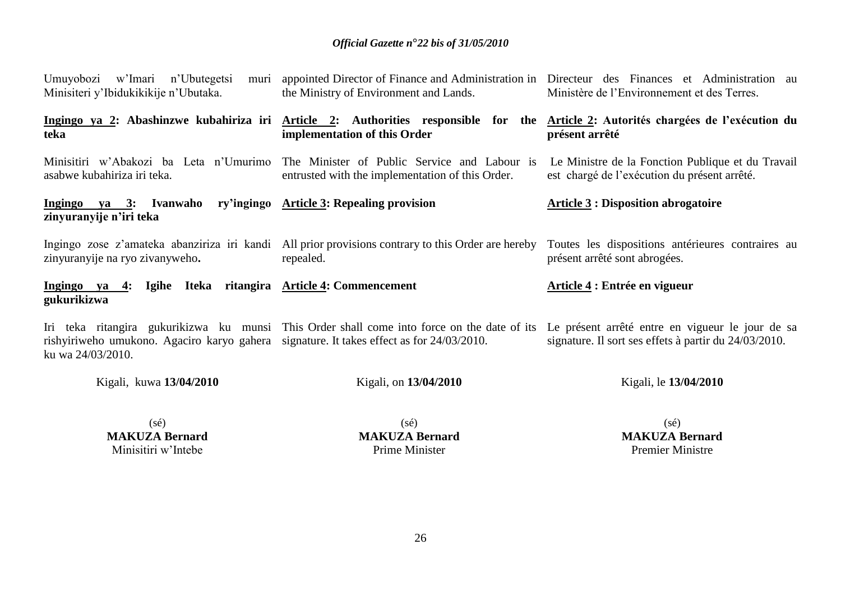| Umuyobozi w'Imari n'Ubutegetsi<br>Minisiteri y'Ibidukikikije n'Ubutaka.                                       | muri appointed Director of Finance and Administration in Directeur des Finances et Administration au<br>the Ministry of Environment and Lands.                     | Ministère de l'Environnement et des Terres.                                                               |
|---------------------------------------------------------------------------------------------------------------|--------------------------------------------------------------------------------------------------------------------------------------------------------------------|-----------------------------------------------------------------------------------------------------------|
| teka                                                                                                          | Ingingo ya 2: Abashinzwe kubahiriza iri Article 2: Authorities responsible for the Article 2: Autorités chargées de l'exécution du<br>implementation of this Order | présent arrêté                                                                                            |
| Minisitiri w'Abakozi ba Leta n'Umurimo<br>asabwe kubahiriza iri teka.                                         | The Minister of Public Service and Labour is<br>entrusted with the implementation of this Order.                                                                   | Le Ministre de la Fonction Publique et du Travail<br>est chargé de l'exécution du présent arrêté.         |
| ry'ingingo<br><u>Ingingo ya 3</u> : Ivanwaho<br>zinyuranyije n'iri teka                                       | <b>Article 3: Repealing provision</b>                                                                                                                              | <b>Article 3: Disposition abrogatoire</b>                                                                 |
| zinyuranyije na ryo zivanyweho.                                                                               | Ingingo zose z'amateka abanziriza iri kandi All prior provisions contrary to this Order are hereby<br>repealed.                                                    | Toutes les dispositions antérieures contraires au<br>présent arrêté sont abrogées.                        |
| Ingingo ya 4:<br>gukurikizwa                                                                                  | Igihe Iteka ritangira Article 4: Commencement                                                                                                                      | Article 4 : Entrée en vigueur                                                                             |
| rishyiriweho umukono. Agaciro karyo gahera signature. It takes effect as for 24/03/2010.<br>ku wa 24/03/2010. | Iri teka ritangira gukurikizwa ku munsi This Order shall come into force on the date of its                                                                        | Le présent arrêté entre en vigueur le jour de sa<br>signature. Il sort ses effets à partir du 24/03/2010. |

Kigali, kuwa **13/04/2010**

Kigali, on **13/04/2010**

Kigali, le **13/04/2010**

(sé) **MAKUZA Bernard** Minisitiri w'Intebe

(sé) **MAKUZA Bernard** Prime Minister

(sé) **MAKUZA Bernard** Premier Ministre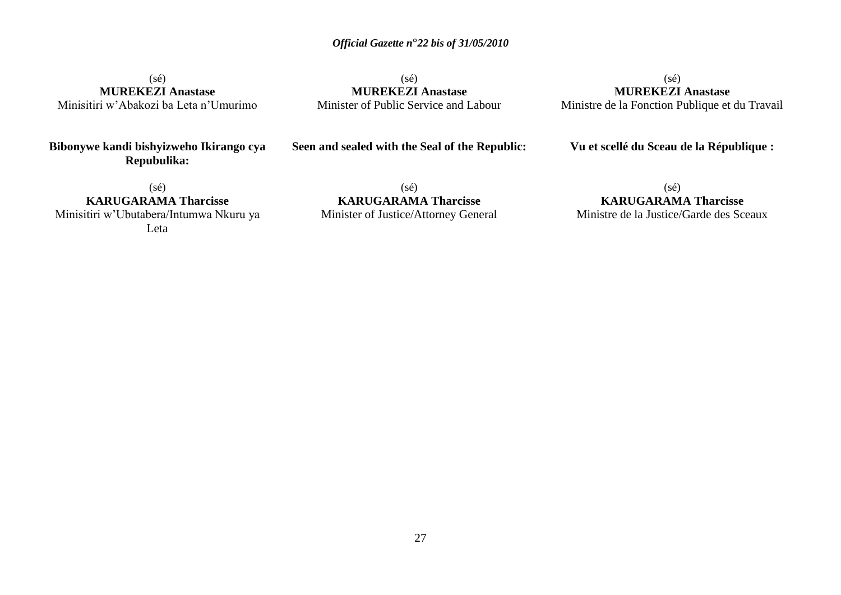$(sé)$ **MUREKEZI Anastase** Minisitiri w'Abakozi ba Leta n'Umurimo

**Bibonywe kandi bishyizweho Ikirango cya Repubulika:**

(sé) **MUREKEZI Anastase** Minister of Public Service and Labour

(sé) **MUREKEZI Anastase** Ministre de la Fonction Publique et du Travail

**Vu et scellé du Sceau de la République :**

(sé) **KARUGARAMA Tharcisse** Minisitiri w'Ubutabera/Intumwa Nkuru ya Leta

**Seen and sealed with the Seal of the Republic:**

(sé) **KARUGARAMA Tharcisse** Minister of Justice/Attorney General

(sé) **KARUGARAMA Tharcisse** Ministre de la Justice/Garde des Sceaux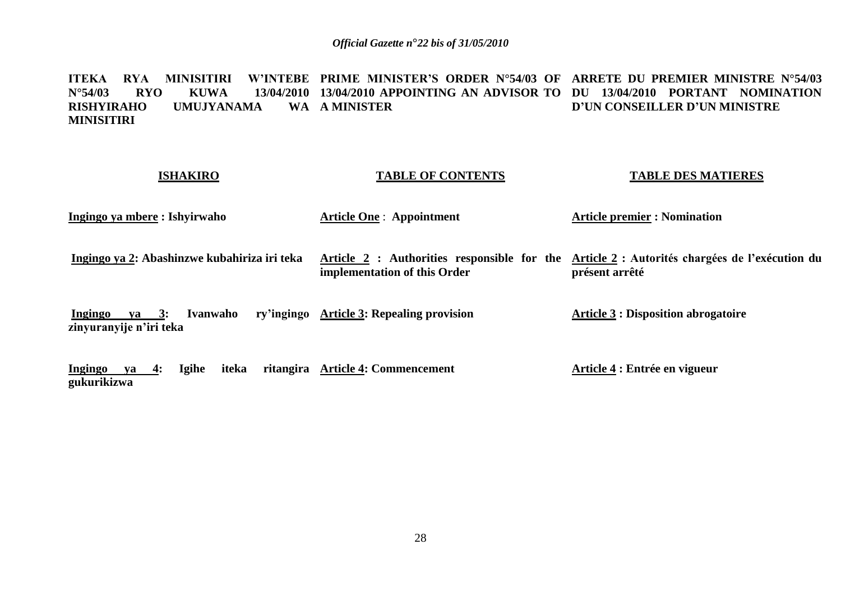**ITEKA RYA MINISITIRI W"INTEBE PRIME MINISTER"S ORDER N°54/03 OF ARRETE DU PREMIER MINISTRE N°54/03 N°54/03 RYO KUWA 13/04/2010 13/04/2010 APPOINTING AN ADVISOR TO DU 13/04/2010 PORTANT NOMINATION RISHYIRAHO UMUJYANAMA MINISITIRI A MINISTER D"UN CONSEILLER D"UN MINISTRE** 

### **ISHAKIRO**

### **TABLE OF CONTENTS**

### **TABLE DES MATIERES**

**Ingingo ya mbere : Ishyirwaho** 

**Article One** : **Appointment** 

**Article premier : Nomination** 

**Ingingo ya 2: Abashinzwe kubahiriza iri teka**

**implementation of this Order**

**Article 2 : Authorities responsible for the Article 2 : Autorités chargées de l"exécution du présent arrêté**

**Ingingo ya 3: Ivanwaho zinyuranyije n"iri teka ry'ingingo Article 3: Repealing provision Article 3 : Disposition abrogatoire**

**Ingingo ya 4: Igihe iteka gukurikizwa Article 4: Commencement Article 4 : Entrée en vigueur**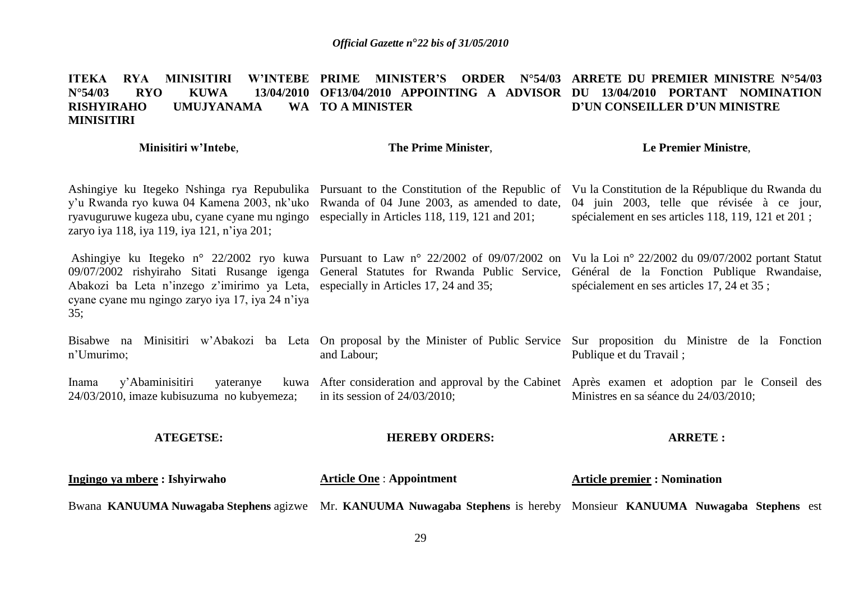### **ITEKA RYA MINISITIRI W'INTEBE PRIME<br>N°54/03 RYO KUWA 13/04/2010 OF13/04 N°54/03 RYO KUWA 13/04/2010 OF13/04/2010 APPOINTING A ADVISOR DU 13/04/2010 PORTANT NOMINATION RISHYIRAHO UMUJYANAMA MINISITIRI PRIME MINISTER"S ORDER N°54/03 ARRETE DU PREMIER MINISTRE N°54/03 TO A MINISTER D"UN CONSEILLER D"UN MINISTRE**

### **Minisitiri w"Intebe**,

## **The Prime Minister**,

### **Le Premier Ministre**,

| Ingingo ya mbere: Ishyirwaho                                                                                                                 | <b>Article One: Appointment</b>                                                              | <b>Article premier : Nomination</b>                                                                                                                                                                                                                                                                                        |
|----------------------------------------------------------------------------------------------------------------------------------------------|----------------------------------------------------------------------------------------------|----------------------------------------------------------------------------------------------------------------------------------------------------------------------------------------------------------------------------------------------------------------------------------------------------------------------------|
| <b>ATEGETSE:</b>                                                                                                                             | <b>HEREBY ORDERS:</b>                                                                        | <b>ARRETE:</b>                                                                                                                                                                                                                                                                                                             |
| Inama<br>y'Abaminisitiri<br>yateranye<br>24/03/2010, imaze kubisuzuma no kubyemeza;                                                          | in its session of $24/03/2010$ ;                                                             | kuwa After consideration and approval by the Cabinet Après examen et adoption par le Conseil des<br>Ministres en sa séance du 24/03/2010;                                                                                                                                                                                  |
| n'Umurimo;                                                                                                                                   | and Labour;                                                                                  | Bisabwe na Minisitiri w'Abakozi ba Leta On proposal by the Minister of Public Service Sur proposition du Ministre de la Fonction<br>Publique et du Travail;                                                                                                                                                                |
| Abakozi ba Leta n'inzego z'imirimo ya Leta, especially in Articles 17, 24 and 35;<br>cyane cyane mu ngingo zaryo iya 17, iya 24 n'iya<br>35; |                                                                                              | Ashingiye ku Itegeko n° 22/2002 ryo kuwa Pursuant to Law n° 22/2002 of 09/07/2002 on Vu la Loi n° 22/2002 du 09/07/2002 portant Statut<br>09/07/2002 rishyiraho Sitati Rusange igenga General Statutes for Rwanda Public Service, Général de la Fonction Publique Rwandaise,<br>spécialement en ses articles 17, 24 et 35; |
| y'u Rwanda ryo kuwa 04 Kamena 2003, nk'uko<br>ryavuguruwe kugeza ubu, cyane cyane mu ngingo<br>zaryo iya 118, iya 119, iya 121, n'iya 201;   | Rwanda of 04 June 2003, as amended to date,<br>especially in Articles 118, 119, 121 and 201; | Ashingiye ku Itegeko Nshinga rya Repubulika Pursuant to the Constitution of the Republic of Vu la Constitution de la République du Rwanda du<br>04 juin 2003, telle que révisée à ce jour,<br>spécialement en ses articles 118, 119, 121 et 201;                                                                           |

Bwana KANUUMA Nuwagaba Stephens agizwe Mr. KANUUMA Nuwagaba Stephens is hereby Monsieur KANUUMA Nuwagaba Stephens est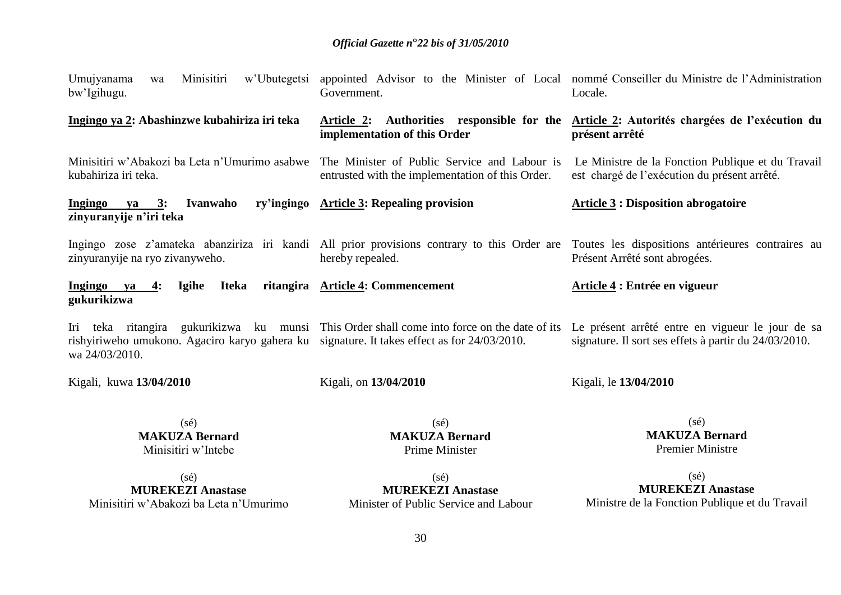| Minisitiri<br>w'Ubutegetsi<br>Umujyanama<br>wa<br>bw'Igihugu.                                                 | Government.                                                                                      | appointed Advisor to the Minister of Local nommé Conseiller du Ministre de l'Administration<br>Locale.                                                                                                |
|---------------------------------------------------------------------------------------------------------------|--------------------------------------------------------------------------------------------------|-------------------------------------------------------------------------------------------------------------------------------------------------------------------------------------------------------|
| Ingingo ya 2: Abashinzwe kubahiriza iri teka                                                                  | Article 2:<br>implementation of this Order                                                       | Authorities responsible for the <u>Article 2</u> : Autorités chargées de l'exécution du<br>présent arrêté                                                                                             |
| Minisitiri w'Abakozi ba Leta n'Umurimo asabwe<br>kubahiriza iri teka.                                         | The Minister of Public Service and Labour is<br>entrusted with the implementation of this Order. | Le Ministre de la Fonction Publique et du Travail<br>est chargé de l'exécution du présent arrêté.                                                                                                     |
| Ingingo ya 3:<br>Ivanwaho<br>zinyuranyije n'iri teka                                                          | ry'ingingo Article 3: Repealing provision                                                        | <b>Article 3: Disposition abrogatoire</b>                                                                                                                                                             |
| zinyuranyije na ryo zivanyweho.                                                                               | hereby repealed.                                                                                 | Ingingo zose z'amateka abanziriza iri kandi All prior provisions contrary to this Order are Toutes les dispositions antérieures contraires au<br>Présent Arrêté sont abrogées.                        |
| Ingingo ya<br><b>Igihe</b><br>Iteka<br>4:<br>gukurikizwa                                                      | ritangira Article 4: Commencement                                                                | Article 4 : Entrée en vigueur                                                                                                                                                                         |
| rishyiriweho umukono. Agaciro karyo gahera ku signature. It takes effect as for 24/03/2010.<br>wa 24/03/2010. |                                                                                                  | Iri teka ritangira gukurikizwa ku munsi This Order shall come into force on the date of its Le présent arrêté entre en vigueur le jour de sa<br>signature. Il sort ses effets à partir du 24/03/2010. |
| Kigali, kuwa 13/04/2010                                                                                       | Kigali, on 13/04/2010                                                                            | Kigali, le 13/04/2010                                                                                                                                                                                 |
| $(s\acute{e})$<br><b>MAKUZA Bernard</b><br>Minisitiri w'Intebe                                                | $(s\acute{e})$<br><b>MAKUZA Bernard</b><br>Prime Minister                                        | $(s\acute{e})$<br><b>MAKUZA Bernard</b><br><b>Premier Ministre</b>                                                                                                                                    |
| $(s\acute{e})$                                                                                                | $(s\acute{e})$                                                                                   | $(s\acute{e})$                                                                                                                                                                                        |

**MUREKEZI Anastase** Minisitiri w'Abakozi ba Leta n'Umurimo

(sé) **MUREKEZI Anastase** Minister of Public Service and Labour

(sé) **MUREKEZI Anastase** Ministre de la Fonction Publique et du Travail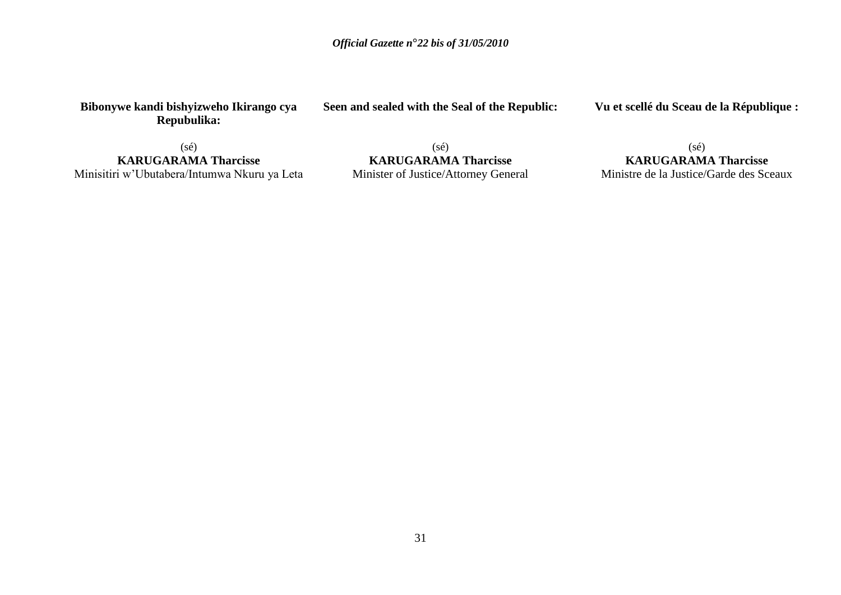**Bibonywe kandi bishyizweho Ikirango cya Repubulika:**

**Seen and sealed with the Seal of the Republic:**

**Vu et scellé du Sceau de la République :**

(sé) **KARUGARAMA Tharcisse** Minisitiri w'Ubutabera/Intumwa Nkuru ya Leta

(sé) **KARUGARAMA Tharcisse** Minister of Justice/Attorney General

(sé) **KARUGARAMA Tharcisse** Ministre de la Justice/Garde des Sceaux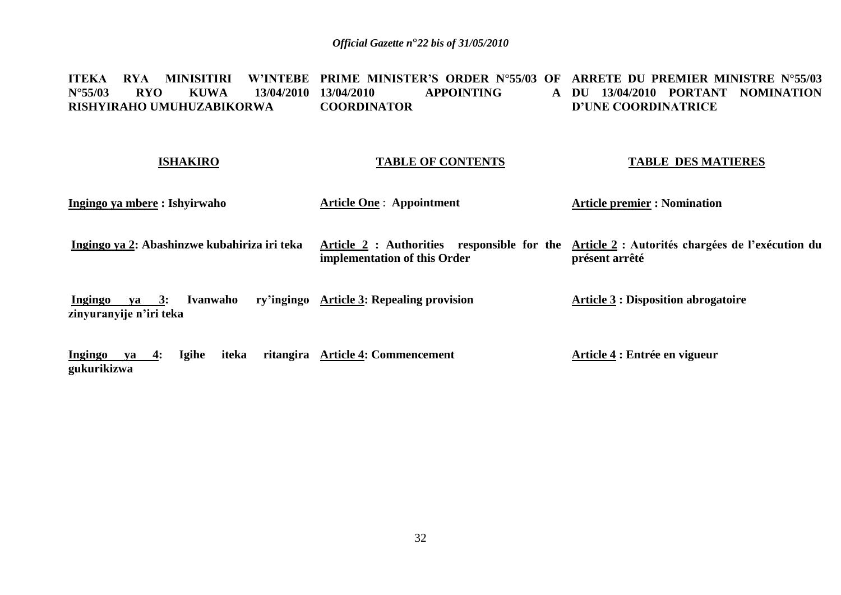#### **ITEKA RYA MINISITIRI<br>N°55/03 RYO KUWA RYO KUWA 13/04/2010 13/04/2010 RISHYIRAHO UMUHUZABIKORWA PRIME MINISTER"S ORDER N°55/03 OF ARRETE DU PREMIER MINISTRE N°55/03 13PPOINTING COORDINATOR DU 13/04/2010 PORTANT NOMINATION D"UNE COORDINATRICE**

### **ISHAKIRO**

### **TABLE OF CONTENTS**

### **TABLE DES MATIERES**

**Ingingo ya mbere : Ishyirwaho** 

**Article One** : **Appointment** 

**Article premier : Nomination** 

**Ingingo ya 2: Abashinzwe kubahiriza iri teka**

**implementation of this Order**

**Article 2 : Authorities responsible for the Article 2 : Autorités chargées de l"exécution du présent arrêté**

**Ingingo ya 3: Ivanwaho ry"ingingo Article 3: Repealing provision zinyuranyije n"iri teka Article 3 : Disposition abrogatoire**

**Ingingo ya 4: Igihe iteka ritangira Article 4: Commencement gukurikizwa Article 4 : Entrée en vigueur**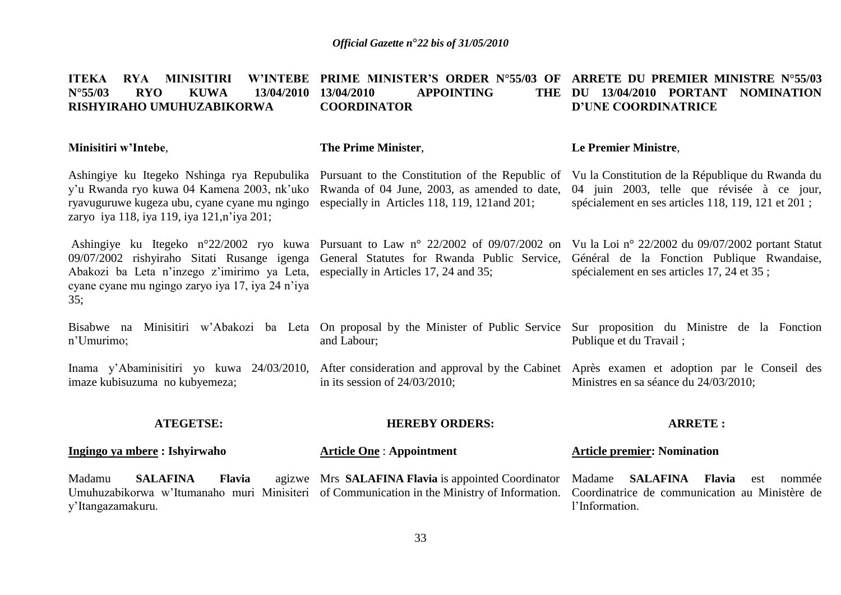| <b>MINISITIRI</b><br><b>ITEKA</b><br><b>RYA</b><br><b>W'INTEBE</b><br>$N^{\circ}55/03$<br><b>RYO</b><br><b>KUWA</b><br>13/04/2010<br>RISHYIRAHO UMUHUZABIKORWA                            | <b>PRIME MINISTER'S ORDER N°55/03 OF</b><br>13/04/2010<br><b>APPOINTING</b><br><b>THE</b><br><b>COORDINATOR</b> | ARRETE DU PREMIER MINISTRE N°55/03<br>13/04/2010 PORTANT<br>DU<br>NOMINATION<br><b>D'UNE COORDINATRICE</b>                                                                                                                        |
|-------------------------------------------------------------------------------------------------------------------------------------------------------------------------------------------|-----------------------------------------------------------------------------------------------------------------|-----------------------------------------------------------------------------------------------------------------------------------------------------------------------------------------------------------------------------------|
| Minisitiri w'Intebe,                                                                                                                                                                      | The Prime Minister,                                                                                             | Le Premier Ministre,                                                                                                                                                                                                              |
| Ashingiye ku Itegeko Nshinga rya Repubulika<br>y'u Rwanda ryo kuwa 04 Kamena 2003, nk'uko<br>ryavuguruwe kugeza ubu, cyane cyane mu ngingo<br>zaryo iya 118, iya 119, iya 121, n'iya 201; | Rwanda of 04 June, 2003, as amended to date,<br>especially in Articles 118, 119, 121 and 201;                   | Pursuant to the Constitution of the Republic of Vu la Constitution de la République du Rwanda du<br>04 juin 2003, telle que révisée à ce jour,<br>spécialement en ses articles 118, 119, 121 et 201;                              |
| 09/07/2002 rishyiraho Sitati Rusange igenga<br>Abakozi ba Leta n'inzego z'imirimo ya Leta,<br>cyane cyane mu ngingo zaryo iya 17, iya 24 n'iya<br>35;                                     | General Statutes for Rwanda Public Service,<br>especially in Articles 17, 24 and 35;                            | Ashingiye ku Itegeko n°22/2002 ryo kuwa Pursuant to Law n° 22/2002 of 09/07/2002 on Vu la Loi n° 22/2002 du 09/07/2002 portant Statut<br>Général de la Fonction Publique Rwandaise,<br>spécialement en ses articles 17, 24 et 35; |
| Bisabwe na<br>n'Umurimo;                                                                                                                                                                  | and Labour;                                                                                                     | Minisitiri w'Abakozi ba Leta On proposal by the Minister of Public Service Sur proposition du Ministre de la Fonction<br>Publique et du Travail;                                                                                  |
| Inama y'Abaminisitiri yo kuwa 24/03/2010,<br>imaze kubisuzuma no kubyemeza;                                                                                                               | in its session of $24/03/2010$ ;                                                                                | After consideration and approval by the Cabinet Après exament et adoption par le Conseil des<br>Ministres en sa séance du 24/03/2010;                                                                                             |
| <b>ATEGETSE:</b>                                                                                                                                                                          | <b>HEREBY ORDERS:</b>                                                                                           | <b>ARRETE:</b>                                                                                                                                                                                                                    |
| Ingingo ya mbere: Ishyirwaho                                                                                                                                                              | <b>Article One: Appointment</b>                                                                                 | <b>Article premier: Nomination</b>                                                                                                                                                                                                |
| Madamu<br><b>SALAFINA</b><br>Flavia<br>Umuhuzabikorwa w'Itumanaho muri Minisiteri of Communication in the Ministry of Information.<br>y'Itangazamakuru.                                   | agizwe Mrs SALAFINA Flavia is appointed Coordinator                                                             | Madame<br><b>SALAFINA</b><br>Flavia<br>est nommée<br>Coordinatrice de communication au Ministère de<br>l'Information.                                                                                                             |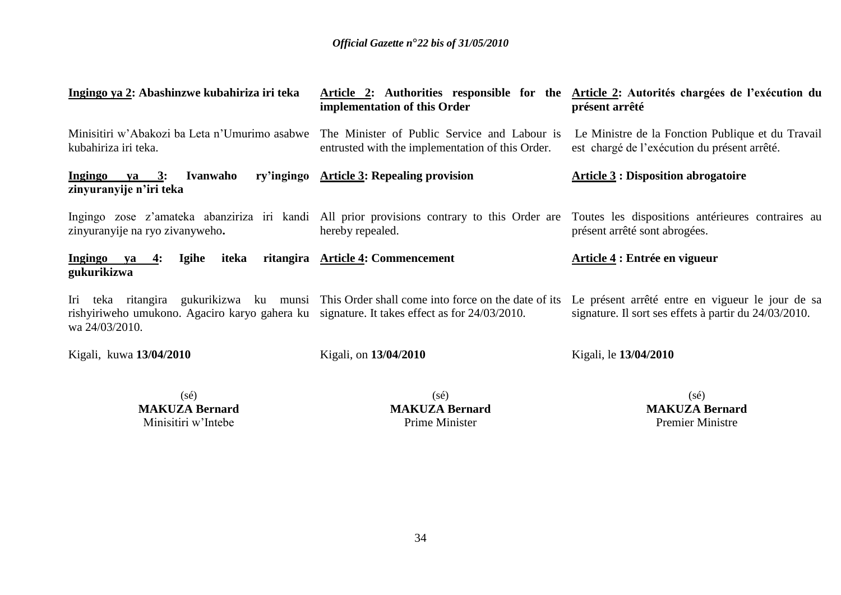| Ingingo ya 2: Abashinzwe kubahiriza iri teka                                                                  | implementation of this Order                                                                                                                   | Article 2: Authorities responsible for the Article 2: Autorités chargées de l'exécution du<br>présent arrêté                                                                   |
|---------------------------------------------------------------------------------------------------------------|------------------------------------------------------------------------------------------------------------------------------------------------|--------------------------------------------------------------------------------------------------------------------------------------------------------------------------------|
| kubahiriza iri teka.                                                                                          | Minisitiri w'Abakozi ba Leta n'Umurimo asabwe The Minister of Public Service and Labour is<br>entrusted with the implementation of this Order. | Le Ministre de la Fonction Publique et du Travail<br>est chargé de l'exécution du présent arrêté.                                                                              |
| Ingingo ya 3:<br>Ivanwaho<br>zinyuranyije n'iri teka                                                          | ry'ingingo Article 3: Repealing provision                                                                                                      | <b>Article 3: Disposition abrogatoire</b>                                                                                                                                      |
| zinyuranyije na ryo zivanyweho.                                                                               | hereby repealed.                                                                                                                               | Ingingo zose z'amateka abanziriza iri kandi All prior provisions contrary to this Order are Toutes les dispositions antérieures contraires au<br>présent arrêté sont abrogées. |
| Ingingo ya 4:<br><b>Igihe</b><br>iteka<br>gukurikizwa                                                         | ritangira Article 4: Commencement                                                                                                              | Article 4 : Entrée en vigueur                                                                                                                                                  |
| rishyiriweho umukono. Agaciro karyo gahera ku signature. It takes effect as for 24/03/2010.<br>wa 24/03/2010. | Iri teka ritangira gukurikizwa ku munsi This Order shall come into force on the date of its                                                    | Le présent arrêté entre en vigueur le jour de sa<br>signature. Il sort ses effets à partir du 24/03/2010.                                                                      |
| Kigali, kuwa 13/04/2010                                                                                       | Kigali, on 13/04/2010                                                                                                                          | Kigali, le 13/04/2010                                                                                                                                                          |
|                                                                                                               |                                                                                                                                                |                                                                                                                                                                                |

(sé) **MAKUZA Bernard** Minisitiri w'Intebe

(sé) **MAKUZA Bernard** Prime Minister

(sé) **MAKUZA Bernard** Premier Ministre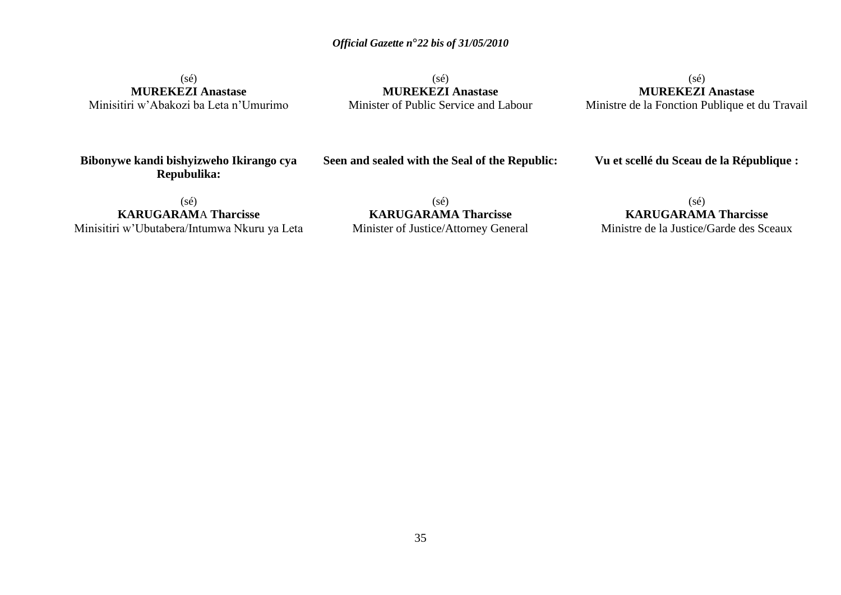(sé) **MUREKEZI Anastase** Minisitiri w'Abakozi ba Leta n'Umurimo

(sé) **MUREKEZI Anastase** Minister of Public Service and Labour

(sé) **MUREKEZI Anastase** Ministre de la Fonction Publique et du Travail

**Bibonywe kandi bishyizweho Ikirango cya Repubulika:**

**Seen and sealed with the Seal of the Republic:**

**Vu et scellé du Sceau de la République :**

 $(sé)$ **KARUGARAM**A **Tharcisse** Minisitiri w'Ubutabera/Intumwa Nkuru ya Leta

 $(s\acute{e})$ **KARUGARAMA Tharcisse** Minister of Justice/Attorney General

(sé) **KARUGARAMA Tharcisse** Ministre de la Justice/Garde des Sceaux

35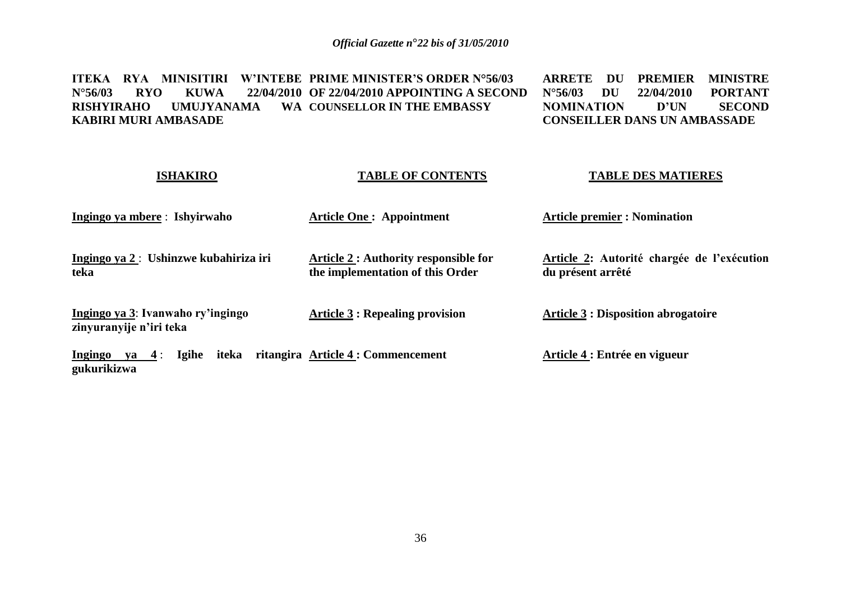**ITEKA RYA MINISITIRI W"INTEBE PRIME MINISTER"S ORDER N°56/03 N°56/03 RYO KUWA 22/04/2010 OF 22/04/2010 APPOINTING A SECOND RISHYIRAHO UMUJYANAMA KABIRI MURI AMBASADE COUNSELLOR IN THE EMBASSY ARRETE DU PREMIER MINISTRE N°56/03 DU 22/04/2010 PORTANT NOMINATION CONSEILLER DANS UN AMBASSADE**

| <b>ISHAKIRO</b>                                              | <b>TABLE OF CONTENTS</b>                                                         | <b>TABLE DES MATIERES</b>                                       |
|--------------------------------------------------------------|----------------------------------------------------------------------------------|-----------------------------------------------------------------|
| Ingingo ya mbere: Ishyirwaho                                 | <b>Article One: Appointment</b>                                                  | <b>Article premier : Nomination</b>                             |
| Ingingo ya 2: Ushinzwe kubahiriza iri<br>teka                | <b>Article 2 : Authority responsible for</b><br>the implementation of this Order | Article 2: Autorité chargée de l'exécution<br>du présent arrêté |
| Ingingo ya 3: Ivanwaho ry'ingingo<br>zinyuranyije n'iri teka | <b>Article 3 : Repealing provision</b>                                           | <b>Article 3 : Disposition abrogatoire</b>                      |
| <b>Igihe</b><br>iteka<br>Ingingo ya $4$ :<br>gukurikizwa     | ritangira Article 4: Commencement                                                | Article 4 : Entrée en vigueur                                   |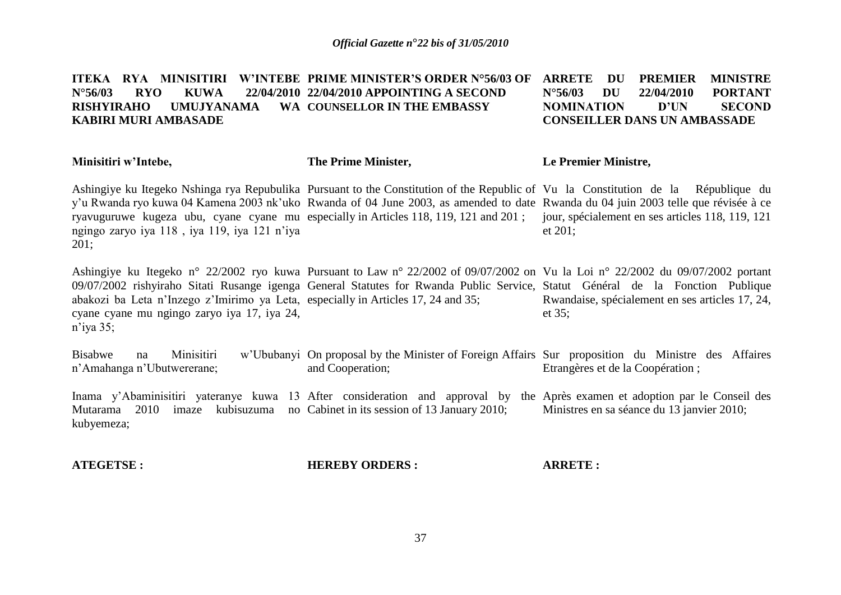ITEKA RYA MINISITIRI W'INTEBE PRIME MINISTER'S ORDER N°56/03 OF ARRETE DU PREMIER MINISTRE **N°56/03 RYO KUWA 22/04/2010 22/04/2010 APPOINTING A SECOND RISHYIRAHO UMUJYANAMA KABIRI MURI AMBASADE COUNSELLOR IN THE EMBASSY N°56/03 DU 22/04/2010 PORTANT NOMINATION D"UN SECOND CONSEILLER DANS UN AMBASSADE**

| Minisitiri w'Intebe,                                                                                                                             | The Prime Minister,                                                                                                                                                                                                                                                                                                                                                                                               | <b>Le Premier Ministre,</b>                                                                                                                                                                     |
|--------------------------------------------------------------------------------------------------------------------------------------------------|-------------------------------------------------------------------------------------------------------------------------------------------------------------------------------------------------------------------------------------------------------------------------------------------------------------------------------------------------------------------------------------------------------------------|-------------------------------------------------------------------------------------------------------------------------------------------------------------------------------------------------|
| ngingo zaryo iya 118, iya 119, iya 121 n'iya<br>201;                                                                                             | Ashingiye ku Itegeko Nshinga rya Repubulika Pursuant to the Constitution of the Republic of Vu la Constitution de la République du<br>y'u Rwanda ryo kuwa 04 Kamena 2003 nk'uko Rwanda of 04 June 2003, as amended to date Rwanda du 04 juin 2003 telle que révisée à ce<br>ryavuguruwe kugeza ubu, cyane cyane mu especially in Articles 118, 119, 121 and 201; jour, spécialement en ses articles 118, 119, 121 | et $201$ ;                                                                                                                                                                                      |
| abakozi ba Leta n'Inzego z'Imirimo ya Leta, especially in Articles 17, 24 and 35;<br>cyane cyane mu ngingo zaryo iya 17, iya 24,<br>n'iya $35$ ; | 09/07/2002 rishyiraho Sitati Rusange igenga General Statutes for Rwanda Public Service, Statut Général de la Fonction Publique                                                                                                                                                                                                                                                                                    | Ashingiye ku Itegeko n° 22/2002 ryo kuwa Pursuant to Law n° 22/2002 of 09/07/2002 on Vu la Loi n° 22/2002 du 09/07/2002 portant<br>Rwandaise, spécialement en ses articles 17, 24,<br>et $35$ ; |
| Minisitiri<br><b>Bisabwe</b><br>na<br>n'Amahanga n'Ubutwererane;                                                                                 | w'Ububanyi On proposal by the Minister of Foreign Affairs Sur proposition du Ministre des Affaires<br>and Cooperation;                                                                                                                                                                                                                                                                                            | Etrangères et de la Coopération;                                                                                                                                                                |

Inama y'Abaminisitiri yateranye kuwa 13 After consideration and approval by the Après examen et adoption par le Conseil des Mutarama 2010 imaze kubisuzuma no Cabinet in its session of 13 January 2010; kubyemeza; Ministres en sa séance du 13 janvier 2010;

| <b>ATEGETSE:</b> | <b>HEREBY ORDERS:</b> | <b>ARRETE:</b> |
|------------------|-----------------------|----------------|
|                  |                       |                |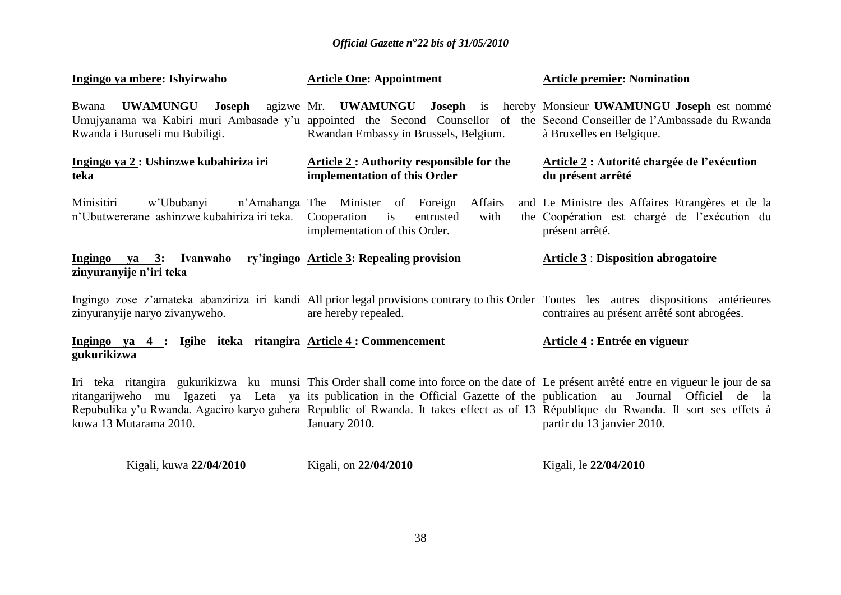| Ingingo ya mbere: Ishyirwaho                                                                                | <b>Article One: Appointment</b>                                                                                                                                                                                                                                                                                                                                                                                               | <b>Article premier: Nomination</b>                                                                                  |
|-------------------------------------------------------------------------------------------------------------|-------------------------------------------------------------------------------------------------------------------------------------------------------------------------------------------------------------------------------------------------------------------------------------------------------------------------------------------------------------------------------------------------------------------------------|---------------------------------------------------------------------------------------------------------------------|
| Bwana<br>Rwanda i Buruseli mu Bubiligi.                                                                     | UWAMUNGU Joseph agizwe Mr. UWAMUNGU Joseph is hereby Monsieur UWAMUNGU Joseph est nommé<br>Umujyanama wa Kabiri muri Ambasade y'u appointed the Second Counsellor of the Second Conseiller de l'Ambassade du Rwanda<br>Rwandan Embassy in Brussels, Belgium.                                                                                                                                                                  | à Bruxelles en Belgique.                                                                                            |
| Ingingo ya 2 : Ushinzwe kubahiriza iri<br>teka                                                              | <b>Article 2: Authority responsible for the</b><br>implementation of this Order                                                                                                                                                                                                                                                                                                                                               | Article 2 : Autorité chargée de l'exécution<br>du présent arrêté                                                    |
| Minisitiri<br>w'Ububanyi n'Amahanga The Minister of Foreign<br>n'Ubutwererane ashinzwe kubahiriza iri teka. | Affairs<br>Cooperation is<br>with<br>entrusted<br>implementation of this Order.                                                                                                                                                                                                                                                                                                                                               | and Le Ministre des Affaires Etrangères et de la<br>the Coopération est chargé de l'exécution du<br>présent arrêté. |
| Ingingo ya 3: Ivanwaho ry'ingingo Article 3: Repealing provision<br>zinyuranyije n'iri teka                 |                                                                                                                                                                                                                                                                                                                                                                                                                               | <b>Article 3: Disposition abrogatoire</b>                                                                           |
| zinyuranyije naryo zivanyweho.                                                                              | Ingingo zose z'amateka abanziriza iri kandi All prior legal provisions contrary to this Order Toutes les autres dispositions antérieures<br>are hereby repealed.                                                                                                                                                                                                                                                              | contraires au présent arrêté sont abrogées.                                                                         |
| Ingingo ya 4 : Igihe iteka ritangira Article 4: Commencement<br>gukurikizwa                                 |                                                                                                                                                                                                                                                                                                                                                                                                                               | Article 4 : Entrée en vigueur                                                                                       |
| kuwa 13 Mutarama 2010.                                                                                      | Iri teka ritangira gukurikizwa ku munsi This Order shall come into force on the date of Le présent arrêté entre en vigueur le jour de sa<br>ritangarijweho mu Igazeti ya Leta ya its publication in the Official Gazette of the publication au Journal Officiel de la<br>Repubulika y'u Rwanda. Agaciro karyo gahera Republic of Rwanda. It takes effect as of 13 République du Rwanda. Il sort ses effets à<br>January 2010. | partir du 13 janvier 2010.                                                                                          |

| Kigali, kuwa 22/04/2010 | Kigali, on 22/04/2010 | Kigali, le 22/04/2010 |
|-------------------------|-----------------------|-----------------------|
|                         |                       |                       |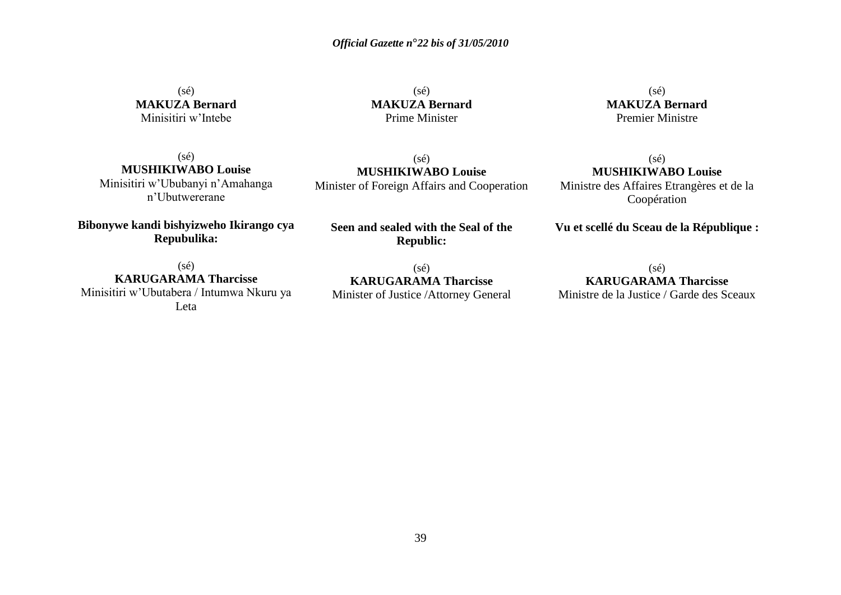(sé) **MAKUZA Bernard** Minisitiri w'Intebe

 $(s\acute{e})$ **MAKUZA Bernard** Prime Minister

(sé) **MUSHIKIWABO Louise** Minister of Foreign Affairs and Cooperation

(sé) **MAKUZA Bernard** Premier Ministre

(sé) **MUSHIKIWABO Louise** Ministre des Affaires Etrangères et de la Coopération

(sé) **MUSHIKIWABO Louise** Minisitiri w'Ububanyi n'Amahanga n'Ubutwererane

**Bibonywe kandi bishyizweho Ikirango cya Repubulika:**

**Seen and sealed with the Seal of the Republic:**

**Vu et scellé du Sceau de la République :**

 $(sé)$ **KARUGARAMA Tharcisse** Minisitiri w'Ubutabera / Intumwa Nkuru ya Leta

(sé) **KARUGARAMA Tharcisse** Minister of Justice /Attorney General

 $(sé)$ **KARUGARAMA Tharcisse** Ministre de la Justice / Garde des Sceaux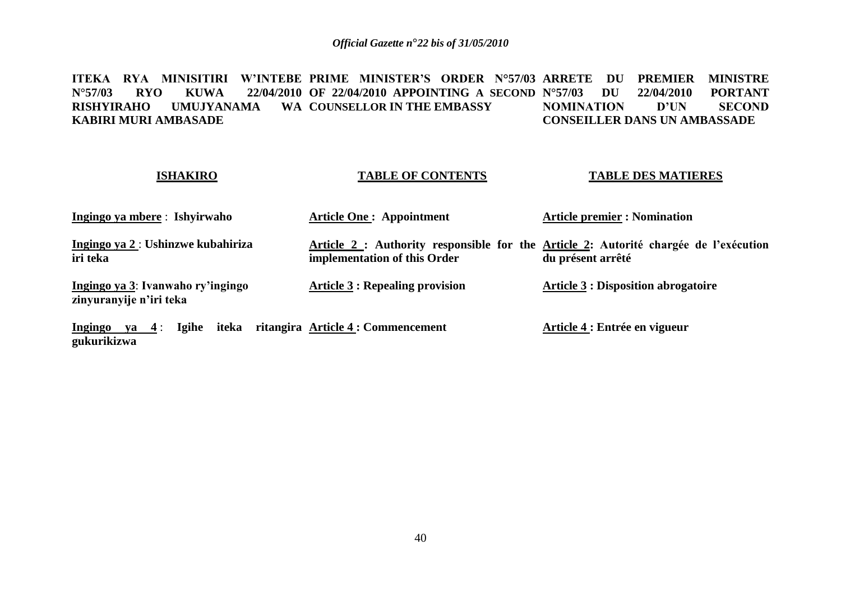ITEKA RYA MINISITIRI W'INTEBE PRIME MINISTER'S ORDER N°57/03 ARRETE DU PREMIER MINISTRE **N°57/03 RYO KUWA 22/04/2010 OF 22/04/2010 APPOINTING A SECOND RISHYIRAHO UMUJYANAMA WA COUNSELLOR IN THE EMBASSY KABIRI MURI AMBASADE 22/04/2010 PORTANT<br>D'UN SECOND NOMINATION CONSEILLER DANS UN AMBASSADE**

#### **ISHAKIRO**

#### **TABLE OF CONTENTS**

#### **TABLE DES MATIERES**

| Ingingo ya mbere: Ishyirwaho                                 | <b>Article One: Appointment</b>                                                                                      | <b>Article premier : Nomination</b>        |
|--------------------------------------------------------------|----------------------------------------------------------------------------------------------------------------------|--------------------------------------------|
| Ingingo ya 2: Ushinzwe kubahiriza<br>iri teka                | Article 2 : Authority responsible for the Article 2: Autorité chargée de l'exécution<br>implementation of this Order | du présent arrêté                          |
| Ingingo ya 3: Ivanwaho ry'ingingo<br>zinyuranyije n'iri teka | <b>Article 3 : Repealing provision</b>                                                                               | <b>Article 3 : Disposition abrogatoire</b> |
|                                                              |                                                                                                                      |                                            |

**Ingingo ya 4** : **Igihe iteka ritangira Article 4 : Commencement gukurikizwa Article 4 : Entrée en vigueur**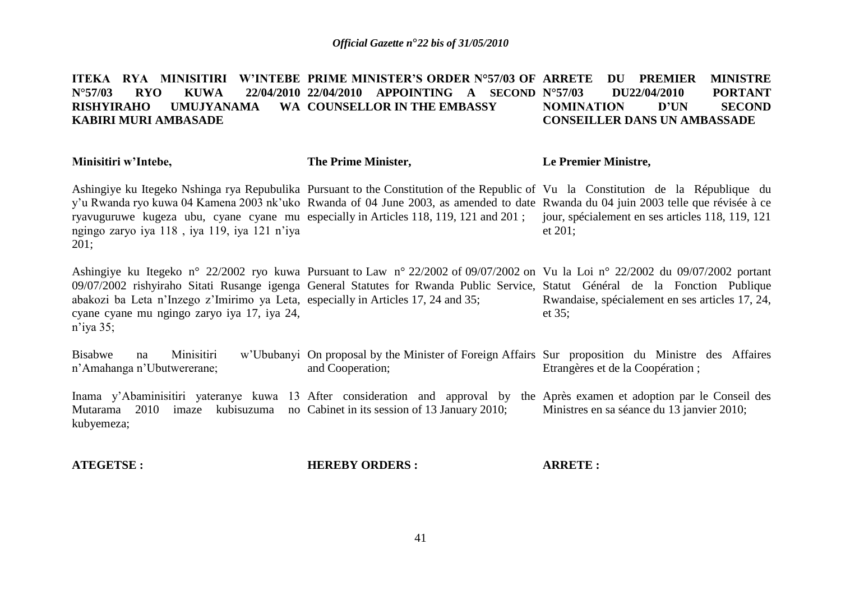#### ITEKA RYA MINISITIRI W'INTEBE PRIME MINISTER'S ORDER N°57/03 OF ARRETE DU PREMIER MINISTRE **N°57/03 RYO KUWA 22/04/2010 22/04/2010 APPOINTING A SECOND RISHYIRAHO UMUJYANAMA KABIRI MURI AMBASADE COUNSELLOR IN THE EMBASSY N°57/03 DU22/04/2010 PORTANT NOMINATION D"UN SECOND CONSEILLER DANS UN AMBASSADE**

#### **Minisitiri w"Intebe,** Ashingiye ku Itegeko Nshinga rya Repubulika Pursuant to the Constitution of the Republic of Vu la Constitution de la République du y'u Rwanda ryo kuwa 04 Kamena 2003 nk'uko Rwanda of 04 June 2003, as amended to date Rwanda du 04 juin 2003 telle que révisée à ce ryavuguruwe kugeza ubu, cyane cyane mu especially in Articles 118, 119, 121 and 201 ; ngingo zaryo iya 118 , iya 119, iya 121 n'iya 201; Ashingiye ku Itegeko n° 22/2002 ryo kuwa Pursuant to Law n° 22/2002 of 09/07/2002 on Vu la Loi n° 22/2002 du 09/07/2002 portant 09/07/2002 rishyiraho Sitati Rusange igenga General Statutes for Rwanda Public Service, Statut Général de la Fonction Publique abakozi ba Leta n'Inzego z'Imirimo ya Leta, especially in Articles 17, 24 and 35; cyane cyane mu ngingo zaryo iya 17, iya 24, n'iya 35; Bisabwe na Minisitiri w'Ububanyi On proposal by the Minister of Foreign Affairs Sur proposition du Ministre des Affaires n'Amahanga n'Ubutwererane; **The Prime Minister,** and Cooperation; **Le Premier Ministre,** jour, spécialement en ses articles 118, 119, 121 et 201; Rwandaise, spécialement en ses articles 17, 24, et 35; Etrangères et de la Coopération ;

Inama y'Abaminisitiri yateranye kuwa 13 After consideration and approval by the Après examen et adoption par le Conseil des Mutarama 2010 imaze kubisuzuma no Cabinet in its session of 13 January 2010; kubyemeza; Ministres en sa séance du 13 janvier 2010;

| <b>ATEGETSE:</b> | <b>HEREBY ORDERS:</b> | <b>ARRETE :</b> |
|------------------|-----------------------|-----------------|
|                  |                       |                 |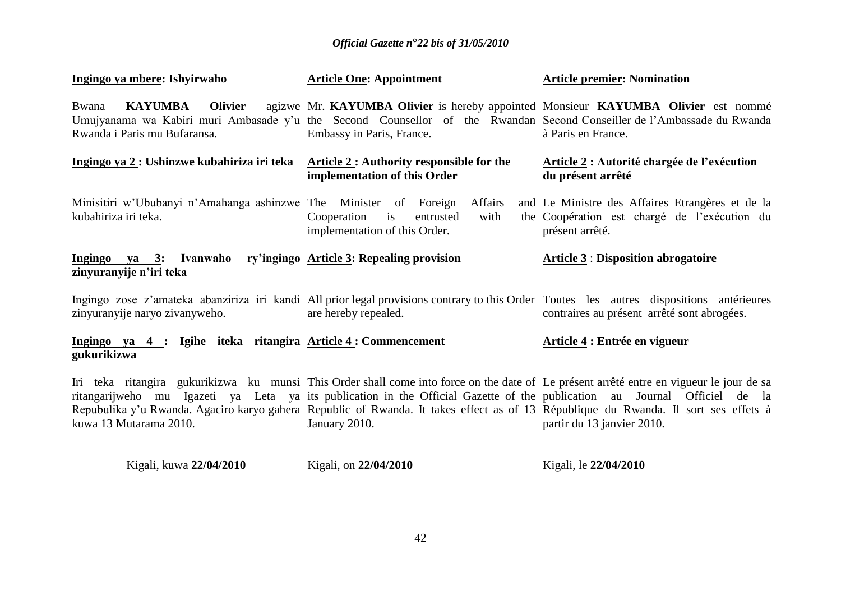| Ingingo ya mbere: Ishyirwaho                                                                | <b>Article One: Appointment</b>                                                                                                                                                                                                                                                   | <b>Article premier: Nomination</b>                                                                                                                                     |
|---------------------------------------------------------------------------------------------|-----------------------------------------------------------------------------------------------------------------------------------------------------------------------------------------------------------------------------------------------------------------------------------|------------------------------------------------------------------------------------------------------------------------------------------------------------------------|
| KAYUMBA Olivier<br>Bwana<br>Rwanda i Paris mu Bufaransa.                                    | agizwe Mr. KAYUMBA Olivier is hereby appointed Monsieur KAYUMBA Olivier est nommé<br>Umujyanama wa Kabiri muri Ambasade y'u the Second Counsellor of the Rwandan Second Conseiller de l'Ambassade du Rwanda<br>Embassy in Paris, France.                                          | à Paris en France.                                                                                                                                                     |
| Ingingo ya 2 : Ushinzwe kubahiriza iri teka Article 2 : Authority responsible for the       | implementation of this Order                                                                                                                                                                                                                                                      | Article 2 : Autorité chargée de l'exécution<br>du présent arrêté                                                                                                       |
| Minisitiri w'Ububanyi n'Amahanga ashinzwe The Minister of Foreign<br>kubahiriza iri teka.   | Affairs<br>Cooperation<br>entrusted<br>with<br>$\frac{1}{1}$<br>implementation of this Order.                                                                                                                                                                                     | and Le Ministre des Affaires Etrangères et de la<br>the Coopération est chargé de l'exécution du<br>présent arrêté.                                                    |
| Ingingo ya 3: Ivanwaho ry'ingingo Article 3: Repealing provision<br>zinyuranyije n'iri teka |                                                                                                                                                                                                                                                                                   | <b>Article 3: Disposition abrogatoire</b>                                                                                                                              |
| zinyuranyije naryo zivanyweho.                                                              | Ingingo zose z'amateka abanziriza iri kandi All prior legal provisions contrary to this Order Toutes les autres dispositions antérieures<br>are hereby repealed.                                                                                                                  | contraires au présent arrêté sont abrogées.                                                                                                                            |
| Ingingo ya 4 : Igihe iteka ritangira Article 4: Commencement<br>gukurikizwa                 |                                                                                                                                                                                                                                                                                   | Article 4 : Entrée en vigueur                                                                                                                                          |
| kuwa 13 Mutarama 2010.                                                                      | ritangarijweho mu Igazeti ya Leta ya its publication in the Official Gazette of the publication au Journal Officiel de la<br>Repubulika y'u Rwanda. Agaciro karyo gahera Republic of Rwanda. It takes effect as of 13 République du Rwanda. Il sort ses effets à<br>January 2010. | Iri teka ritangira gukurikizwa ku munsi This Order shall come into force on the date of Le présent arrêté entre en vigueur le jour de sa<br>partir du 13 janvier 2010. |

| Kigali, kuwa 22/04/2010 | Kigali, on 22/04/2010 | Kigali, le 22/04/2010 |
|-------------------------|-----------------------|-----------------------|
|                         |                       |                       |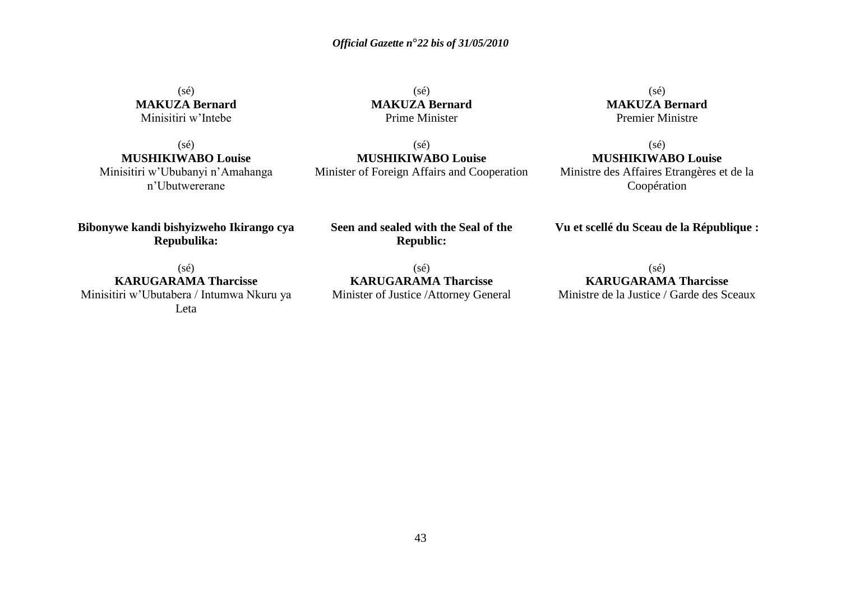(sé) **MAKUZA Bernard** Minisitiri w'Intebe

 $(sé)$ **MUSHIKIWABO Louise** Minisitiri w'Ububanyi n'Amahanga n'Ubutwererane

**Bibonywe kandi bishyizweho Ikirango cya Repubulika:**

 $(s\acute{e})$ **MAKUZA Bernard** Prime Minister

(sé) **MUSHIKIWABO Louise** Minister of Foreign Affairs and Cooperation

**Seen and sealed with the Seal of the Republic:**

> (sé) **KARUGARAMA Tharcisse**

Minister of Justice /Attorney General

(sé) **MAKUZA Bernard** Premier Ministre

 $(sé)$ **MUSHIKIWABO Louise** Ministre des Affaires Etrangères et de la Coopération

**Vu et scellé du Sceau de la République :**

 $(sé)$ **KARUGARAMA Tharcisse** Minisitiri w'Ubutabera / Intumwa Nkuru ya Leta

(sé) **KARUGARAMA Tharcisse** Ministre de la Justice / Garde des Sceaux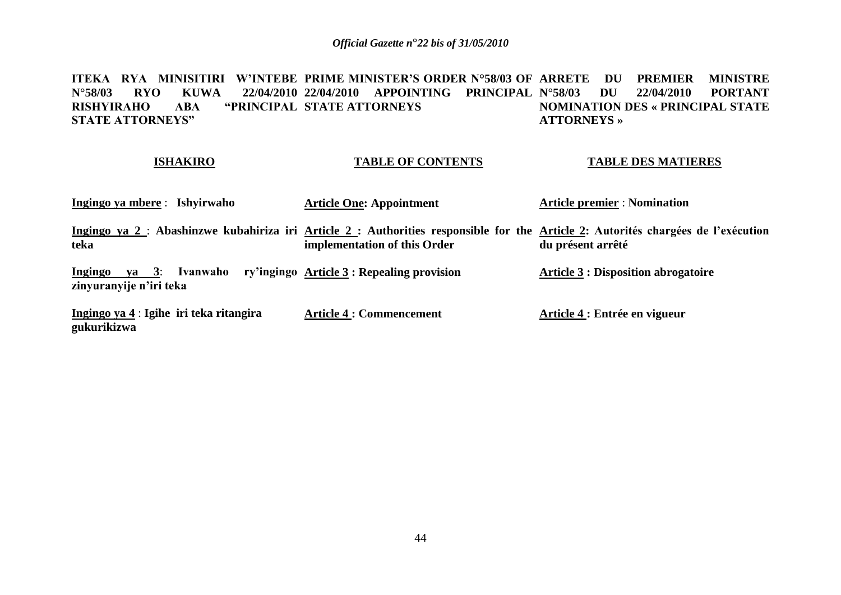ITEKA RYA MINISITIRI W'INTEBE PRIME MINISTER'S ORDER N°58/03 OF ARRETE DU PREMIER MINISTRE **N°58/03 RYO KUWA 22/04/2010 22/04/2010 APPOINTING PRINCIPAL RISHYIRAHO ABA "PRINCIPAL STATE ATTORNEYS STATE ATTORNEYS" N°58/03 DU 22/04/2010 PORTANT NOMINATION DES « PRINCIPAL STATE ATTORNEYS »**

#### **ISHAKIRO**

### **TABLE OF CONTENTS**

#### **TABLE DES MATIERES**

| Ingingo ya mbere : Ishyirwaho                          | <b>Article One: Appointment</b>                     | <b>Article premier : Nomination</b>                                                                                                                    |
|--------------------------------------------------------|-----------------------------------------------------|--------------------------------------------------------------------------------------------------------------------------------------------------------|
| teka                                                   | implementation of this Order                        | Ingingo ya 2 : Abashinzwe kubahiriza iri Article 2 : Authorities responsible for the Article 2: Autorités chargées de l'exécution<br>du présent arrêté |
| Ingingo ya $3$ :<br>zinyuranyije n'iri teka            | Ivanwaho ry'ingingo Article 3 : Repealing provision | <b>Article 3 : Disposition abrogatoire</b>                                                                                                             |
| Ingingo ya 4 : Igihe iri teka ritangira<br>gukurikizwa | <b>Article 4 : Commencement</b>                     | Article 4 : Entrée en vigueur                                                                                                                          |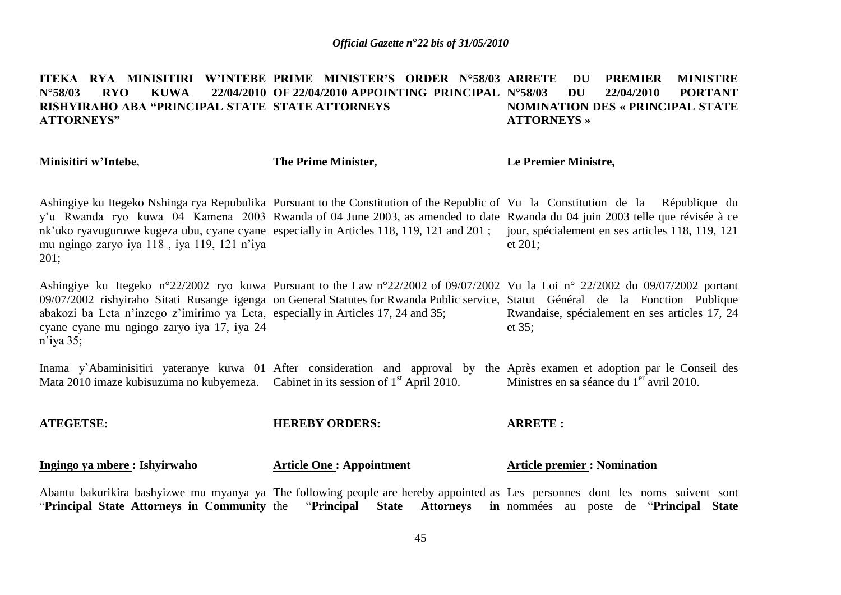#### ITEKA RYA MINISITIRI W'INTEBE PRIME MINISTER'S ORDER N°58/03 ARRETE DU PREMIER MINISTRE **N°58/03 RYO KUWA 22/04/2010 OF 22/04/2010 APPOINTING PRINCIPAL N°58/03 DU 22/04/2010 PORTANT RISHYIRAHO ABA "PRINCIPAL STATE STATE ATTORNEYS ATTORNEYS" NOMINATION DES « PRINCIPAL STATE ATTORNEYS »**

| Minisitiri w'Intebe,                                                                                                                            | The Prime Minister,                            | Le Premier Ministre,                                                                                                                                                                                                                                                                                                                                                                                                         |
|-------------------------------------------------------------------------------------------------------------------------------------------------|------------------------------------------------|------------------------------------------------------------------------------------------------------------------------------------------------------------------------------------------------------------------------------------------------------------------------------------------------------------------------------------------------------------------------------------------------------------------------------|
| mu ngingo zaryo iya 118, iya 119, 121 n'iya<br>201;                                                                                             |                                                | Ashingiye ku Itegeko Nshinga rya Repubulika Pursuant to the Constitution of the Republic of Vu la Constitution de la République du<br>y'u Rwanda ryo kuwa 04 Kamena 2003 Rwanda of 04 June 2003, as amended to date Rwanda du 04 juin 2003 telle que révisée à ce<br>nk'uko ryavuguruwe kugeza ubu, cyane cyane especially in Articles 118, 119, 121 and 201; jour, spécialement en ses articles 118, 119, 121<br>et $201$ ; |
| abakozi ba Leta n'inzego z'imirimo ya Leta, especially in Articles 17, 24 and 35;<br>cyane cyane mu ngingo zaryo iya 17, iya 24<br>$n$ 'iya 35; |                                                | Ashingiye ku Itegeko n°22/2002 ryo kuwa Pursuant to the Law n°22/2002 of 09/07/2002 Vu la Loi n° 22/2002 du 09/07/2002 portant<br>09/07/2002 rishyiraho Sitati Rusange igenga on General Statutes for Rwanda Public service, Statut Général de la Fonction Publique<br>Rwandaise, spécialement en ses articles 17, 24<br>et $35$ ;                                                                                           |
| Mata 2010 imaze kubisuzuma no kubyemeza. Cabinet in its session of 1 <sup>st</sup> April 2010.                                                  |                                                | Inama y Abaminisitiri yateranye kuwa 01 After consideration and approval by the Après examen et adoption par le Conseil des<br>Ministres en sa séance du 1 <sup>er</sup> avril 2010.                                                                                                                                                                                                                                         |
| <b>ATEGETSE:</b>                                                                                                                                | <b>HEREBY ORDERS:</b>                          | <b>ARRETE:</b>                                                                                                                                                                                                                                                                                                                                                                                                               |
| Ingingo ya mbere : Ishyirwaho                                                                                                                   | <b>Article One: Appointment</b>                | <b>Article premier : Nomination</b>                                                                                                                                                                                                                                                                                                                                                                                          |
| "Principal State Attorneys in Community the                                                                                                     | "Principal<br><b>State</b><br><b>Attorneys</b> | Abantu bakurikira bashyizwe mu myanya ya The following people are hereby appointed as Les personnes dont les noms suivent sont<br>in nommées au poste de "Principal State"                                                                                                                                                                                                                                                   |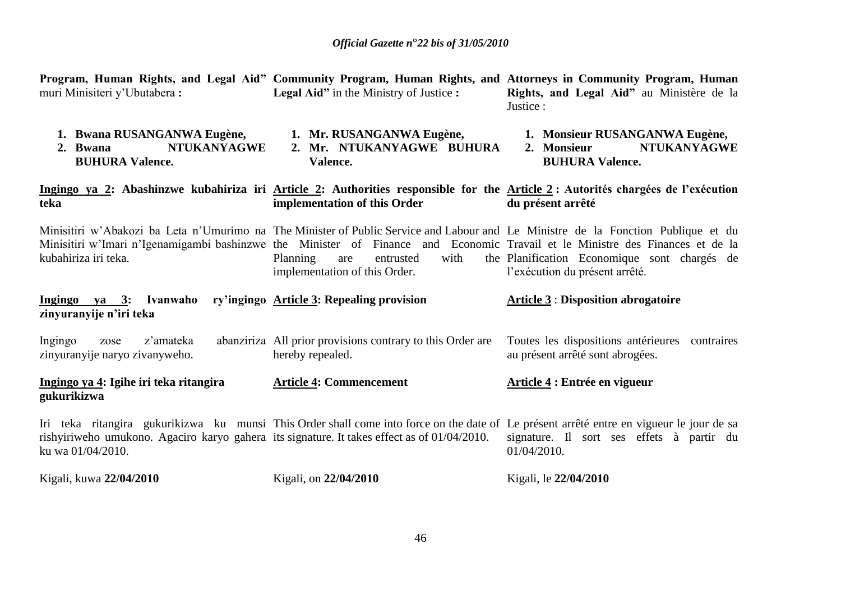| muri Minisiteri y'Ubutabera:                                                                                     | <b>Legal Aid</b> " in the Ministry of Justice :                                | Program, Human Rights, and Legal Aid" Community Program, Human Rights, and Attorneys in Community Program, Human<br>Rights, and Legal Aid" au Ministère de la<br>Justice:                                                                                                                                                                            |
|------------------------------------------------------------------------------------------------------------------|--------------------------------------------------------------------------------|------------------------------------------------------------------------------------------------------------------------------------------------------------------------------------------------------------------------------------------------------------------------------------------------------------------------------------------------------|
| 1. Bwana RUSANGANWA Eugène,<br><b>NTUKANYAGWE</b><br>2. Bwana<br><b>BUHURA Valence.</b>                          | 1. Mr. RUSANGANWA Eugène,<br>2. Mr. NTUKANYAGWE BUHURA<br>Valence.             | 1. Monsieur RUSANGANWA Eugène,<br><b>NTUKANYAGWE</b><br>2. Monsieur<br><b>BUHURA Valence.</b>                                                                                                                                                                                                                                                        |
| teka                                                                                                             | implementation of this Order                                                   | Ingingo ya 2: Abashinzwe kubahiriza iri Article 2: Authorities responsible for the Article 2: Autorités chargées de l'exécution<br>du présent arrêté                                                                                                                                                                                                 |
| kubahiriza iri teka.                                                                                             | Planning<br>with<br>entrusted<br>are<br>implementation of this Order.          | Minisitiri w'Abakozi ba Leta n'Umurimo na The Minister of Public Service and Labour and Le Ministre de la Fonction Publique et du<br>Minisitiri w'Imari n'Igenamigambi bashinzwe the Minister of Finance and Economic Travail et le Ministre des Finances et de la<br>the Planification Economique sont chargés de<br>l'exécution du présent arrêté. |
| Ingingo ya 3: Ivanwaho<br>zinyuranyije n'iri teka                                                                | ry'ingingo Article 3: Repealing provision                                      | <b>Article 3: Disposition abrogatoire</b>                                                                                                                                                                                                                                                                                                            |
| z'amateka<br>Ingingo<br>zose<br>zinyuranyije naryo zivanyweho.                                                   | abanziriza All prior provisions contrary to this Order are<br>hereby repealed. | Toutes les dispositions antérieures contraires<br>au présent arrêté sont abrogées.                                                                                                                                                                                                                                                                   |
| Ingingo ya 4: Igihe iri teka ritangira<br>gukurikizwa                                                            | <b>Article 4: Commencement</b>                                                 | Article 4 : Entrée en vigueur                                                                                                                                                                                                                                                                                                                        |
| rishyiriweho umukono. Agaciro karyo gahera its signature. It takes effect as of 01/04/2010.<br>ku wa 01/04/2010. |                                                                                | Iri teka ritangira gukurikizwa ku munsi This Order shall come into force on the date of Le présent arrêté entre en vigueur le jour de sa<br>signature. Il sort ses effets à partir du<br>01/04/2010.                                                                                                                                                 |
| Kigali, kuwa 22/04/2010                                                                                          | Kigali, on 22/04/2010                                                          | Kigali, le 22/04/2010                                                                                                                                                                                                                                                                                                                                |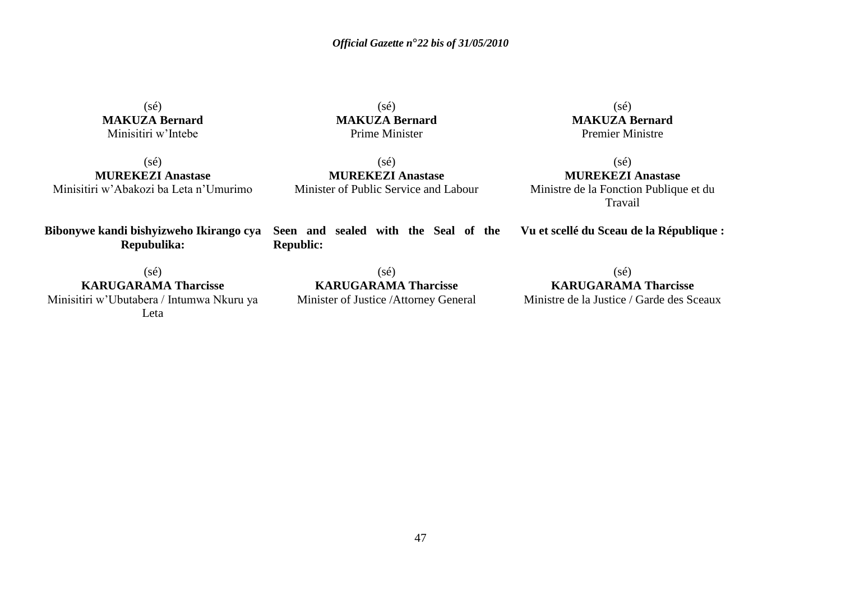(sé) **MAKUZA Bernard** Minisitiri w'Intebe

 $(sé)$ **MAKUZA Bernard** Prime Minister

(sé) **MUREKEZI Anastase** Minisitiri w'Abakozi ba Leta n'Umurimo

**Bibonywe kandi bishyizweho Ikirango cya Seen and sealed with the Seal of the Repubulika:**

(sé) **KARUGARAMA Tharcisse** Minisitiri w'Ubutabera / Intumwa Nkuru ya Leta

 $(s\acute{e})$ **MUREKEZI Anastase** Minister of Public Service and Labour

(sé) **KARUGARAMA Tharcisse** Minister of Justice /Attorney General

**Republic:**

**Vu et scellé du Sceau de la République :**

(sé) **KARUGARAMA Tharcisse** Ministre de la Justice / Garde des Sceaux

 $(s\acute{e})$ 

(sé) **MUREKEZI Anastase** Ministre de la Fonction Publique et du Travail

**MAKUZA Bernard** Premier Ministre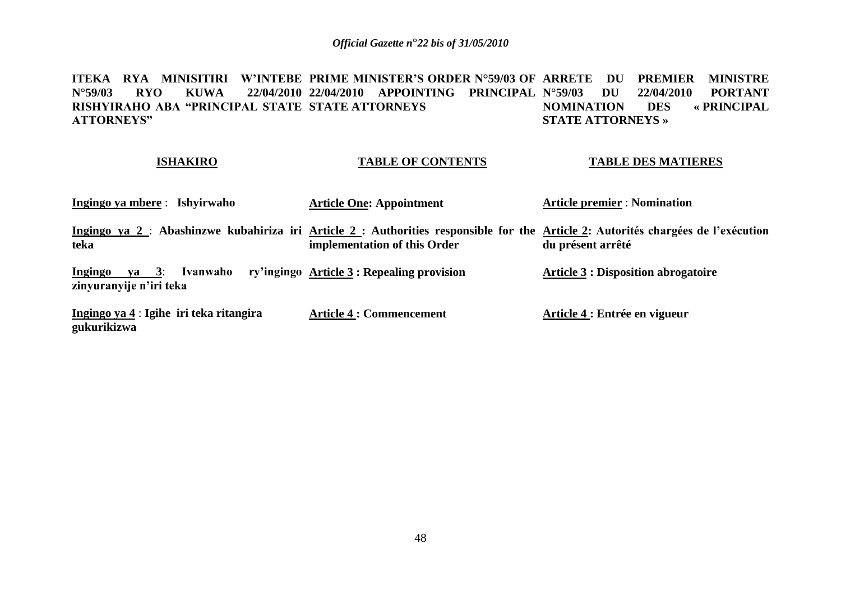**ITEKA RYA MINISITIRI W'INTEBE PRIME<code>MINISTER'S</code> ORDER N°59/03 OF ARRETE DU PREMIER MINISTRE N°59/03 RYO KUWA 22/04/2010 22/04/2010 APPOINTING PRINCIPAL RISHYIRAHO ABA "PRINCIPAL STATE STATE ATTORNEYS ATTORNEYS" N°42010 PORTANT<br>DES « PRINCIPAL NOMINATION DES STATE ATTORNEYS »**

#### **ISHAKIRO**

### **TABLE OF CONTENTS**

### **TABLE DES MATIERES**

| Ingingo ya mbere: Ishyirwaho                                                                                                              | <b>Article One: Appointment</b>                     | <b>Article premier : Nomination</b>        |
|-------------------------------------------------------------------------------------------------------------------------------------------|-----------------------------------------------------|--------------------------------------------|
| Ingingo ya 2 : Abashinzwe kubahiriza iri Article 2 : Authorities responsible for the Article 2: Autorités chargées de l'exécution<br>teka | implementation of this Order                        | du présent arrêté                          |
| $\mathbf{v}$ a 3:<br><b>Ingingo</b><br>zinyuranyije n'iri teka                                                                            | Ivanwaho ry'ingingo Article 3 : Repealing provision | <b>Article 3 : Disposition abrogatoire</b> |
| Ingingo ya 4 : Igihe iri teka ritangira<br>gukurikizwa                                                                                    | <b>Article 4 : Commencement</b>                     | Article 4 : Entrée en vigueur              |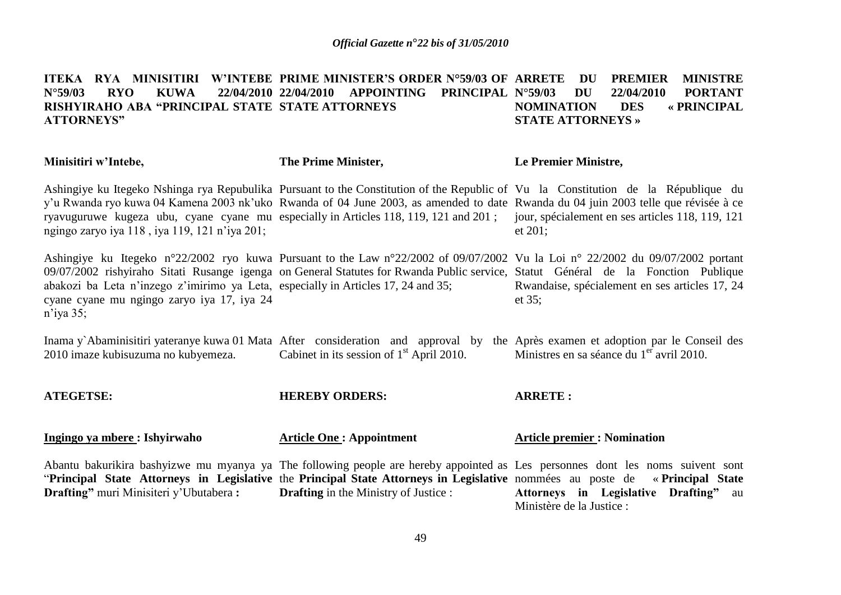#### ITEKA RYA MINISITIRI W'INTEBE PRIME MINISTER'S ORDER N°59/03 OF ARRETE DU PREMIER MINISTRE **N°59/03 RYO KUWA 22/04/2010 22/04/2010 APPOINTING PRINCIPAL RISHYIRAHO ABA "PRINCIPAL STATE STATE ATTORNEYS ATTORNEYS" N°40 DU 22/04/2010 PORTANT<br>FION DES « PRINCIPAL NOMINATION DES « PRINCIPAL STATE ATTORNEYS »**

| Minisitiri w'Intebe,                                                                                                                            | The Prime Minister,                          | Le Premier Ministre,                                                                                                                                                                                                                                                                                                                                                                                                         |
|-------------------------------------------------------------------------------------------------------------------------------------------------|----------------------------------------------|------------------------------------------------------------------------------------------------------------------------------------------------------------------------------------------------------------------------------------------------------------------------------------------------------------------------------------------------------------------------------------------------------------------------------|
| ngingo zaryo iya 118, iya 119, 121 n'iya 201;                                                                                                   |                                              | Ashingiye ku Itegeko Nshinga rya Repubulika Pursuant to the Constitution of the Republic of Vu la Constitution de la République du<br>y'u Rwanda ryo kuwa 04 Kamena 2003 nk'uko Rwanda of 04 June 2003, as amended to date Rwanda du 04 juin 2003 telle que révisée à ce<br>ryavuguruwe kugeza ubu, cyane cyane mu especially in Articles 118, 119, 121 and 201; jour, spécialement en ses articles 118, 119, 121<br>et 201; |
| abakozi ba Leta n'inzego z'imirimo ya Leta, especially in Articles 17, 24 and 35;<br>cyane cyane mu ngingo zaryo iya 17, iya 24<br>$n$ 'iya 35; |                                              | Ashingiye ku Itegeko n°22/2002 ryo kuwa Pursuant to the Law n°22/2002 of 09/07/2002 Vu la Loi n° 22/2002 du 09/07/2002 portant<br>09/07/2002 rishyiraho Sitati Rusange igenga on General Statutes for Rwanda Public service, Statut Général de la Fonction Publique<br>Rwandaise, spécialement en ses articles 17, 24<br>et $35$ ;                                                                                           |
| 2010 imaze kubisuzuma no kubyemeza.                                                                                                             | Cabinet in its session of $1st$ April 2010.  | Inama y Abaminisitiri yateranye kuwa 01 Mata After consideration and approval by the Après examen et adoption par le Conseil des<br>Ministres en sa séance du 1 <sup>er</sup> avril 2010.                                                                                                                                                                                                                                    |
| <b>ATEGETSE:</b>                                                                                                                                | <b>HEREBY ORDERS:</b>                        | <b>ARRETE:</b>                                                                                                                                                                                                                                                                                                                                                                                                               |
| Ingingo ya mbere : Ishyirwaho                                                                                                                   | <b>Article One: Appointment</b>              | <b>Article premier: Nomination</b>                                                                                                                                                                                                                                                                                                                                                                                           |
| <b>Drafting</b> " muri Minisiteri y'Ubutabera :                                                                                                 | <b>Drafting</b> in the Ministry of Justice : | Abantu bakurikira bashyizwe mu myanya ya The following people are hereby appointed as Les personnes dont les noms suivent sont<br>"Principal State Attorneys in Legislative the Principal State Attorneys in Legislative nommées au poste de «Principal State<br>Attorneys in Legislative Drafting" au<br>Ministère de la Justice :                                                                                          |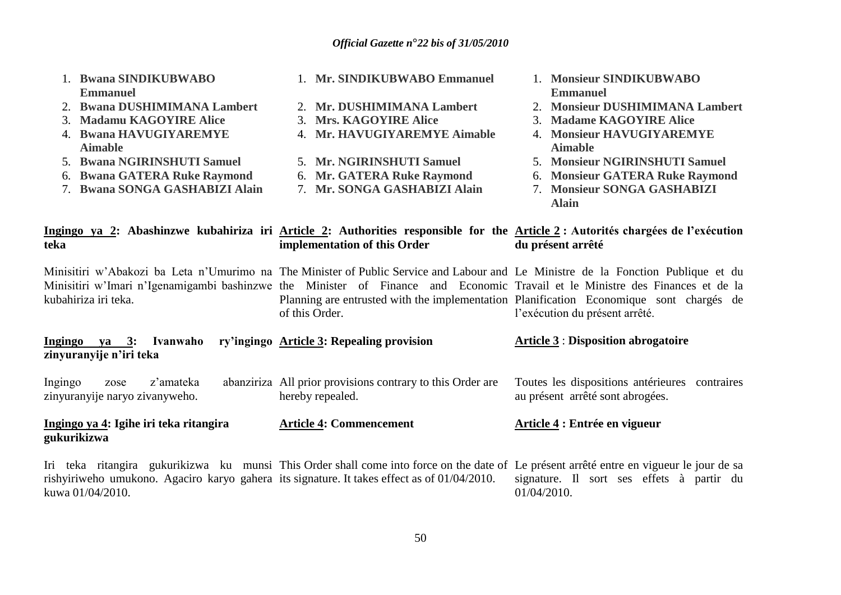| 1. Bwana SINDIKUBWABO<br><b>Emmanuel</b><br><b>Bwana DUSHIMIMANA Lambert</b><br>2.<br><b>Madamu KAGOYIRE Alice</b><br>3.<br>4. Bwana HAVUGIYAREMYE<br><b>Aimable</b><br>5. Bwana NGIRINSHUTI Samuel<br><b>Bwana GATERA Ruke Raymond</b><br>6.<br>7. Bwana SONGA GASHABIZI Alain | 1. Mr. SINDIKUBWABO Emmanuel<br>2. Mr. DUSHIMIMANA Lambert<br>3. Mrs. KAGOYIRE Alice<br>4. Mr. HAVUGIYAREMYE Aimable<br>5. Mr. NGIRINSHUTI Samuel<br>6. Mr. GATERA Ruke Raymond<br>7. Mr. SONGA GASHABIZI Alain                                                                      | 1. Monsieur SINDIKUBWABO<br><b>Emmanuel</b><br>2. Monsieur DUSHIMIMANA Lambert<br>3. Madame KAGOYIRE Alice<br>4. Monsieur HAVUGIYAREMYE<br><b>Aimable</b><br>5. Monsieur NGIRINSHUTI Samuel<br>6. Monsieur GATERA Ruke Raymond<br>7. Monsieur SONGA GASHABIZI<br><b>Alain</b> |
|---------------------------------------------------------------------------------------------------------------------------------------------------------------------------------------------------------------------------------------------------------------------------------|--------------------------------------------------------------------------------------------------------------------------------------------------------------------------------------------------------------------------------------------------------------------------------------|-------------------------------------------------------------------------------------------------------------------------------------------------------------------------------------------------------------------------------------------------------------------------------|
| teka                                                                                                                                                                                                                                                                            | Ingingo ya 2: Abashinzwe kubahiriza iri Article 2: Authorities responsible for the Article 2: Autorités chargées de l'exécution<br>implementation of this Order                                                                                                                      | du présent arrêté                                                                                                                                                                                                                                                             |
| kubahiriza iri teka.                                                                                                                                                                                                                                                            | Minisitiri w'Abakozi ba Leta n'Umurimo na The Minister of Public Service and Labour and Le Ministre de la Fonction Publique et du<br>Minisitiri w'Imari n'Igenamigambi bashinzwe the Minister of Finance and Economic Travail et le Ministre des Finances et de la<br>of this Order. | Planning are entrusted with the implementation Planification Economique sont chargés de<br>l'exécution du présent arrêté.                                                                                                                                                     |
| Ingingo ya 3: Ivanwaho<br>zinyuranyije n'iri teka                                                                                                                                                                                                                               | ry'ingingo Article 3: Repealing provision                                                                                                                                                                                                                                            | <b>Article 3 : Disposition abrogatoire</b>                                                                                                                                                                                                                                    |
| z'amateka<br>Ingingo<br>zose<br>zinyuranyije naryo zivanyweho.                                                                                                                                                                                                                  | abanziriza All prior provisions contrary to this Order are<br>hereby repealed.                                                                                                                                                                                                       | Toutes les dispositions antérieures contraires<br>au présent arrêté sont abrogées.                                                                                                                                                                                            |
| Ingingo ya 4: Igihe iri teka ritangira<br>gukurikizwa                                                                                                                                                                                                                           | <b>Article 4: Commencement</b>                                                                                                                                                                                                                                                       | Article 4 : Entrée en vigueur                                                                                                                                                                                                                                                 |
| rishyiriweho umukono. Agaciro karyo gahera its signature. It takes effect as of $01/04/2010$ .<br>kuwa 01/04/2010.                                                                                                                                                              | Iri teka ritangira gukurikizwa ku munsi This Order shall come into force on the date of Le présent arrêté entre en vigueur le jour de sa                                                                                                                                             | signature. Il sort ses effets à partir du<br>01/04/2010.                                                                                                                                                                                                                      |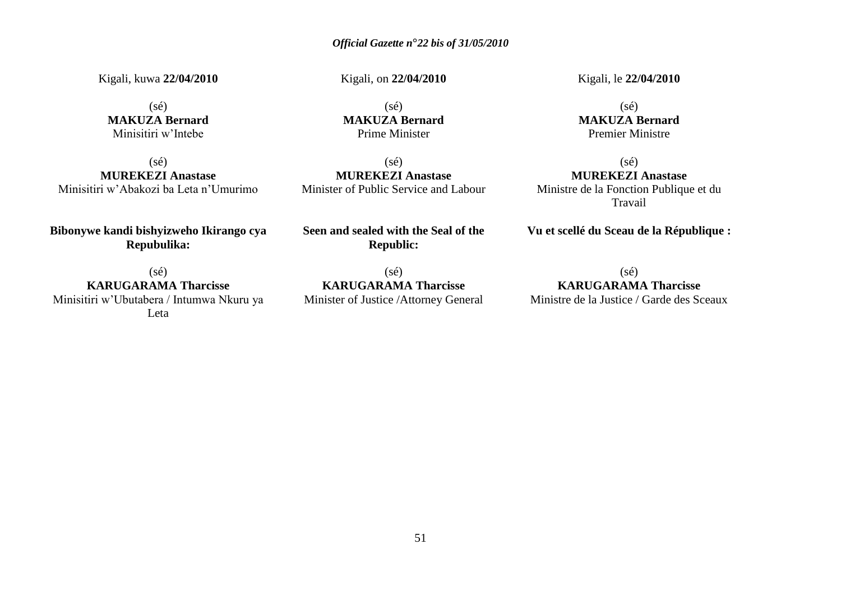Kigali, kuwa **22/04/2010**

(sé) **MAKUZA Bernard** Minisitiri w'Intebe

(sé) **MUREKEZI Anastase** Minisitiri w'Abakozi ba Leta n'Umurimo

**Bibonywe kandi bishyizweho Ikirango cya Repubulika:**

(sé) **KARUGARAMA Tharcisse** Minisitiri w'Ubutabera / Intumwa Nkuru ya Leta

Kigali, on **22/04/2010**

(sé) **MAKUZA Bernard** Prime Minister

(sé) **MUREKEZI Anastase** Minister of Public Service and Labour

**Seen and sealed with the Seal of the Republic:**

(sé) **KARUGARAMA Tharcisse** Minister of Justice /Attorney General Kigali, le **22/04/2010**

 $(sé)$ **MAKUZA Bernard** Premier Ministre

 $(s\acute{e})$ **MUREKEZI Anastase** Ministre de la Fonction Publique et du Travail

**Vu et scellé du Sceau de la République :**

(sé) **KARUGARAMA Tharcisse** Ministre de la Justice / Garde des Sceaux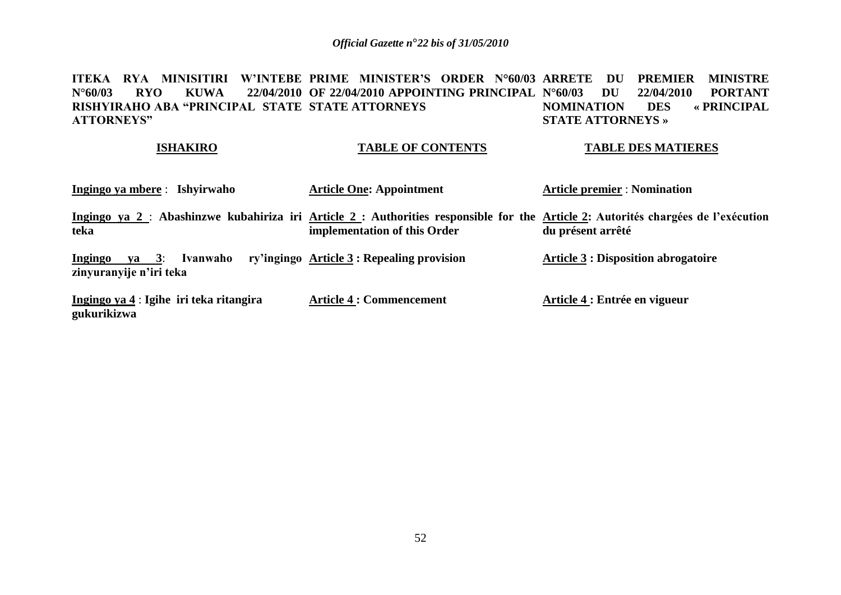ITEKA RYA MINISITIRI W'INTEBE PRIME MINISTER'S ORDER N°60/03 ARRETE DU PREMIER MINISTRE **N°60/03 RYO KUWA 22/04/2010 OF 22/04/2010 APPOINTING PRINCIPAL RISHYIRAHO ABA "PRINCIPAL STATE STATE ATTORNEYS ATTORNEYS" N°61/2010 PORTANT<br>DES « PRINCIPAL NOMINATION DES STATE ATTORNEYS »**

#### **ISHAKIRO**

### **TABLE OF CONTENTS**

#### **TABLE DES MATIERES**

| Ingingo ya mbere : Ishyirwaho                                                                                                             | <b>Article One: Appointment</b>                     | <b>Article premier : Nomination</b>        |
|-------------------------------------------------------------------------------------------------------------------------------------------|-----------------------------------------------------|--------------------------------------------|
| Ingingo ya 2 : Abashinzwe kubahiriza iri Article 2 : Authorities responsible for the Article 2: Autorités chargées de l'exécution<br>teka | implementation of this Order                        | du présent arrêté                          |
| Ingingo ya $3$ :<br>zinyuranyije n'iri teka                                                                                               | Ivanwaho ry'ingingo Article 3 : Repealing provision | <b>Article 3 : Disposition abrogatoire</b> |
| Ingingo ya 4 : Igihe iri teka ritangira<br>gukurikizwa                                                                                    | <b>Article 4 : Commencement</b>                     | Article 4 : Entrée en vigueur              |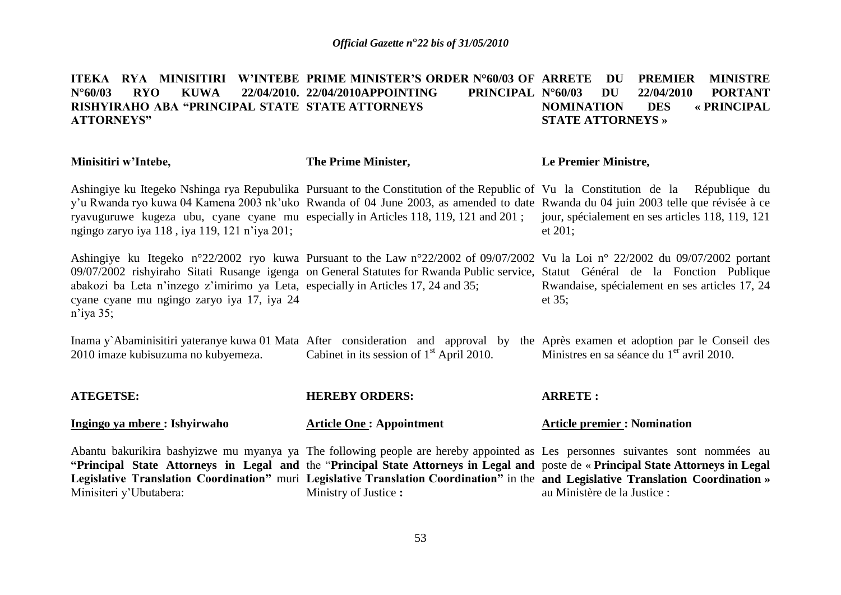#### ITEKA RYA MINISITIRI W'INTEBE PRIME MINISTER'S ORDER N°60/03 OF ARRETE DU PREMIER MINISTRE **N°60/03 RYO KUWA 22/04/2010. RISHYIRAHO ABA "PRINCIPAL STATE STATE ATTORNEYS ATTORNEYS"** 22/04/2010. 22/04/2010APPOINTING **PRINCIPAL N°60/03 DU 22/04/2010 PORTANT NOMINATION DES « PRINCIPAL NOMINATION DES STATE ATTORNEYS »**

| Minisitiri w'Intebe,                                                                                                                                        | The Prime Minister,                                                                                                                                                                                                                                                                                                                                                                                                              | Le Premier Ministre,                                           |
|-------------------------------------------------------------------------------------------------------------------------------------------------------------|----------------------------------------------------------------------------------------------------------------------------------------------------------------------------------------------------------------------------------------------------------------------------------------------------------------------------------------------------------------------------------------------------------------------------------|----------------------------------------------------------------|
| ryavuguruwe kugeza ubu, cyane cyane mu especially in Articles 118, 119, 121 and 201;<br>ngingo zaryo iya 118, iya 119, 121 n'iya 201;                       | Ashingiye ku Itegeko Nshinga rya Repubulika Pursuant to the Constitution of the Republic of Vu la Constitution de la République du<br>y'u Rwanda ryo kuwa 04 Kamena 2003 nk'uko Rwanda of 04 June 2003, as amended to date Rwanda du 04 juin 2003 telle que révisée à ce                                                                                                                                                         | jour, spécialement en ses articles 118, 119, 121<br>$et 201$ ; |
| abakozi ba Leta n'inzego z'imirimo ya Leta, especially in Articles 17, 24 and 35;<br>cyane cyane mu ngingo zaryo iya 17, iya 24<br>$n$ <sup>'</sup> iya 35; | Ashingiye ku Itegeko n°22/2002 ryo kuwa Pursuant to the Law n°22/2002 of 09/07/2002 Vu la Loi n° 22/2002 du 09/07/2002 portant<br>09/07/2002 rishyiraho Sitati Rusange igenga on General Statutes for Rwanda Public service, Statut Général de la Fonction Publique                                                                                                                                                              | Rwandaise, spécialement en ses articles 17, 24<br>et $35$ ;    |
| 2010 imaze kubisuzuma no kubyemeza.                                                                                                                         | Inama y Abaminisitiri yateranye kuwa 01 Mata After consideration and approval by the Après examen et adoption par le Conseil des<br>Cabinet in its session of $1st$ April 2010.                                                                                                                                                                                                                                                  | Ministres en sa séance du 1 <sup>er</sup> avril 2010.          |
| <b>ATEGETSE:</b>                                                                                                                                            | <b>HEREBY ORDERS:</b>                                                                                                                                                                                                                                                                                                                                                                                                            | <b>ARRETE:</b>                                                 |
| Ingingo ya mbere : Ishyirwaho                                                                                                                               | <b>Article One: Appointment</b>                                                                                                                                                                                                                                                                                                                                                                                                  | <b>Article premier: Nomination</b>                             |
| Minisiteri y'Ubutabera:                                                                                                                                     | Abantu bakurikira bashyizwe mu myanya ya The following people are hereby appointed as Les personnes suivantes sont nommées au<br>"Principal State Attorneys in Legal and the "Principal State Attorneys in Legal and poste de « Principal State Attorneys in Legal<br>Legislative Translation Coordination" muri Legislative Translation Coordination" in the and Legislative Translation Coordination »<br>Ministry of Justice: | au Ministère de la Justice :                                   |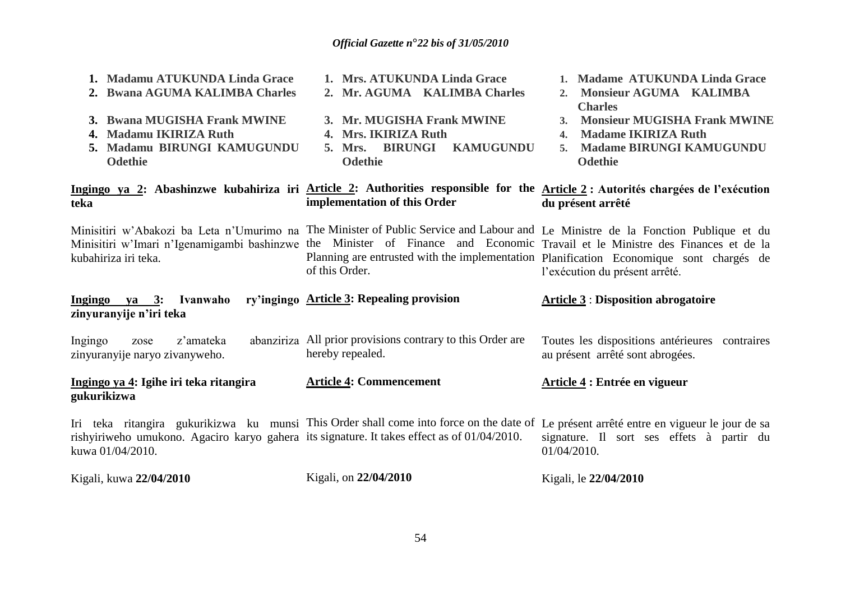| 1. Madamu ATUKUNDA Linda Grace                                                                                  | 1. Mrs. ATUKUNDA Linda Grace                                                                                                                                                                                                                                                         | Madame ATUKUNDA Linda Grace                                                                                                                                                                          |
|-----------------------------------------------------------------------------------------------------------------|--------------------------------------------------------------------------------------------------------------------------------------------------------------------------------------------------------------------------------------------------------------------------------------|------------------------------------------------------------------------------------------------------------------------------------------------------------------------------------------------------|
| 2. Bwana AGUMA KALIMBA Charles                                                                                  | 2. Mr. AGUMA KALIMBA Charles                                                                                                                                                                                                                                                         | Monsieur AGUMA KALIMBA<br>2.<br><b>Charles</b>                                                                                                                                                       |
| 3. Bwana MUGISHA Frank MWINE                                                                                    | 3. Mr. MUGISHA Frank MWINE                                                                                                                                                                                                                                                           | <b>Monsieur MUGISHA Frank MWINE</b><br>3 <sub>1</sub>                                                                                                                                                |
| <b>Madamu IKIRIZA Ruth</b><br>4.                                                                                | 4. Mrs. IKIRIZA Ruth                                                                                                                                                                                                                                                                 | <b>Madame IKIRIZA Ruth</b><br>$\mathbf{4}$                                                                                                                                                           |
| Madamu BIRUNGI KAMUGUNDU<br>5.                                                                                  | 5. Mrs. BIRUNGI<br><b>KAMUGUNDU</b>                                                                                                                                                                                                                                                  | <b>Madame BIRUNGI KAMUGUNDU</b><br>5.                                                                                                                                                                |
| <b>Odethie</b>                                                                                                  | <b>Odethie</b>                                                                                                                                                                                                                                                                       | <b>Odethie</b>                                                                                                                                                                                       |
| teka                                                                                                            | Ingingo ya 2: Abashinzwe kubahiriza iri Article 2: Authorities responsible for the Article 2: Autorités chargées de l'exécution<br>implementation of this Order                                                                                                                      | du présent arrêté                                                                                                                                                                                    |
| kubahiriza iri teka.                                                                                            | Minisitiri w'Abakozi ba Leta n'Umurimo na The Minister of Public Service and Labour and Le Ministre de la Fonction Publique et du<br>Minisitiri w'Imari n'Igenamigambi bashinzwe the Minister of Finance and Economic Travail et le Ministre des Finances et de la<br>of this Order. | Planning are entrusted with the implementation Planification Economique sont chargés de<br>l'exécution du présent arrêté.                                                                            |
| Ingingo ya 3: Ivanwaho<br>zinyuranyije n'iri teka                                                               | ry'ingingo Article 3: Repealing provision                                                                                                                                                                                                                                            | <b>Article 3: Disposition abrogatoire</b>                                                                                                                                                            |
| z'amateka<br>Ingingo<br>zose<br>zinyuranyije naryo zivanyweho.                                                  | abanziriza All prior provisions contrary to this Order are<br>hereby repealed.                                                                                                                                                                                                       | Toutes les dispositions antérieures contraires<br>au présent arrêté sont abrogées.                                                                                                                   |
| Ingingo ya 4: Igihe iri teka ritangira<br>gukurikizwa                                                           | <b>Article 4: Commencement</b>                                                                                                                                                                                                                                                       | Article 4 : Entrée en vigueur                                                                                                                                                                        |
| rishyiriweho umukono. Agaciro karyo gahera its signature. It takes effect as of 01/04/2010.<br>kuwa 01/04/2010. |                                                                                                                                                                                                                                                                                      | Iri teka ritangira gukurikizwa ku munsi This Order shall come into force on the date of Le présent arrêté entre en vigueur le jour de sa<br>signature. Il sort ses effets à partir du<br>01/04/2010. |
| Kigali, kuwa 22/04/2010                                                                                         | Kigali, on 22/04/2010                                                                                                                                                                                                                                                                | Kigali, le 22/04/2010                                                                                                                                                                                |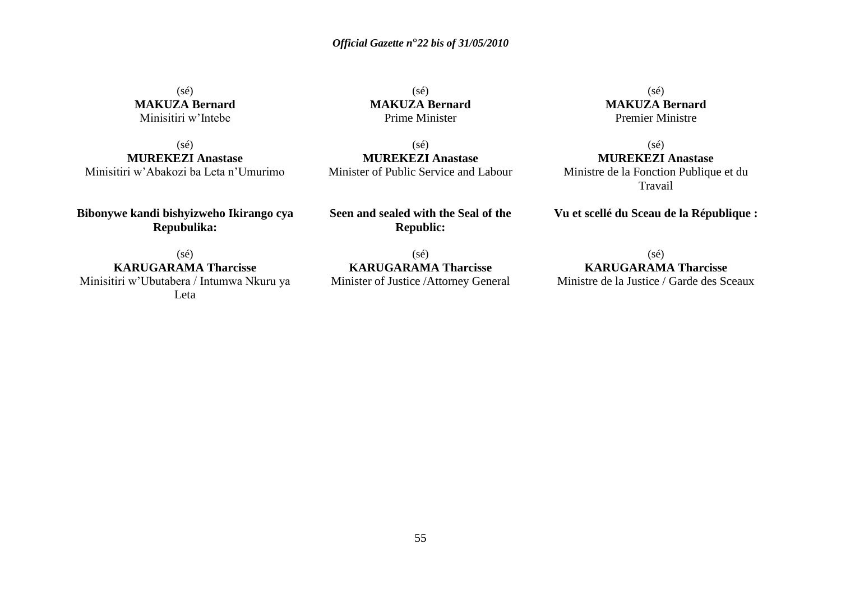$(s\acute{e})$ **MAKUZA Bernard** Minisitiri w'Intebe

(sé) **MUREKEZI Anastase** Minisitiri w'Abakozi ba Leta n'Umurimo

**Bibonywe kandi bishyizweho Ikirango cya Repubulika:**

(sé) **KARUGARAMA Tharcisse** Minisitiri w'Ubutabera / Intumwa Nkuru ya Leta

 $(s\acute{e})$ **MAKUZA Bernard** Prime Minister

(sé) **MUREKEZI Anastase** Minister of Public Service and Labour

**Seen and sealed with the Seal of the Republic:**

(sé) **KARUGARAMA Tharcisse** Minister of Justice /Attorney General

 $(s\acute{e})$ **MAKUZA Bernard** Premier Ministre

 $(sé)$ **MUREKEZI Anastase** Ministre de la Fonction Publique et du Travail

**Vu et scellé du Sceau de la République :**

(sé) **KARUGARAMA Tharcisse** Ministre de la Justice / Garde des Sceaux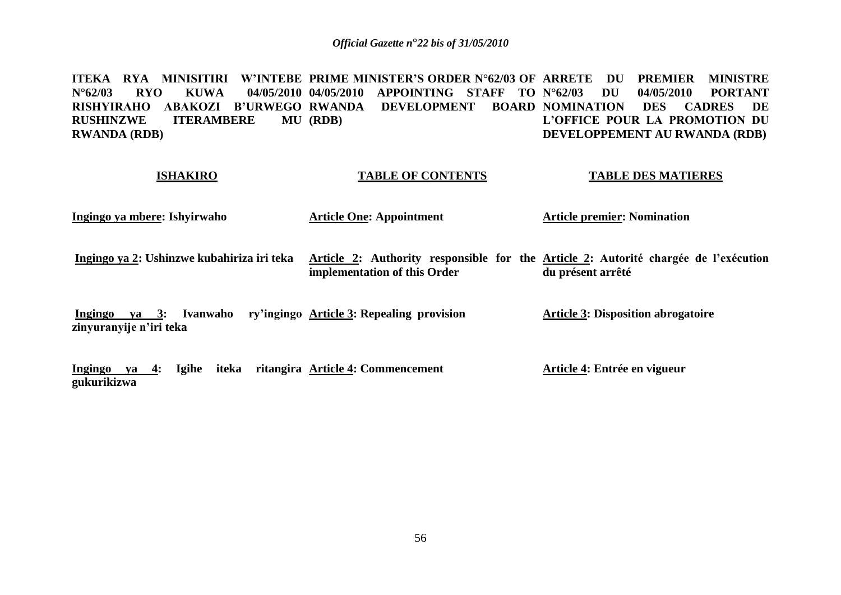**ITEKA RYA MINISITIRI W"INTEBE PRIME MINISTER"S ORDER N°62/03 OF ARRETE DU PREMIER MINISTRE N°62/03 RYO KUWA 04/05/2010 04/05/2010 APPOINTING STAFF TO** RISHYIRAHO ABAKOZI B'URWEGO-RWANDA DEVELOPMENT BOARD-NOMINATION DES CADRES DE **RUSHINZWE ITERAMBERE RWANDA (RDB) (RDB) N°62/03 DU 04/05/2010 PORTANT L"OFFICE POUR LA PROMOTION DU DEVELOPPEMENT AU RWANDA (RDB)**

#### **ISHAKIRO**

#### **TABLE OF CONTENTS**

#### **TABLE DES MATIERES**

**Ingingo ya mbere: Ishyirwaho**

**Article One: Appointment**

**Article premier: Nomination** 

**Ingingo ya 2: Ushinzwe kubahiriza iri teka Article 2: Authority responsible for the Article 2: Autorité chargée de l"exécution implementation of this Order du présent arrêté**

**Ingingo ya 3: Ivanwaho ry"ingingo Article 3: Repealing provision zinyuranyije n"iri teka Article 3: Disposition abrogatoire**

**Ingingo ya 4: Igihe iteka ritangira Article 4: Commencement gukurikizwa Article 4: Entrée en vigueur**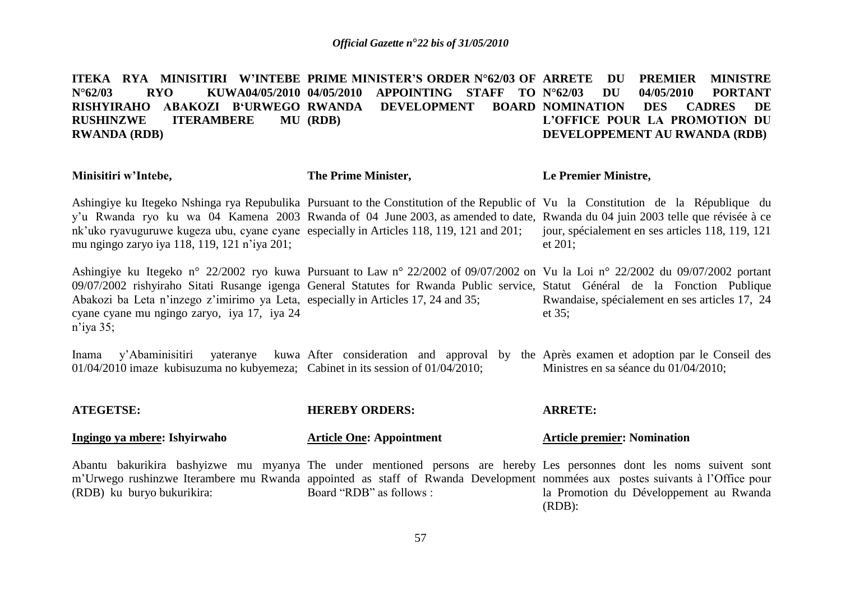**ITEKA RYA MINISITIRI W"INTEBE PRIME MINISTER"S ORDER N°62/03 OF ARRETE DU PREMIER MINISTRE N°62/03 RYO KUWA04/05/2010 04/05/2010 APPOINTING STAFF TO RISHYIRAHO ABAKOZI B"URWEGO RUSHINZWE ITERAMBERE RWANDA (RDB) DEVELOPMENT (RDB) N°62/03 DU 04/05/2010 PORTANT NOMINATION DES CADRES DE L"OFFICE POUR LA PROMOTION DU DEVELOPPEMENT AU RWANDA (RDB)**

| Minisitiri w'Intebe,                                                                                                                             | The Prime Minister,                                                                                                                                                                                                                                                 | <b>Le Premier Ministre,</b>                                    |
|--------------------------------------------------------------------------------------------------------------------------------------------------|---------------------------------------------------------------------------------------------------------------------------------------------------------------------------------------------------------------------------------------------------------------------|----------------------------------------------------------------|
| nk'uko ryavuguruwe kugeza ubu, cyane cyane especially in Articles 118, 119, 121 and 201;<br>mu ngingo zaryo iya 118, 119, 121 n'iya 201;         | Ashingiye ku Itegeko Nshinga rya Repubulika Pursuant to the Constitution of the Republic of Vu la Constitution de la République du<br>y'u Rwanda ryo ku wa 04 Kamena 2003 Rwanda of 04 June 2003, as amended to date, Rwanda du 04 juin 2003 telle que révisée à ce | jour, spécialement en ses articles 118, 119, 121<br>et $201$ : |
| Abakozi ba Leta n'inzego z'imirimo ya Leta, especially in Articles 17, 24 and 35;<br>cyane cyane mu ngingo zaryo, iya 17, iya 24<br>$n$ 'iya 35; | Ashingiye ku Itegeko n° 22/2002 ryo kuwa Pursuant to Law n° 22/2002 of 09/07/2002 on Vu la Loi n° 22/2002 du 09/07/2002 portant<br>09/07/2002 rishyiraho Sitati Rusange igenga General Statutes for Rwanda Public service, Statut Général de la Fonction Publique   | Rwandaise, spécialement en ses articles 17, 24<br>et $35$ ;    |

Inama y'Abaminisitiri yateranye kuwa After consideration and approval by the Après examen et adoption par le Conseil des 01/04/2010 imaze kubisuzuma no kubyemeza; Cabinet in its session of 01/04/2010; Ministres en sa séance du 01/04/2010;

| <b>ATEGETSE:</b>             | <b>HEREBY ORDERS:</b>                                                                                          | <b>ARRETE:</b>                     |  |
|------------------------------|----------------------------------------------------------------------------------------------------------------|------------------------------------|--|
| Ingingo ya mbere: Ishyirwaho | <b>Article One: Appointment</b>                                                                                | <b>Article premier: Nomination</b> |  |
|                              | Abantu bakurikira bashyizwe mu myanya The under mentioned persons are hereby Les personnes dont les noms       |                                    |  |
|                              | m'Urwego rushinzwe Iterambere mu Rwanda appointed as staff of Rwanda Development nommées aux postes suivants à |                                    |  |

Board "RDB" as follows :

(RDB) ku buryo bukurikira:

à l'Office pour la Promotion du Développement au Rwanda (RDB):

suivent sont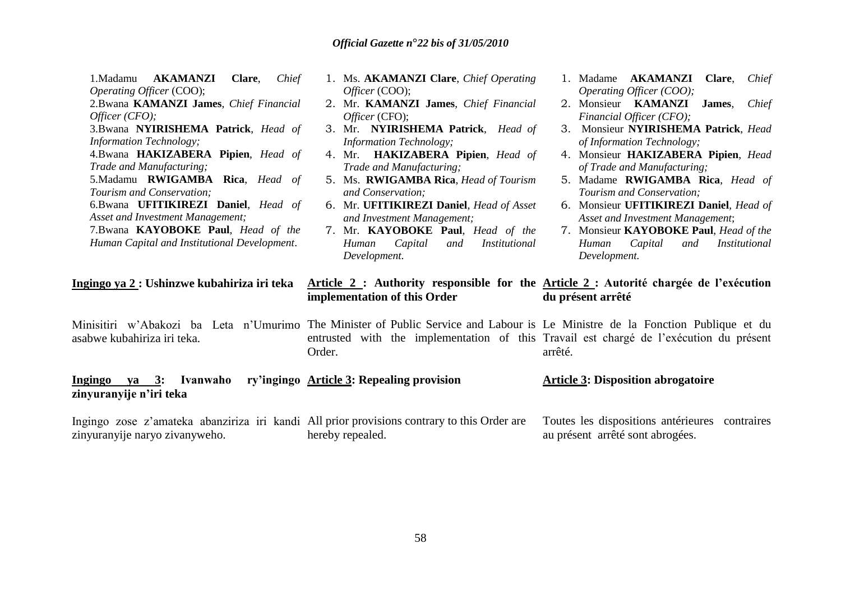| AKAMANZI<br>1.Madamu<br>Clare,<br>Chief<br>Operating Officer (COO);                                                                                           | 1. Ms. AKAMANZI Clare, Chief Operating<br>Officer (COO);                                                                                                                | 1. Madame AKAMANZI Clare, Chief<br>Operating Officer (COO);                                                                                                                                                                        |
|---------------------------------------------------------------------------------------------------------------------------------------------------------------|-------------------------------------------------------------------------------------------------------------------------------------------------------------------------|------------------------------------------------------------------------------------------------------------------------------------------------------------------------------------------------------------------------------------|
| 2. Bwana KAMANZI James, Chief Financial<br>Officer $(CFO)$ ;                                                                                                  | 2. Mr. KAMANZI James, Chief Financial<br>Officer (CFO);                                                                                                                 | 2. Monsieur KAMANZI<br>James,<br>Chief<br>Financial Officer (CFO);                                                                                                                                                                 |
| 3.Bwana NYIRISHEMA Patrick, Head of<br><b>Information Technology;</b>                                                                                         | 3. Mr. NYIRISHEMA Patrick, Head of<br><b>Information Technology;</b>                                                                                                    | 3. Monsieur NYIRISHEMA Patrick, Head<br>of Information Technology;                                                                                                                                                                 |
| 4.Bwana HAKIZABERA Pipien, Head of<br>Trade and Manufacturing;                                                                                                | 4. Mr. HAKIZABERA Pipien, Head of<br>Trade and Manufacturing;                                                                                                           | 4. Monsieur HAKIZABERA Pipien, Head<br>of Trade and Manufacturing;                                                                                                                                                                 |
| 5.Madamu RWIGAMBA Rica, Head of<br>Tourism and Conservation;                                                                                                  | 5. Ms. RWIGAMBA Rica, Head of Tourism<br>and Conservation;                                                                                                              | 5. Madame RWIGAMBA Rica, Head of<br>Tourism and Conservation;                                                                                                                                                                      |
| 6.Bwana UFITIKIREZI Daniel, Head of<br>Asset and Investment Management;<br>7.Bwana KAYOBOKE Paul, Head of the<br>Human Capital and Institutional Development. | 6. Mr. UFITIKIREZI Daniel, Head of Asset<br>and Investment Management;<br>7. Mr. KAYOBOKE Paul, Head of the<br>Capital<br>Human<br>Institutional<br>and<br>Development. | 6. Monsieur UFITIKIREZI Daniel, Head of<br>Asset and Investment Management;<br>7. Monsieur KAYOBOKE Paul, Head of the<br>Human Capital<br>and<br>Institutional<br>Development.                                                     |
| Ingingo ya 2 : Ushinzwe kubahiriza iri teka                                                                                                                   | implementation of this Order                                                                                                                                            | Article 2 : Authority responsible for the Article 2 : Autorité chargée de l'exécution<br>du présent arrêté                                                                                                                         |
| asabwe kubahiriza iri teka.                                                                                                                                   | Order.                                                                                                                                                                  | Minisitiri w'Abakozi ba Leta n'Umurimo The Minister of Public Service and Labour is Le Ministre de la Fonction Publique et du<br>entrusted with the implementation of this Travail est chargé de l'exécution du présent<br>arrêté. |
| Ingingo ya 3: Ivanwaho<br>zinyuranyije n'iri teka                                                                                                             | ry'ingingo Article 3: Repealing provision                                                                                                                               | <b>Article 3: Disposition abrogatoire</b>                                                                                                                                                                                          |
| Ingingo zose z'amateka abanziriza iri kandi All prior provisions contrary to this Order are<br>zinyuranyije naryo zivanyweho.                                 | hereby repealed.                                                                                                                                                        | Toutes les dispositions antérieures contraires<br>au présent arrêté sont abrogées.                                                                                                                                                 |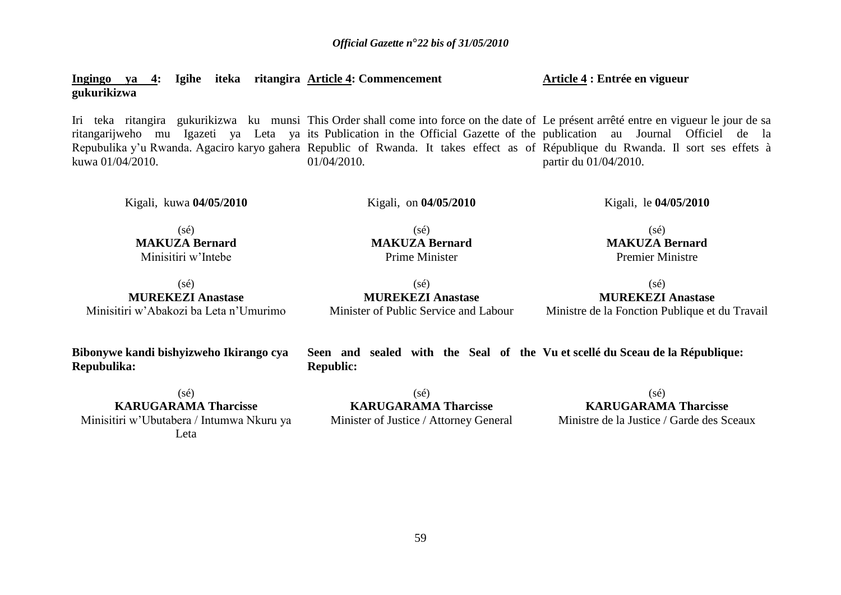**Ingingo ya 4: Igihe iteka ritangira Article 4: Commencement gukurikizwa**

Iri teka ritangira gukurikizwa ku munsi This Order shall come into force on the date of Le présent arrêté entre en vigueur le jour de sa ritangarijweho mu Igazeti ya Leta ya its-Publication-in-the-Official-Gazette-of-the-publication au Journal Officiel de la Repubulika y'u Rwanda. Agaciro karyo gahera Republic of Rwanda. It takes effect as of République du Rwanda. Il sort ses effets à kuwa 01/04/2010. 01/04/2010. partir du 01/04/2010.

Kigali, kuwa **04/05/2010** 

Kigali, on **04/05/2010** 

 $(sé)$ **MAKUZA Bernard** Prime Minister

Kigali, le **04/05/2010** 

 $(sé)$ **MAKUZA Bernard** Minisitiri w'Intebe

(sé) **MUREKEZI Anastase** Minisitiri w'Abakozi ba Leta n'Umurimo

**Bibonywe kandi bishyizweho Ikirango cya Repubulika:**

 $(s\acute{e})$ **KARUGARAMA Tharcisse** Minisitiri w'Ubutabera / Intumwa Nkuru ya Leta

(sé) **MUREKEZI Anastase** Minister of Public Service and Labour

(sé) **MUREKEZI Anastase** Ministre de la Fonction Publique et du Travail

**Seen and sealed with the Seal of the Vu et scellé du Sceau de la République: Republic:**

 $(s\acute{e})$ **KARUGARAMA Tharcisse** Minister of Justice / Attorney General

 $(s\acute{e})$ **KARUGARAMA Tharcisse**

Ministre de la Justice / Garde des Sceaux

 $(sé)$ 

**Article 4 : Entrée en vigueur**

**MAKUZA Bernard** Premier Ministre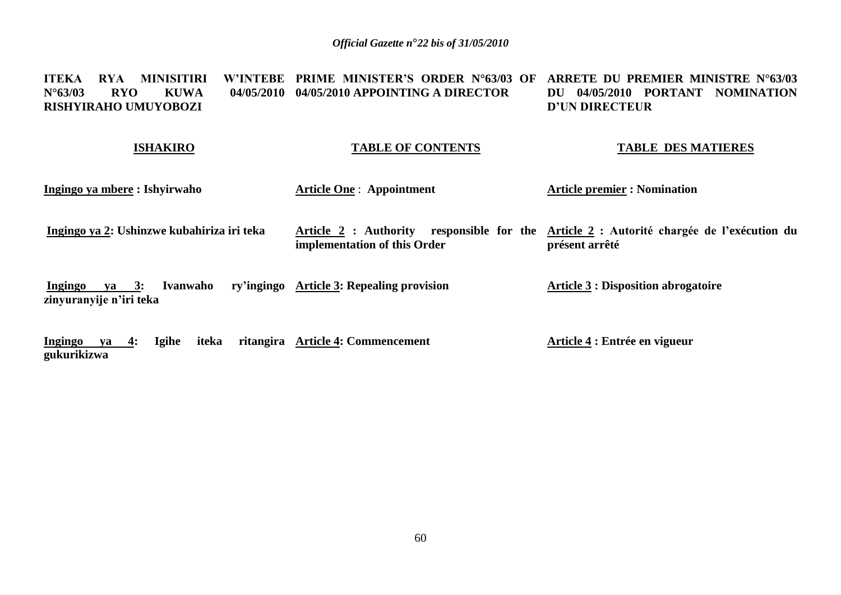#### **ITEKA RYA MINISITIRI W"INTEBE PRIME MINISTER"S ORDER N°63/03 OF ARRETE DU PREMIER MINISTRE N°63/03 N°63/03 RYO KUWA 04/05/2010 04/05/2010 APPOINTING A DIRECTOR RISHYIRAHO UMUYOBOZI DU 04/05/2010 PORTANT NOMINATION D"UN DIRECTEUR**

#### **ISHAKIRO**

**gukurikizwa**

## **TABLE OF CONTENTS**

#### **TABLE DES MATIERES**

| Ingingo ya mbere: Ishyirwaho                                                   | <b>Article One: Appointment</b>                       | <b>Article premier : Nomination</b>                                                  |
|--------------------------------------------------------------------------------|-------------------------------------------------------|--------------------------------------------------------------------------------------|
| Ingingo ya 2: Ushinzwe kubahiriza iri teka                                     | Article 2 : Authority<br>implementation of this Order | responsible for the Article 2 : Autorité chargée de l'exécution du<br>présent arrêté |
| Ivanwaho<br>Ingingo<br>$\mathbf{v}\mathbf{a} = 3$ :<br>zinyuranyije n'iri teka | ry'ingingo Article 3: Repealing provision             | <b>Article 3 : Disposition abrogatoire</b>                                           |
| <b>Ingingo</b><br><b>Igihe</b><br>iteka<br>4:<br>va                            | ritangira Article 4: Commencement                     | Article 4 : Entrée en vigueur                                                        |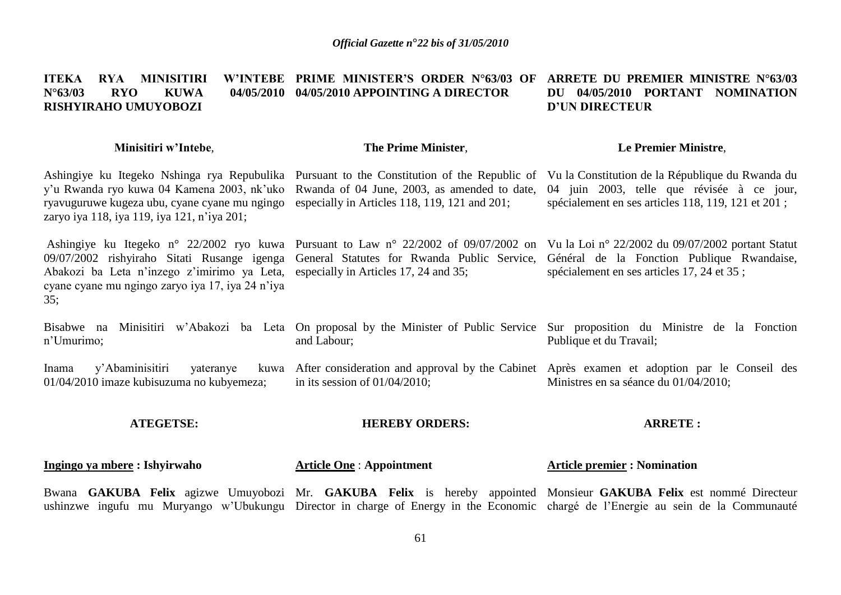#### **ITEKA RYA MINISITIRI N°63/03 RYO KUWA 04/05/2010 04/05/2010 APPOINTING A DIRECTOR RISHYIRAHO UMUYOBOZI PRIME MINISTER"S ORDER N°63/03 OF ARRETE DU PREMIER MINISTRE N°63/03 DU 04/05/2010 PORTANT NOMINATION D"UN DIRECTEUR**

#### **Minisitiri w"Intebe**,

## **The Prime Minister**,

#### **Le Premier Ministre**,

Ashingiye ku Itegeko Nshinga rya Repubulika Pursuant to the Constitution of the Republic of Vu la Constitution de la République du Rwanda du y'u Rwanda ryo kuwa 04 Kamena 2003, nk'uko Rwanda of 04 June, 2003, as amended to date, 04 juin 2003, telle que révisée à ce jour, ryavuguruwe kugeza ubu, cyane cyane mu ngingo especially in Articles 118, 119, 121 and 201; zaryo iya 118, iya 119, iya 121, n'iya 201;

Ashingiye ku Itegeko n° 22/2002 ryo kuwa Pursuant to Law n° 22/2002 of 09/07/2002 on Vu la Loi n° 22/2002 du 09/07/2002 portant Statut 09/07/2002 rishyiraho Sitati Rusange igenga General Statutes for Rwanda Public Service, Abakozi ba Leta n'inzego z'imirimo ya Leta, especially in Articles 17, 24 and 35; cyane cyane mu ngingo zaryo iya 17, iya 24 n'iya 35;

spécialement en ses articles 118, 119, 121 et 201 ;

Général de la Fonction Publique Rwandaise, spécialement en ses articles 17, 24 et 35 ;

Bisabwe na Minisitiri w'Abakozi ba Leta On proposal by the Minister of Public Service Sur proposition du Ministre de la Fonction n'Umurimo; and Labour; Publique et du Travail;

Inama y'Abaminisitiri yateranye 01/04/2010 imaze kubisuzuma no kubyemeza; After consideration and approval by the Cabinet Après examen et adoption par le Conseil des in its session of 01/04/2010; Ministres en sa séance du 01/04/2010;

#### **ATEGETSE:**

#### **HEREBY ORDERS:**

#### **ARRETE :**

#### **Ingingo ya mbere : Ishyirwaho**

**Article One** : **Appointment**

#### **Article premier : Nomination**

Bwana **GAKUBA Felix** agizwe Umuyobozi Mr. **GAKUBA Felix** is hereby appointed Monsieur **GAKUBA Felix** est nommé Directeur ushinzwe ingufu mu Muryango w'Ubukungu Director in charge of Energy in the Economic chargé de l'Energie au sein de la Communauté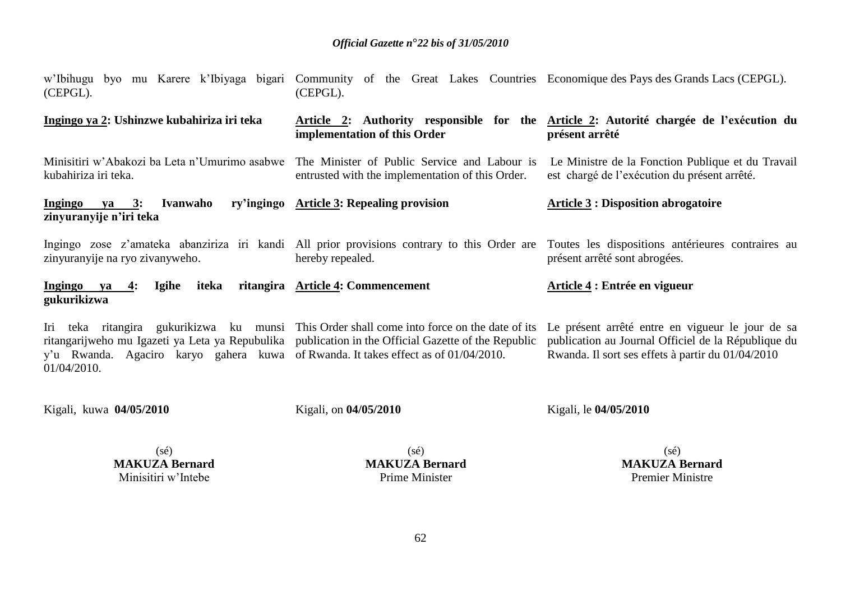| (CEPGL).                                                                                                 | w'Ibihugu byo mu Karere k'Ibiyaga bigari Community of the Great Lakes Countries Economique des Pays des Grands Lacs (CEPGL).<br>(CEPGL).                                                       |                                                                                                                                                                                |
|----------------------------------------------------------------------------------------------------------|------------------------------------------------------------------------------------------------------------------------------------------------------------------------------------------------|--------------------------------------------------------------------------------------------------------------------------------------------------------------------------------|
| Ingingo ya 2: Ushinzwe kubahiriza iri teka                                                               | implementation of this Order                                                                                                                                                                   | Article 2: Authority responsible for the Article 2: Autorité chargée de l'exécution du<br>présent arrêté                                                                       |
| kubahiriza iri teka.                                                                                     | Minisitiri w'Abakozi ba Leta n'Umurimo asabwe The Minister of Public Service and Labour is<br>entrusted with the implementation of this Order.                                                 | Le Ministre de la Fonction Publique et du Travail<br>est chargé de l'exécution du présent arrêté.                                                                              |
| <u>Ingingo ya 3</u> : Ivanwaho<br>zinyuranyije n'iri teka                                                | ry'ingingo Article 3: Repealing provision                                                                                                                                                      | <b>Article 3: Disposition abrogatoire</b>                                                                                                                                      |
| zinyuranyije na ryo zivanyweho.                                                                          | hereby repealed.                                                                                                                                                                               | Ingingo zose z'amateka abanziriza iri kandi All prior provisions contrary to this Order are Toutes les dispositions antérieures contraires au<br>présent arrêté sont abrogées. |
| Ingingo ya<br>iteka<br>Igihe<br>$-4:$<br>gukurikizwa                                                     | ritangira Article 4: Commencement                                                                                                                                                              | Article 4 : Entrée en vigueur                                                                                                                                                  |
| Iri<br>y'u Rwanda. Agaciro karyo gahera kuwa of Rwanda. It takes effect as of 01/04/2010.<br>01/04/2010. | teka ritangira gukurikizwa ku munsi This Order shall come into force on the date of its<br>ritangarijweho mu Igazeti ya Leta ya Repubulika publication in the Official Gazette of the Republic | Le présent arrêté entre en vigueur le jour de sa<br>publication au Journal Officiel de la République du<br>Rwanda. Il sort ses effets à partir du 01/04/2010                   |
| Kigali, kuwa 04/05/2010                                                                                  | Kigali, on 04/05/2010                                                                                                                                                                          | Kigali, le 04/05/2010                                                                                                                                                          |

(sé) **MAKUZA Bernard** Minisitiri w'Intebe

(sé) **MAKUZA Bernard** Prime Minister

(sé) **MAKUZA Bernard** Premier Ministre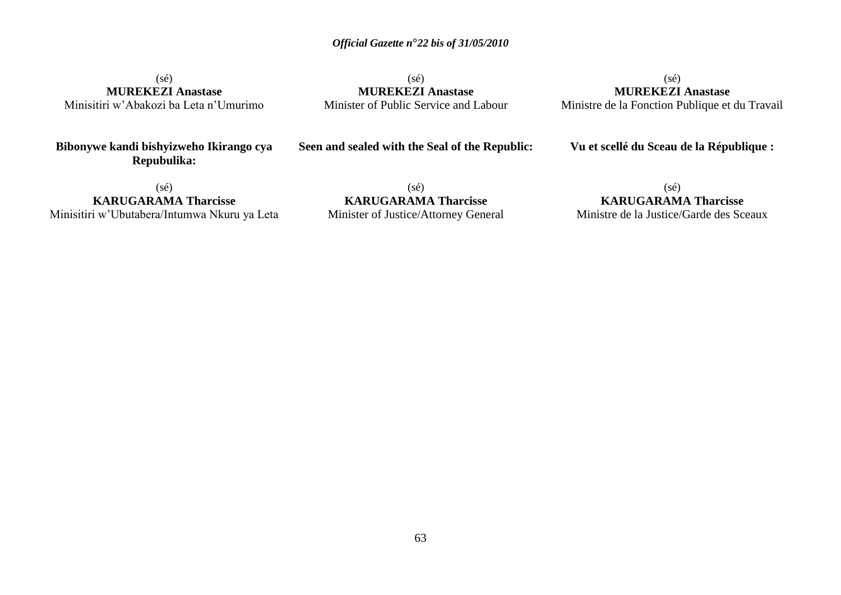(sé) **MUREKEZI Anastase** Minisitiri w'Abakozi ba Leta n'Umurimo

 $(s\acute{e})$ **MUREKEZI Anastase** Minister of Public Service and Labour

(sé) **MUREKEZI Anastase** Ministre de la Fonction Publique et du Travail

**Bibonywe kandi bishyizweho Ikirango cya Repubulika:**

**Seen and sealed with the Seal of the Republic:**

**Vu et scellé du Sceau de la République :**

(sé) **KARUGARAMA Tharcisse** Minisitiri w'Ubutabera/Intumwa Nkuru ya Leta

(sé) **KARUGARAMA Tharcisse** Minister of Justice/Attorney General

(sé) **KARUGARAMA Tharcisse** Ministre de la Justice/Garde des Sceaux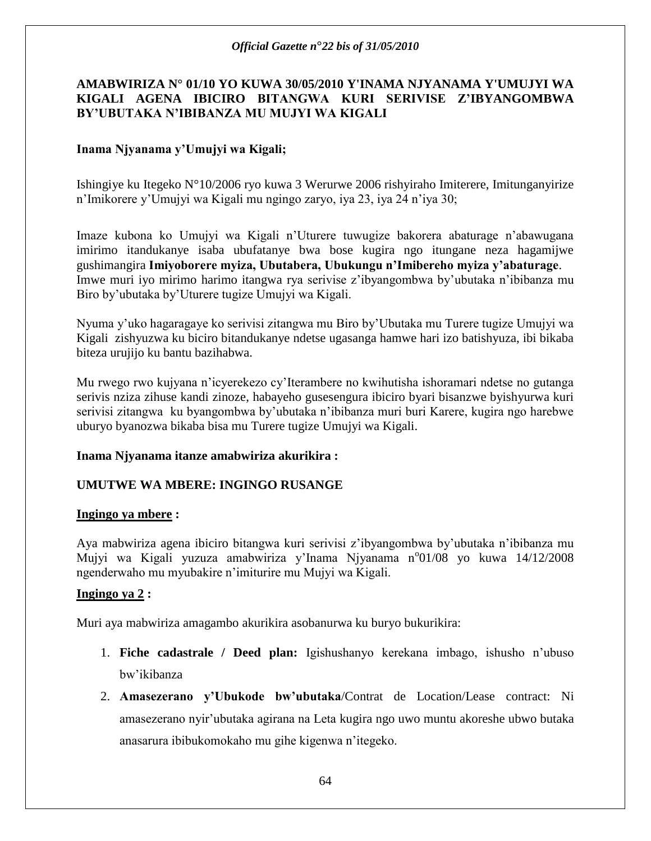# **AMABWIRIZA N° 01/10 YO KUWA 30/05/2010 Y'INAMA NJYANAMA Y'UMUJYI WA KIGALI AGENA IBICIRO BITANGWA KURI SERIVISE Z"IBYANGOMBWA BY"UBUTAKA N"IBIBANZA MU MUJYI WA KIGALI**

# **Inama Njyanama y"Umujyi wa Kigali;**

Ishingiye ku Itegeko N°10/2006 ryo kuwa 3 Werurwe 2006 rishyiraho Imiterere, Imitunganyirize n'Imikorere y'Umujyi wa Kigali mu ngingo zaryo, iya 23, iya 24 n'iya 30;

Imaze kubona ko Umujyi wa Kigali n'Uturere tuwugize bakorera abaturage n'abawugana imirimo itandukanye isaba ubufatanye bwa bose kugira ngo itungane neza hagamijwe gushimangira **Imiyoborere myiza, Ubutabera, Ubukungu n"Imibereho myiza y"abaturage**. Imwe muri iyo mirimo harimo itangwa rya serivise z'ibyangombwa by'ubutaka n'ibibanza mu Biro by'ubutaka by'Uturere tugize Umujyi wa Kigali.

Nyuma y'uko hagaragaye ko serivisi zitangwa mu Biro by'Ubutaka mu Turere tugize Umujyi wa Kigali zishyuzwa ku biciro bitandukanye ndetse ugasanga hamwe hari izo batishyuza, ibi bikaba biteza urujijo ku bantu bazihabwa.

Mu rwego rwo kujyana n'icyerekezo cy'Iterambere no kwihutisha ishoramari ndetse no gutanga serivis nziza zihuse kandi zinoze, habayeho gusesengura ibiciro byari bisanzwe byishyurwa kuri serivisi zitangwa ku byangombwa by'ubutaka n'ibibanza muri buri Karere, kugira ngo harebwe uburyo byanozwa bikaba bisa mu Turere tugize Umujyi wa Kigali.

# **Inama Njyanama itanze amabwiriza akurikira :**

# **UMUTWE WA MBERE: INGINGO RUSANGE**

# **Ingingo ya mbere :**

Aya mabwiriza agena ibiciro bitangwa kuri serivisi z'ibyangombwa by'ubutaka n'ibibanza mu Mujyi wa Kigali yuzuza amabwiriza y'Inama Njyanama n°01/08 yo kuwa 14/12/2008 ngenderwaho mu myubakire n'imiturire mu Mujyi wa Kigali.

# **Ingingo ya 2 :**

Muri aya mabwiriza amagambo akurikira asobanurwa ku buryo bukurikira:

- 1. **Fiche cadastrale / Deed plan:** Igishushanyo kerekana imbago, ishusho n'ubuso bw'ikibanza
- 2. **Amasezerano y"Ubukode bw"ubutaka**/Contrat de Location/Lease contract: Ni amasezerano nyir'ubutaka agirana na Leta kugira ngo uwo muntu akoreshe ubwo butaka anasarura ibibukomokaho mu gihe kigenwa n'itegeko.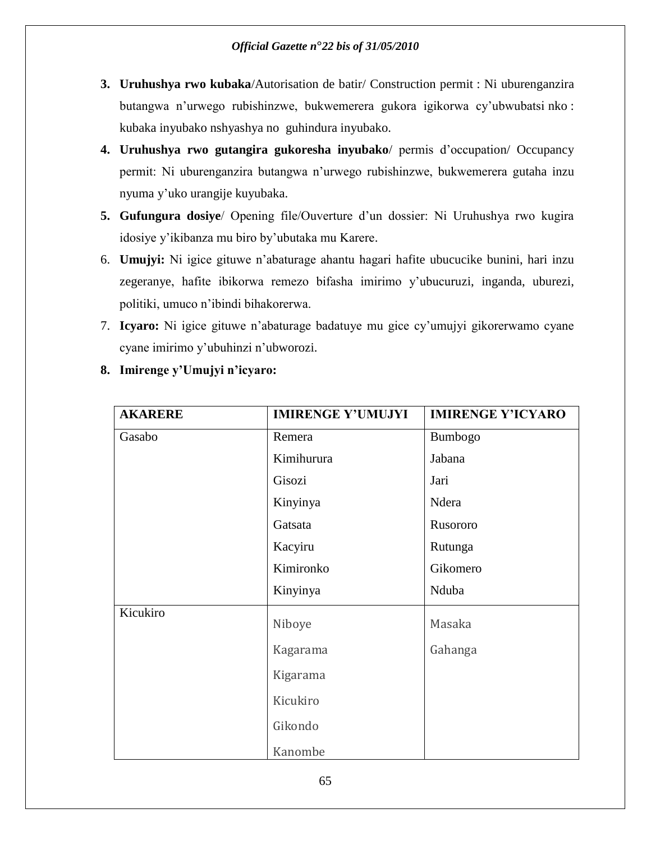- **3. Uruhushya rwo kubaka**/Autorisation de batir/ Construction permit : Ni uburenganzira butangwa n'urwego rubishinzwe, bukwemerera gukora igikorwa cy'ubwubatsi nko : kubaka inyubako nshyashya no guhindura inyubako.
- **4. Uruhushya rwo gutangira gukoresha inyubako**/ permis d'occupation/ Occupancy permit: Ni uburenganzira butangwa n'urwego rubishinzwe, bukwemerera gutaha inzu nyuma y'uko urangije kuyubaka.
- **5. Gufungura dosiye**/ Opening file/Ouverture d'un dossier: Ni Uruhushya rwo kugira idosiye y'ikibanza mu biro by'ubutaka mu Karere.
- 6. **Umujyi:** Ni igice gituwe n'abaturage ahantu hagari hafite ubucucike bunini, hari inzu zegeranye, hafite ibikorwa remezo bifasha imirimo y'ubucuruzi, inganda, uburezi, politiki, umuco n'ibindi bihakorerwa.
- 7. **Icyaro:** Ni igice gituwe n'abaturage badatuye mu gice cy'umujyi gikorerwamo cyane cyane imirimo y'ubuhinzi n'ubworozi.

| <b>AKARERE</b> | <b>IMIRENGE Y'UMUJYI</b> | <b>IMIRENGE Y'ICYARO</b> |
|----------------|--------------------------|--------------------------|
| Gasabo         | Remera                   | Bumbogo                  |
|                | Kimihurura               | Jabana                   |
|                | Gisozi                   | Jari                     |
|                | Kinyinya                 | Ndera                    |
|                | Gatsata                  | Rusororo                 |
|                | Kacyiru                  | Rutunga                  |
|                | Kimironko                | Gikomero                 |
|                | Kinyinya                 | Nduba                    |
| Kicukiro       | Niboye                   | Masaka                   |
|                | Kagarama                 | Gahanga                  |
|                | Kigarama                 |                          |
|                | Kicukiro                 |                          |
|                | Gikondo                  |                          |
|                | Kanombe                  |                          |

**8. Imirenge y"Umujyi n"icyaro:**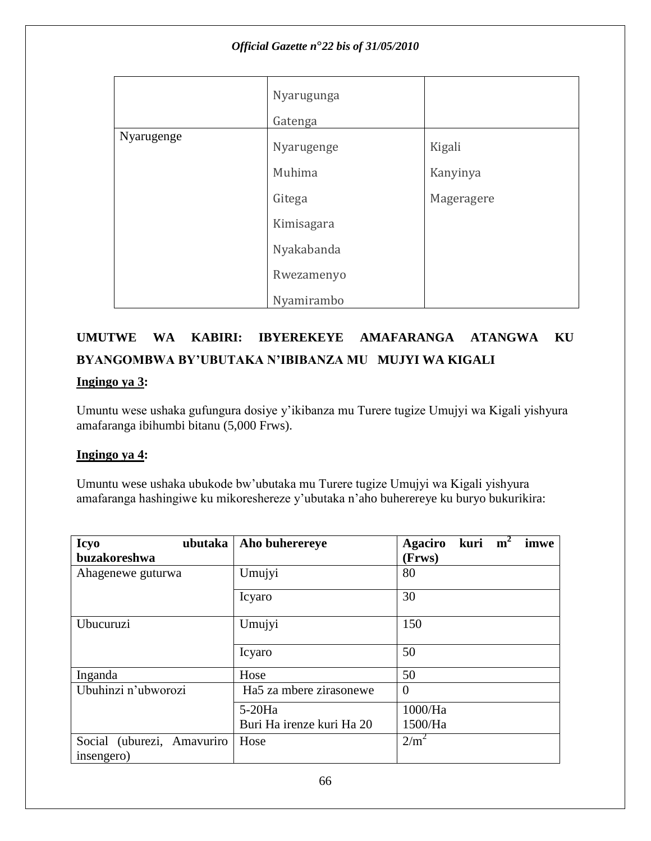|            | Nyarugunga<br>Gatenga |            |
|------------|-----------------------|------------|
| Nyarugenge | Nyarugenge            | Kigali     |
|            | Muhima                | Kanyinya   |
|            | Gitega                | Mageragere |
|            | Kimisagara            |            |
|            | Nyakabanda            |            |
|            | Rwezamenyo            |            |
|            | Nyamirambo            |            |

# **UMUTWE WA KABIRI: IBYEREKEYE AMAFARANGA ATANGWA KU BYANGOMBWA BY"UBUTAKA N"IBIBANZA MU MUJYI WA KIGALI**

# **Ingingo ya 3:**

Umuntu wese ushaka gufungura dosiye y'ikibanza mu Turere tugize Umujyi wa Kigali yishyura amafaranga ibihumbi bitanu (5,000 Frws).

# **Ingingo ya 4:**

Umuntu wese ushaka ubukode bw'ubutaka mu Turere tugize Umujyi wa Kigali yishyura amafaranga hashingiwe ku mikoreshereze y'ubutaka n'aho buherereye ku buryo bukurikira:

| <b>Icyo</b><br>ubutaka     | Aho buherereye            | kuri $m^2$<br><b>Agaciro</b><br>imwe |
|----------------------------|---------------------------|--------------------------------------|
| buzakoreshwa               |                           | (Frws)                               |
| Ahagenewe guturwa          | Umujyi                    | 80                                   |
|                            | Icyaro                    | 30                                   |
| Ubucuruzi                  | Umujyi                    | 150                                  |
|                            | Icyaro                    | 50                                   |
| Inganda                    | Hose                      | 50                                   |
| Ubuhinzi n'ubworozi        | Ha5 za mbere zirasonewe   | $\Omega$                             |
|                            | $5-20Ha$                  | 1000/Ha                              |
|                            | Buri Ha irenze kuri Ha 20 | 1500/Ha                              |
| Social (uburezi, Amavuriro | Hose                      | 2/m <sup>2</sup>                     |
| insengero)                 |                           |                                      |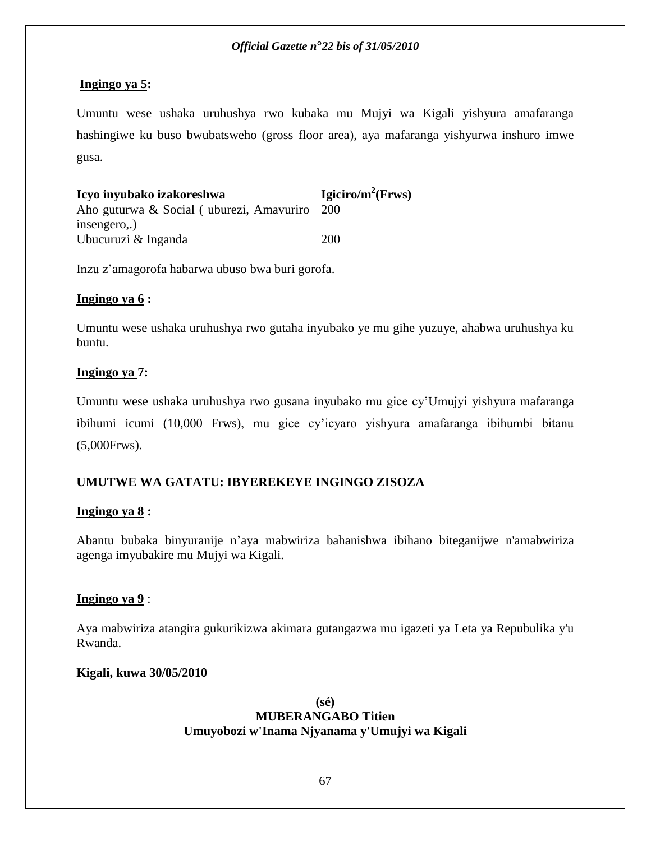# **Ingingo ya 5:**

Umuntu wese ushaka uruhushya rwo kubaka mu Mujyi wa Kigali yishyura amafaranga hashingiwe ku buso bwubatsweho (gross floor area), aya mafaranga yishyurwa inshuro imwe gusa.

| Icyo inyubako izakoreshwa                      | Igiciro/m <sup>2</sup> (Frws) |
|------------------------------------------------|-------------------------------|
| Aho guturwa & Social (uburezi, Amavuriro   200 |                               |
| insengero,.)                                   |                               |
| Ubucuruzi & Inganda                            | 200                           |

Inzu z'amagorofa habarwa ubuso bwa buri gorofa.

# **Ingingo ya 6 :**

Umuntu wese ushaka uruhushya rwo gutaha inyubako ye mu gihe yuzuye, ahabwa uruhushya ku buntu.

# **Ingingo ya 7:**

Umuntu wese ushaka uruhushya rwo gusana inyubako mu gice cy'Umujyi yishyura mafaranga ibihumi icumi (10,000 Frws), mu gice cy'icyaro yishyura amafaranga ibihumbi bitanu (5,000Frws).

# **UMUTWE WA GATATU: IBYEREKEYE INGINGO ZISOZA**

# **Ingingo ya 8 :**

Abantu bubaka binyuranije n'aya mabwiriza bahanishwa ibihano biteganijwe n'amabwiriza agenga imyubakire mu Mujyi wa Kigali.

# **Ingingo ya 9** :

Aya mabwiriza atangira gukurikizwa akimara gutangazwa mu igazeti ya Leta ya Repubulika y'u Rwanda.

# **Kigali, kuwa 30/05/2010**

### **(sé) MUBERANGABO Titien Umuyobozi w'Inama Njyanama y'Umujyi wa Kigali**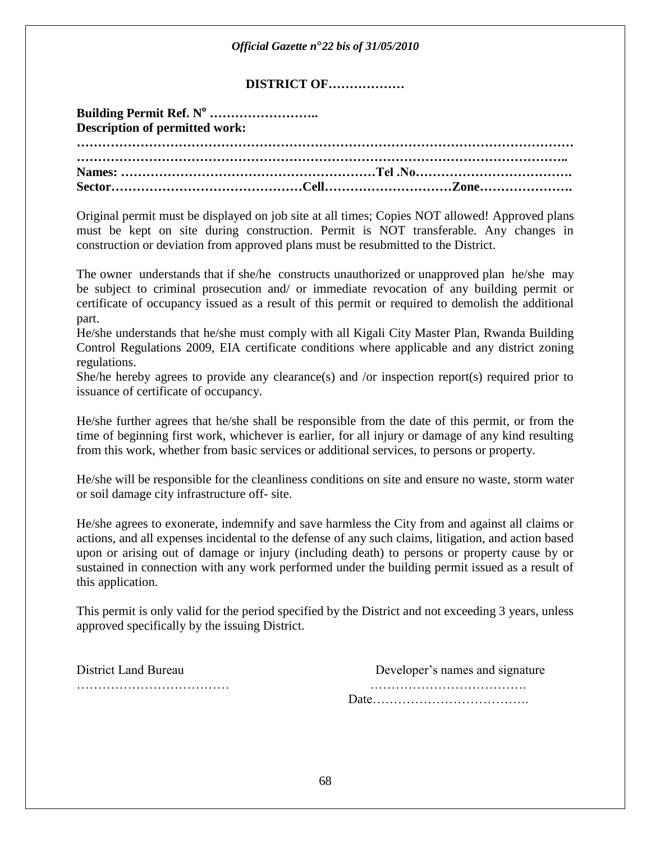|                                       | Official Gazette n°22 bis of 31/05/2010                                                                                                                                                                                                                                      |                                                                                            |  |  |
|---------------------------------------|------------------------------------------------------------------------------------------------------------------------------------------------------------------------------------------------------------------------------------------------------------------------------|--------------------------------------------------------------------------------------------|--|--|
| <b>DISTRICT OF</b>                    |                                                                                                                                                                                                                                                                              |                                                                                            |  |  |
| <b>Description of permitted work:</b> |                                                                                                                                                                                                                                                                              |                                                                                            |  |  |
|                                       |                                                                                                                                                                                                                                                                              |                                                                                            |  |  |
|                                       |                                                                                                                                                                                                                                                                              |                                                                                            |  |  |
|                                       | Original permit must be displayed on job site at all times; Copies NOT allowed! Approved plans<br>must be kept on site during construction. Permit is NOT transferable. Any changes in<br>construction or deviation from approved plans must be resubmitted to the District. |                                                                                            |  |  |
|                                       |                                                                                                                                                                                                                                                                              | The owner understands that if she/he constructs unauthorized or unapproved plan he/she may |  |  |

The owner understands that if she/he constructs unauthorized or unapproved plan he/she may be subject to criminal prosecution and/ or immediate revocation of any building permit or certificate of occupancy issued as a result of this permit or required to demolish the additional part.

He/she understands that he/she must comply with all Kigali City Master Plan, Rwanda Building Control Regulations 2009, EIA certificate conditions where applicable and any district zoning regulations.

She/he hereby agrees to provide any clearance(s) and /or inspection report(s) required prior to issuance of certificate of occupancy.

He/she further agrees that he/she shall be responsible from the date of this permit, or from the time of beginning first work, whichever is earlier, for all injury or damage of any kind resulting from this work, whether from basic services or additional services, to persons or property.

He/she will be responsible for the cleanliness conditions on site and ensure no waste, storm water or soil damage city infrastructure off- site.

He/she agrees to exonerate, indemnify and save harmless the City from and against all claims or actions, and all expenses incidental to the defense of any such claims, litigation, and action based upon or arising out of damage or injury (including death) to persons or property cause by or sustained in connection with any work performed under the building permit issued as a result of this application.

This permit is only valid for the period specified by the District and not exceeding 3 years, unless approved specifically by the issuing District.

District Land Bureau Developer's names and signature ……………………………… ………………………………. Date……………………………….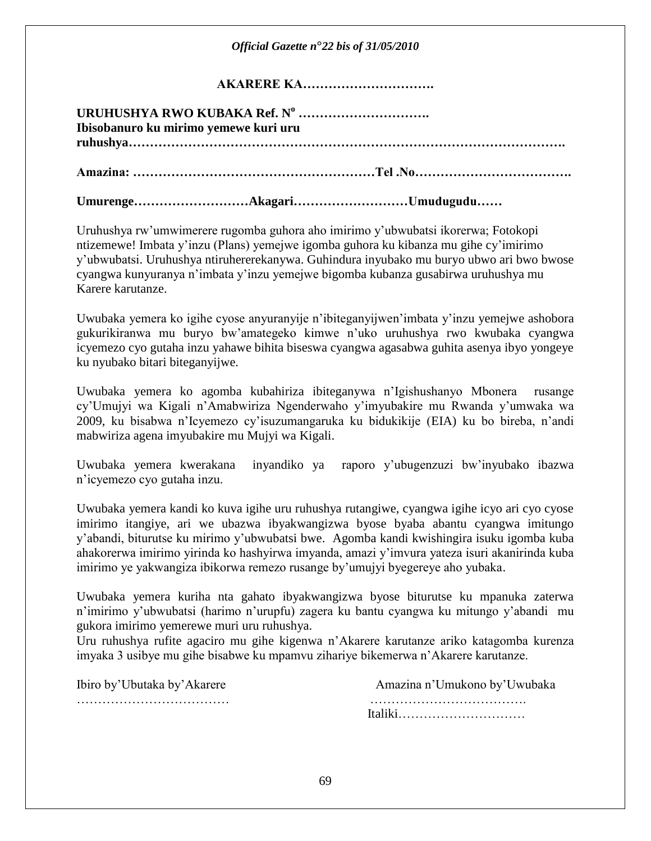| Official Gazette $n^{\circ}22$ bis of 31/05/2010 |
|--------------------------------------------------|
| AKARERE KA                                       |
| Ibisobanuro ku mirimo yemewe kuri uru            |
|                                                  |
| UmurengeAkagariUmudugudu                         |

Uruhushya rw'umwimerere rugomba guhora aho imirimo y'ubwubatsi ikorerwa; Fotokopi ntizemewe! Imbata y'inzu (Plans) yemejwe igomba guhora ku kibanza mu gihe cy'imirimo y'ubwubatsi. Uruhushya ntiruhererekanywa. Guhindura inyubako mu buryo ubwo ari bwo bwose cyangwa kunyuranya n'imbata y'inzu yemejwe bigomba kubanza gusabirwa uruhushya mu Karere karutanze.

Uwubaka yemera ko igihe cyose anyuranyije n'ibiteganyijwen'imbata y'inzu yemejwe ashobora gukurikiranwa mu buryo bw'amategeko kimwe n'uko uruhushya rwo kwubaka cyangwa icyemezo cyo gutaha inzu yahawe bihita biseswa cyangwa agasabwa guhita asenya ibyo yongeye ku nyubako bitari biteganyijwe.

Uwubaka yemera ko agomba kubahiriza ibiteganywa n'Igishushanyo Mbonera rusange cy'Umujyi wa Kigali n'Amabwiriza Ngenderwaho y'imyubakire mu Rwanda y'umwaka wa 2009, ku bisabwa n'Icyemezo cy'isuzumangaruka ku bidukikije (EIA) ku bo bireba, n'andi mabwiriza agena imyubakire mu Mujyi wa Kigali.

Uwubaka yemera kwerakana inyandiko ya raporo y'ubugenzuzi bw'inyubako ibazwa n'icyemezo cyo gutaha inzu.

Uwubaka yemera kandi ko kuva igihe uru ruhushya rutangiwe, cyangwa igihe icyo ari cyo cyose imirimo itangiye, ari we ubazwa ibyakwangizwa byose byaba abantu cyangwa imitungo y'abandi, biturutse ku mirimo y'ubwubatsi bwe. Agomba kandi kwishingira isuku igomba kuba ahakorerwa imirimo yirinda ko hashyirwa imyanda, amazi y'imvura yateza isuri akanirinda kuba imirimo ye yakwangiza ibikorwa remezo rusange by'umujyi byegereye aho yubaka.

Uwubaka yemera kuriha nta gahato ibyakwangizwa byose biturutse ku mpanuka zaterwa n'imirimo y'ubwubatsi (harimo n'urupfu) zagera ku bantu cyangwa ku mitungo y'abandi mu gukora imirimo yemerewe muri uru ruhushya.

Uru ruhushya rufite agaciro mu gihe kigenwa n'Akarere karutanze ariko katagomba kurenza imyaka 3 usibye mu gihe bisabwe ku mpamvu zihariye bikemerwa n'Akarere karutanze.

Ibiro by'Ubutaka by'Akarere Amazina n'Umukono by'Uwubaka ……………………………… ………………………………. Italiki…………………………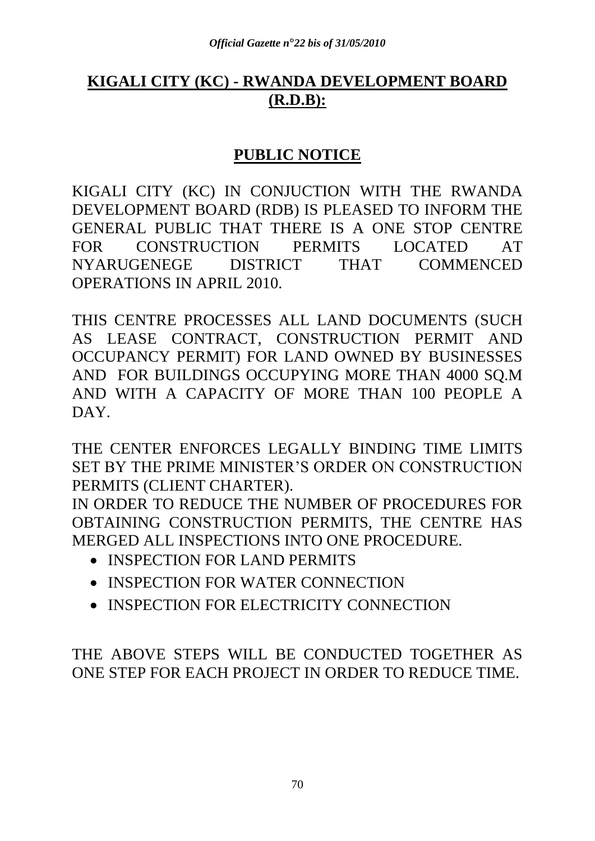# **KIGALI CITY (KC) - RWANDA DEVELOPMENT BOARD (R.D.B):**

# **PUBLIC NOTICE**

KIGALI CITY (KC) IN CONJUCTION WITH THE RWANDA DEVELOPMENT BOARD (RDB) IS PLEASED TO INFORM THE GENERAL PUBLIC THAT THERE IS A ONE STOP CENTRE FOR CONSTRUCTION PERMITS LOCATED AT NYARUGENEGE DISTRICT THAT COMMENCED OPERATIONS IN APRIL 2010.

THIS CENTRE PROCESSES ALL LAND DOCUMENTS (SUCH AS LEASE CONTRACT, CONSTRUCTION PERMIT AND OCCUPANCY PERMIT) FOR LAND OWNED BY BUSINESSES AND FOR BUILDINGS OCCUPYING MORE THAN 4000 SO.M AND WITH A CAPACITY OF MORE THAN 100 PEOPLE A DAY.

THE CENTER ENFORCES LEGALLY BINDING TIME LIMITS SET BY THE PRIME MINISTER'S ORDER ON CONSTRUCTION PERMITS (CLIENT CHARTER).

IN ORDER TO REDUCE THE NUMBER OF PROCEDURES FOR OBTAINING CONSTRUCTION PERMITS, THE CENTRE HAS MERGED ALL INSPECTIONS INTO ONE PROCEDURE.

- INSPECTION FOR LAND PERMITS
- INSPECTION FOR WATER CONNECTION
- INSPECTION FOR ELECTRICITY CONNECTION

THE ABOVE STEPS WILL BE CONDUCTED TOGETHER AS ONE STEP FOR EACH PROJECT IN ORDER TO REDUCE TIME.